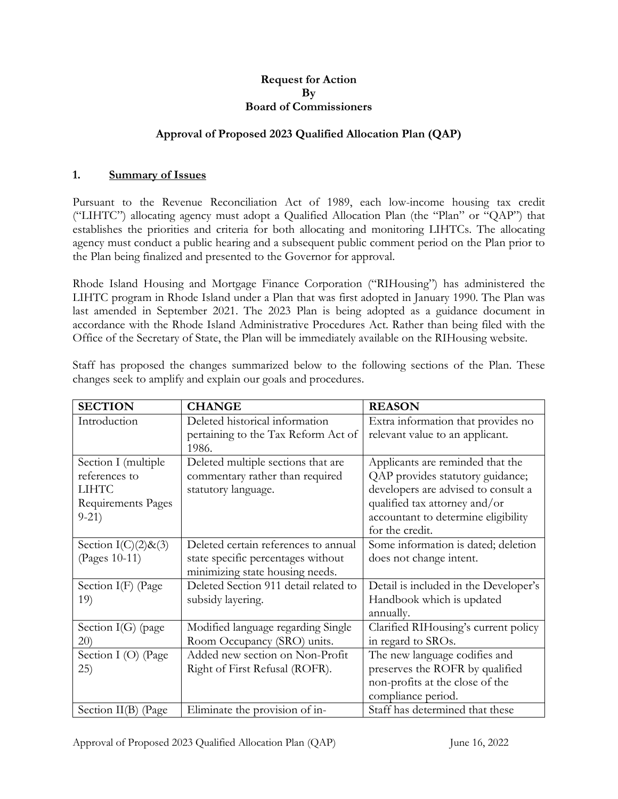#### **Request for Action By Board of Commissioners**

### **Approval of Proposed 2023 Qualified Allocation Plan (QAP)**

#### **1. Summary of Issues**

Pursuant to the Revenue Reconciliation Act of 1989, each low-income housing tax credit ("LIHTC") allocating agency must adopt a Qualified Allocation Plan (the "Plan" or "QAP") that establishes the priorities and criteria for both allocating and monitoring LIHTCs. The allocating agency must conduct a public hearing and a subsequent public comment period on the Plan prior to the Plan being finalized and presented to the Governor for approval.

Rhode Island Housing and Mortgage Finance Corporation ("RIHousing") has administered the LIHTC program in Rhode Island under a Plan that was first adopted in January 1990. The Plan was last amended in September 2021. The 2023 Plan is being adopted as a guidance document in accordance with the Rhode Island Administrative Procedures Act. Rather than being filed with the Office of the Secretary of State, the Plan will be immediately available on the RIHousing website.

Staff has proposed the changes summarized below to the following sections of the Plan. These changes seek to amplify and explain our goals and procedures.

| <b>SECTION</b>         | <b>CHANGE</b>                         | <b>REASON</b>                         |
|------------------------|---------------------------------------|---------------------------------------|
| Introduction           | Deleted historical information        | Extra information that provides no    |
|                        | pertaining to the Tax Reform Act of   | relevant value to an applicant.       |
|                        | 1986.                                 |                                       |
| Section I (multiple    | Deleted multiple sections that are    | Applicants are reminded that the      |
| references to          | commentary rather than required       | QAP provides statutory guidance;      |
| <b>LIHTC</b>           | statutory language.                   | developers are advised to consult a   |
| Requirements Pages     |                                       | qualified tax attorney and/or         |
| $9-21)$                |                                       | accountant to determine eligibility   |
|                        |                                       | for the credit.                       |
| Section $I(C)(2)$ &(3) | Deleted certain references to annual  | Some information is dated; deletion   |
| (Pages 10-11)          | state specific percentages without    | does not change intent.               |
|                        | minimizing state housing needs.       |                                       |
| Section I(F) (Page     | Deleted Section 911 detail related to | Detail is included in the Developer's |
| 19)                    | subsidy layering.                     | Handbook which is updated             |
|                        |                                       | annually.                             |
| Section I(G) (page     | Modified language regarding Single    | Clarified RIHousing's current policy  |
| 20)                    | Room Occupancy (SRO) units.           | in regard to SROs.                    |
| Section I (O) (Page    | Added new section on Non-Profit       | The new language codifies and         |
| (25)                   | Right of First Refusal (ROFR).        | preserves the ROFR by qualified       |
|                        |                                       | non-profits at the close of the       |
|                        |                                       | compliance period.                    |
| Section II(B) (Page    | Eliminate the provision of in-        | Staff has determined that these       |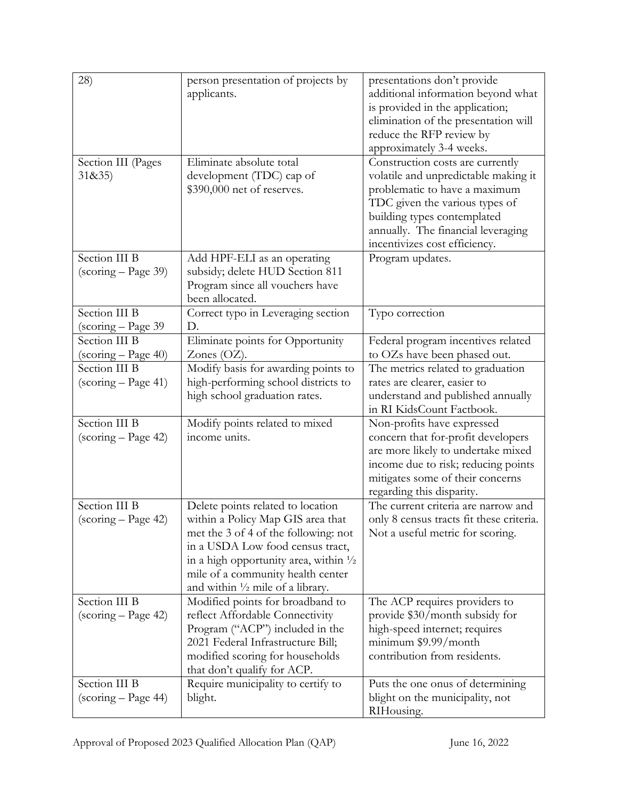| 28)                                                              | person presentation of projects by<br>applicants.                                                                                                                                                                                                                                          | presentations don't provide<br>additional information beyond what<br>is provided in the application;<br>elimination of the presentation will<br>reduce the RFP review by<br>approximately 3-4 weeks.                                              |
|------------------------------------------------------------------|--------------------------------------------------------------------------------------------------------------------------------------------------------------------------------------------------------------------------------------------------------------------------------------------|---------------------------------------------------------------------------------------------------------------------------------------------------------------------------------------------------------------------------------------------------|
| Section III (Pages<br>31&35)                                     | Eliminate absolute total<br>development (TDC) cap of<br>\$390,000 net of reserves.                                                                                                                                                                                                         | Construction costs are currently<br>volatile and unpredictable making it<br>problematic to have a maximum<br>TDC given the various types of<br>building types contemplated<br>annually. The financial leveraging<br>incentivizes cost efficiency. |
| Section III B<br>(scoring – Page 39)                             | Add HPF-ELI as an operating<br>subsidy; delete HUD Section 811<br>Program since all vouchers have<br>been allocated.                                                                                                                                                                       | Program updates.                                                                                                                                                                                                                                  |
| Section III B<br>(scoring – Page 39                              | Correct typo in Leveraging section<br>D.                                                                                                                                                                                                                                                   | Typo correction                                                                                                                                                                                                                                   |
| Section III B<br>(scoring – Page 40)                             | Eliminate points for Opportunity<br>Zones $(OZ)$ .                                                                                                                                                                                                                                         | Federal program incentives related<br>to OZs have been phased out.                                                                                                                                                                                |
| Section III B<br>$\left(\text{scoring} - \text{Page } 41\right)$ | Modify basis for awarding points to<br>high-performing school districts to<br>high school graduation rates.                                                                                                                                                                                | The metrics related to graduation<br>rates are clearer, easier to<br>understand and published annually<br>in RI KidsCount Factbook.                                                                                                               |
| Section III B<br>(scoring – Page 42)                             | Modify points related to mixed<br>income units.                                                                                                                                                                                                                                            | Non-profits have expressed<br>concern that for-profit developers<br>are more likely to undertake mixed<br>income due to risk; reducing points<br>mitigates some of their concerns<br>regarding this disparity.                                    |
| Section III B<br>(scoring - Page 42)                             | Delete points related to location<br>within a Policy Map GIS area that<br>met the 3 of 4 of the following: not<br>in a USDA Low food census tract,<br>in a high opportunity area, within $\frac{1}{2}$<br>mile of a community health center<br>and within $\frac{1}{2}$ mile of a library. | The current criteria are narrow and<br>only 8 census tracts fit these criteria.<br>Not a useful metric for scoring.                                                                                                                               |
| Section III B<br>(scoring - Page 42)                             | Modified points for broadband to<br>reflect Affordable Connectivity<br>Program ("ACP") included in the<br>2021 Federal Infrastructure Bill;<br>modified scoring for households<br>that don't qualify for ACP.                                                                              | The ACP requires providers to<br>provide \$30/month subsidy for<br>high-speed internet; requires<br>$minimum$ \$9.99/month<br>contribution from residents.                                                                                        |
| Section III B<br>(scoring – Page 44)                             | Require municipality to certify to<br>blight.                                                                                                                                                                                                                                              | Puts the one onus of determining<br>blight on the municipality, not<br>RIHousing.                                                                                                                                                                 |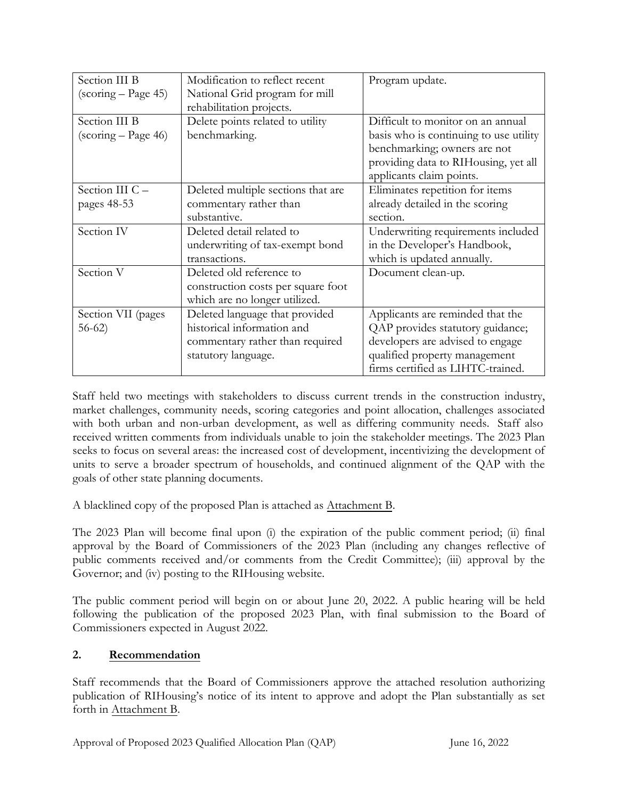| Section III B                                                    | Modification to reflect recent     | Program update.                        |
|------------------------------------------------------------------|------------------------------------|----------------------------------------|
| $\left(\frac{\text{scoring}}{\text{2}} - \text{Page } 45\right)$ | National Grid program for mill     |                                        |
|                                                                  | rehabilitation projects.           |                                        |
| Section III B                                                    | Delete points related to utility   | Difficult to monitor on an annual      |
| $\left(\frac{\text{scoring}}{\text{}} - \text{Page } 46\right)$  | benchmarking.                      | basis who is continuing to use utility |
|                                                                  |                                    | benchmarking; owners are not           |
|                                                                  |                                    | providing data to RIHousing, yet all   |
|                                                                  |                                    | applicants claim points.               |
| Section III C -                                                  | Deleted multiple sections that are | Eliminates repetition for items        |
| pages 48-53                                                      | commentary rather than             | already detailed in the scoring        |
|                                                                  | substantive.                       | section.                               |
| Section IV                                                       | Deleted detail related to          | Underwriting requirements included     |
|                                                                  | underwriting of tax-exempt bond    | in the Developer's Handbook,           |
|                                                                  | transactions.                      | which is updated annually.             |
| Section V                                                        | Deleted old reference to           | Document clean-up.                     |
|                                                                  | construction costs per square foot |                                        |
|                                                                  | which are no longer utilized.      |                                        |
| Section VII (pages                                               | Deleted language that provided     | Applicants are reminded that the       |
| $56-62$                                                          | historical information and         | QAP provides statutory guidance;       |
|                                                                  | commentary rather than required    | developers are advised to engage       |
|                                                                  | statutory language.                | qualified property management          |
|                                                                  |                                    | firms certified as LIHTC-trained.      |

Staff held two meetings with stakeholders to discuss current trends in the construction industry, market challenges, community needs, scoring categories and point allocation, challenges associated with both urban and non-urban development, as well as differing community needs. Staff also received written comments from individuals unable to join the stakeholder meetings. The 2023 Plan seeks to focus on several areas: the increased cost of development, incentivizing the development of units to serve a broader spectrum of households, and continued alignment of the QAP with the goals of other state planning documents.

A blacklined copy of the proposed Plan is attached as Attachment B.

The 2023 Plan will become final upon (i) the expiration of the public comment period; (ii) final approval by the Board of Commissioners of the 2023 Plan (including any changes reflective of public comments received and/or comments from the Credit Committee); (iii) approval by the Governor; and (iv) posting to the RIHousing website.

The public comment period will begin on or about June 20, 2022. A public hearing will be held following the publication of the proposed 2023 Plan, with final submission to the Board of Commissioners expected in August 2022.

# **2. Recommendation**

Staff recommends that the Board of Commissioners approve the attached resolution authorizing publication of RIHousing's notice of its intent to approve and adopt the Plan substantially as set forth in Attachment B.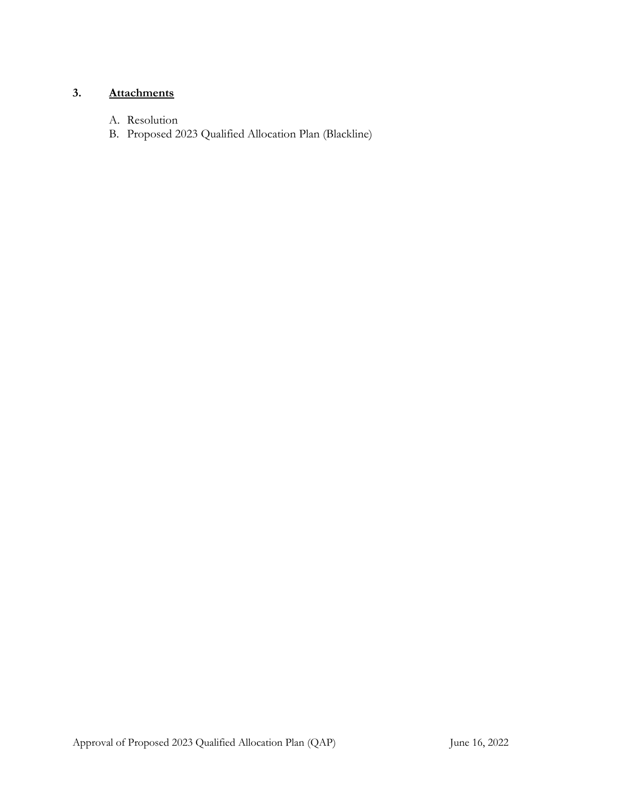# **3. Attachments**

- A. Resolution
- B. Proposed 2023 Qualified Allocation Plan (Blackline)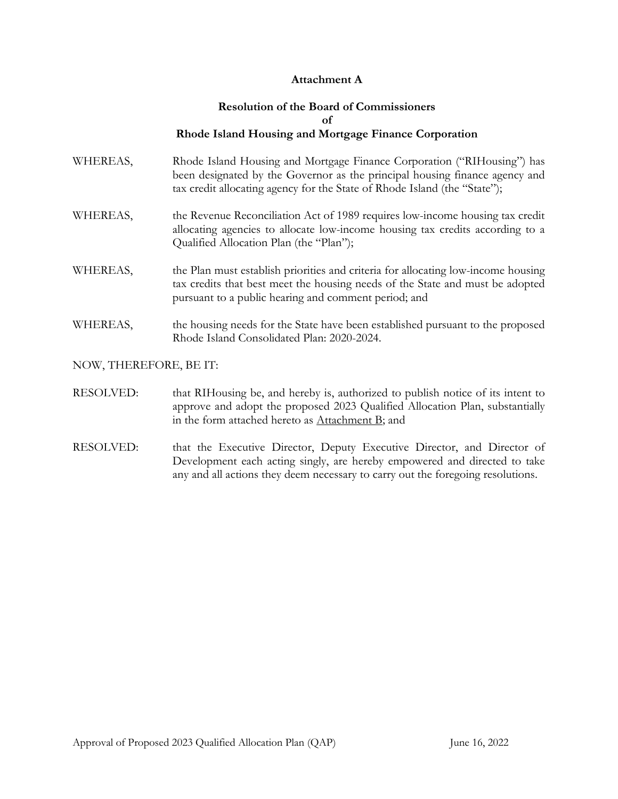#### **Attachment A**

#### **Resolution of the Board of Commissioners of Rhode Island Housing and Mortgage Finance Corporation**

- WHEREAS, Rhode Island Housing and Mortgage Finance Corporation ("RIHousing") has been designated by the Governor as the principal housing finance agency and tax credit allocating agency for the State of Rhode Island (the "State");
- WHEREAS, the Revenue Reconciliation Act of 1989 requires low-income housing tax credit allocating agencies to allocate low-income housing tax credits according to a Qualified Allocation Plan (the "Plan");
- WHEREAS, the Plan must establish priorities and criteria for allocating low-income housing tax credits that best meet the housing needs of the State and must be adopted pursuant to a public hearing and comment period; and
- WHEREAS, the housing needs for the State have been established pursuant to the proposed Rhode Island Consolidated Plan: 2020-2024.

#### NOW, THEREFORE, BE IT:

- RESOLVED: that RIHousing be, and hereby is, authorized to publish notice of its intent to approve and adopt the proposed 2023 Qualified Allocation Plan, substantially in the form attached hereto as Attachment B; and
- RESOLVED: that the Executive Director, Deputy Executive Director, and Director of Development each acting singly, are hereby empowered and directed to take any and all actions they deem necessary to carry out the foregoing resolutions.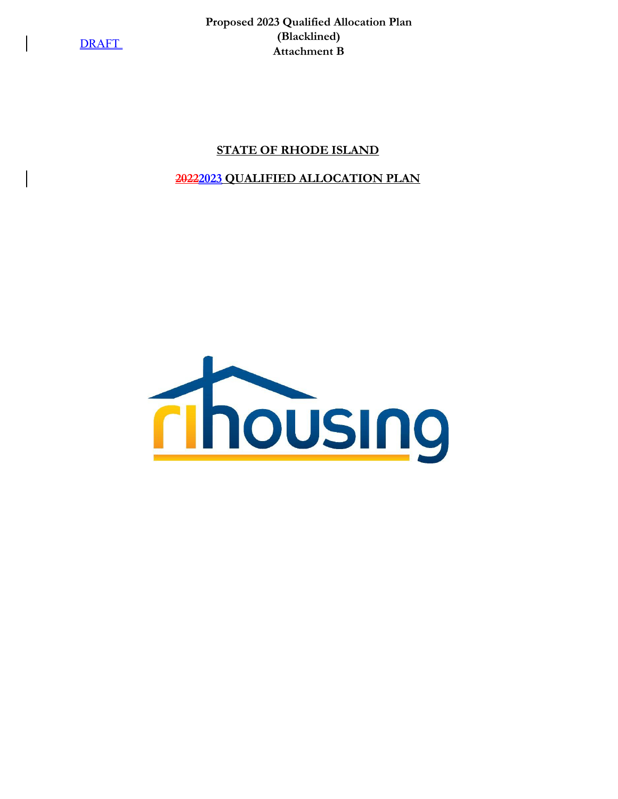**Proposed 2023 Qualified Allocation Plan (Blacklined) Attachment B**

### **STATE OF RHODE ISLAND**

### **20222023 QUALIFIED ALLOCATION PLAN**

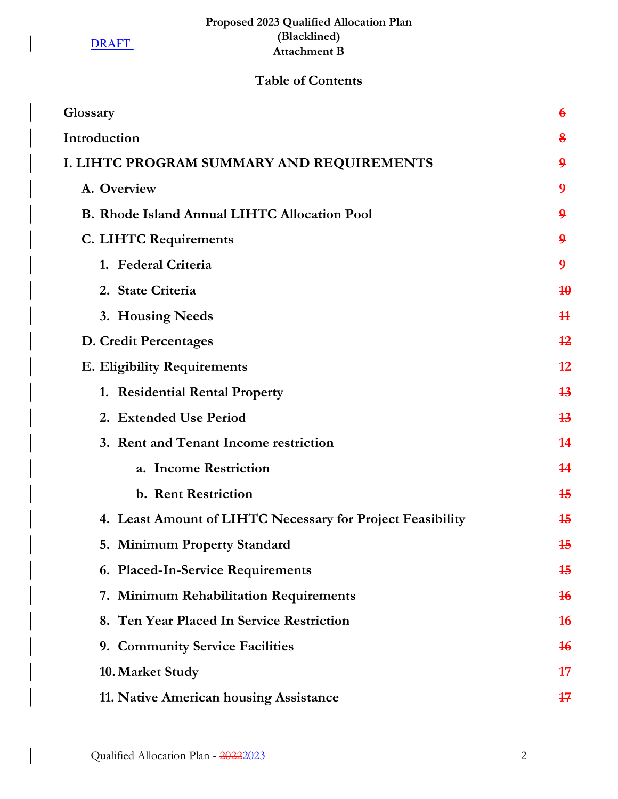$\begin{array}{c} \hline \end{array}$ 

 $\overline{\phantom{a}}$ 

# **Table of Contents**

| Glossary                                                   | $\boldsymbol{6}$ |
|------------------------------------------------------------|------------------|
| Introduction                                               | 8                |
| I. LIHTC PROGRAM SUMMARY AND REQUIREMENTS                  | $\boldsymbol{9}$ |
| A. Overview                                                | $\boldsymbol{9}$ |
| <b>B. Rhode Island Annual LIHTC Allocation Pool</b>        | $\boldsymbol{9}$ |
| C. LIHTC Requirements                                      | $\boldsymbol{9}$ |
| 1. Federal Criteria                                        | $\boldsymbol{9}$ |
| 2. State Criteria                                          | 40               |
| 3. Housing Needs                                           | $\bf{11}$        |
| D. Credit Percentages                                      | 12               |
| <b>E. Eligibility Requirements</b>                         | $\overline{12}$  |
| 1. Residential Rental Property                             | 13               |
| 2. Extended Use Period                                     | 13               |
| 3. Rent and Tenant Income restriction                      | 14               |
| a. Income Restriction                                      | 14               |
| b. Rent Restriction                                        | 15               |
| 4. Least Amount of LIHTC Necessary for Project Feasibility | 15               |
| 5. Minimum Property Standard                               | 15               |
| 6. Placed-In-Service Requirements                          | 15               |
| 7. Minimum Rehabilitation Requirements                     | 16               |
| 8. Ten Year Placed In Service Restriction                  | 16               |
| 9. Community Service Facilities                            | 16               |
| 10. Market Study                                           | 17               |
| 11. Native American housing Assistance                     | $17\,$           |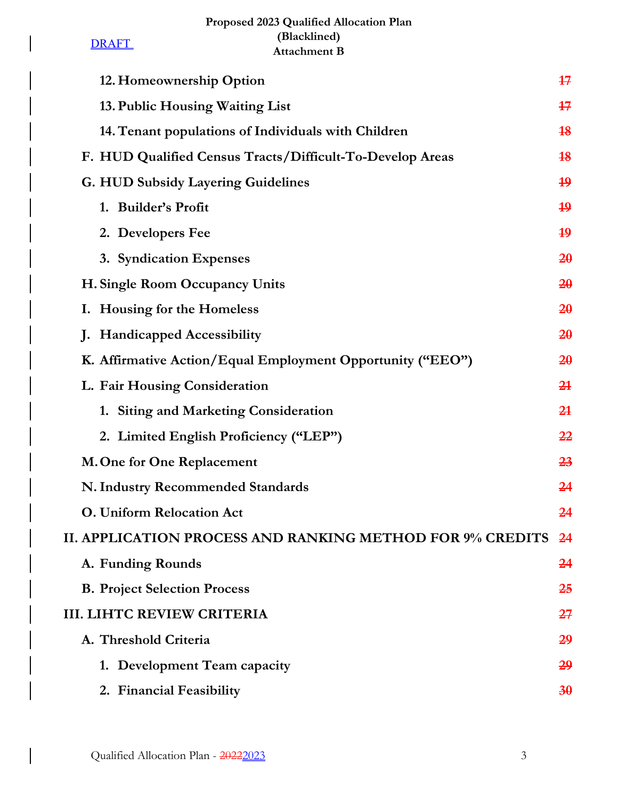# **Proposed 2023 Qualified Allocation Plan (Blacklined) Attachment B**

**DRAFT** 

 $\overline{\phantom{a}}$ 

 $\begin{array}{c} \hline \end{array}$ 

| 12. Homeownership Option                                         | 17             |
|------------------------------------------------------------------|----------------|
| 13. Public Housing Waiting List                                  | 17             |
| 14. Tenant populations of Individuals with Children              | 18             |
| F. HUD Qualified Census Tracts/Difficult-To-Develop Areas        | 18             |
| <b>G. HUD Subsidy Layering Guidelines</b>                        | 19             |
| 1. Builder's Profit                                              | 19             |
| 2. Developers Fee                                                | 19             |
| 3. Syndication Expenses                                          | 20             |
| H. Single Room Occupancy Units                                   | 20             |
| I. Housing for the Homeless                                      | 20             |
| J. Handicapped Accessibility                                     | 20             |
| K. Affirmative Action/Equal Employment Opportunity ("EEO")       | 20             |
| L. Fair Housing Consideration                                    | 2 <sub>1</sub> |
| 1. Siting and Marketing Consideration                            | 2 <sub>1</sub> |
| 2. Limited English Proficiency ("LEP")                           | 22             |
| M. One for One Replacement                                       | 23             |
| N. Industry Recommended Standards                                | 24             |
| <b>O. Uniform Relocation Act</b>                                 | 24             |
| <b>II. APPLICATION PROCESS AND RANKING METHOD FOR 9% CREDITS</b> | 24             |
| A. Funding Rounds                                                | 24             |
| <b>B. Project Selection Process</b>                              | 25             |
| <b>III. LIHTC REVIEW CRITERIA</b>                                | <del>27</del>  |
| A. Threshold Criteria                                            | 29             |
| 1. Development Team capacity                                     | 29             |
| 2. Financial Feasibility                                         | 30             |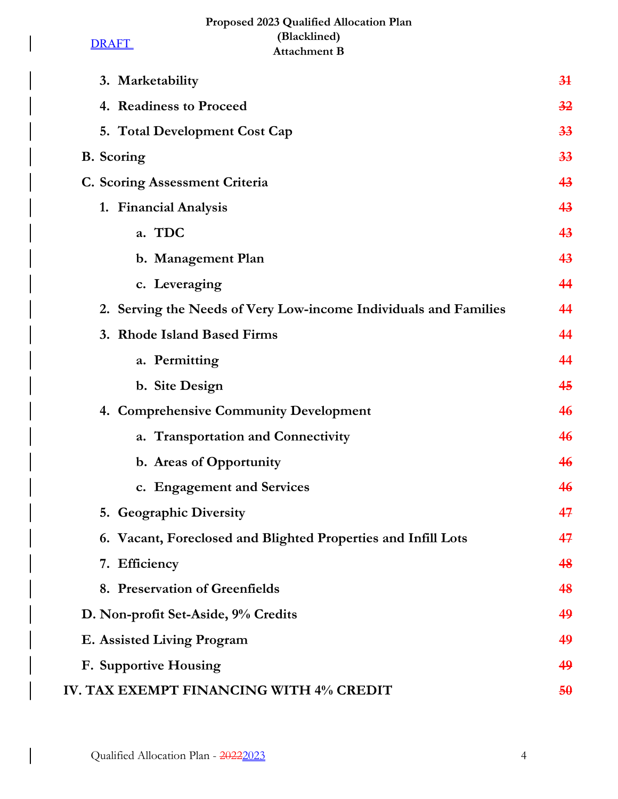# **Proposed 2023 Qualified Allocation Plan (Blacklined) Attachment B**

**DRAFT** 

 $\overline{\phantom{a}}$ 

 $\begin{array}{c} \hline \end{array}$ 

| 3. Marketability                                                 | 34 |
|------------------------------------------------------------------|----|
| 4. Readiness to Proceed                                          | 32 |
| 5. Total Development Cost Cap                                    | 33 |
| <b>B.</b> Scoring                                                | 33 |
| C. Scoring Assessment Criteria                                   | 43 |
| 1. Financial Analysis                                            | 43 |
| a. TDC                                                           | 43 |
| b. Management Plan                                               | 43 |
| c. Leveraging                                                    | 44 |
| 2. Serving the Needs of Very Low-income Individuals and Families | 44 |
| 3. Rhode Island Based Firms                                      | 44 |
| a. Permitting                                                    | 44 |
| b. Site Design                                                   | 45 |
| 4. Comprehensive Community Development                           | 46 |
| a. Transportation and Connectivity                               | 46 |
| b. Areas of Opportunity                                          | 46 |
| c. Engagement and Services                                       | 46 |
| 5. Geographic Diversity                                          | 47 |
| 6. Vacant, Foreclosed and Blighted Properties and Infill Lots    | 47 |
| 7. Efficiency                                                    | 48 |
| 8. Preservation of Greenfields                                   | 48 |
| D. Non-profit Set-Aside, 9% Credits                              | 49 |
| E. Assisted Living Program                                       | 49 |
| F. Supportive Housing                                            | 49 |
| IV. TAX EXEMPT FINANCING WITH 4% CREDIT                          | 50 |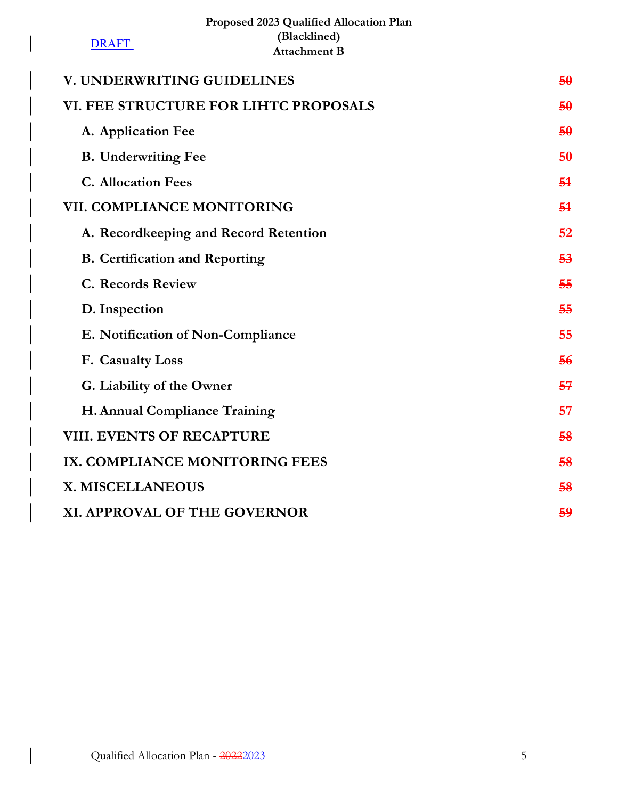|                                       | Proposed 2023 Qualified Allocation Plan |    |
|---------------------------------------|-----------------------------------------|----|
| <b>DRAFT</b>                          | (Blacklined)<br><b>Attachment B</b>     |    |
| V. UNDERWRITING GUIDELINES            |                                         | 50 |
|                                       | VI. FEE STRUCTURE FOR LIHTC PROPOSALS   | 50 |
| A. Application Fee                    |                                         | 50 |
| <b>B.</b> Underwriting Fee            |                                         | 50 |
| <b>C.</b> Allocation Fees             |                                         | 54 |
| <b>VII. COMPLIANCE MONITORING</b>     |                                         | 54 |
|                                       | A. Recordkeeping and Record Retention   | 52 |
| <b>B.</b> Certification and Reporting |                                         | 53 |
| <b>C. Records Review</b>              |                                         | 55 |
| D. Inspection                         |                                         | 55 |
| E. Notification of Non-Compliance     |                                         | 55 |
| F. Casualty Loss                      |                                         | 56 |
| G. Liability of the Owner             |                                         | 57 |
| H. Annual Compliance Training         |                                         | 57 |
| <b>VIII. EVENTS OF RECAPTURE</b>      |                                         | 58 |
| IX. COMPLIANCE MONITORING FEES        |                                         | 58 |
| X. MISCELLANEOUS                      |                                         | 58 |
| XI. APPROVAL OF THE GOVERNOR          |                                         | 59 |

 $\begin{array}{c} \hline \end{array}$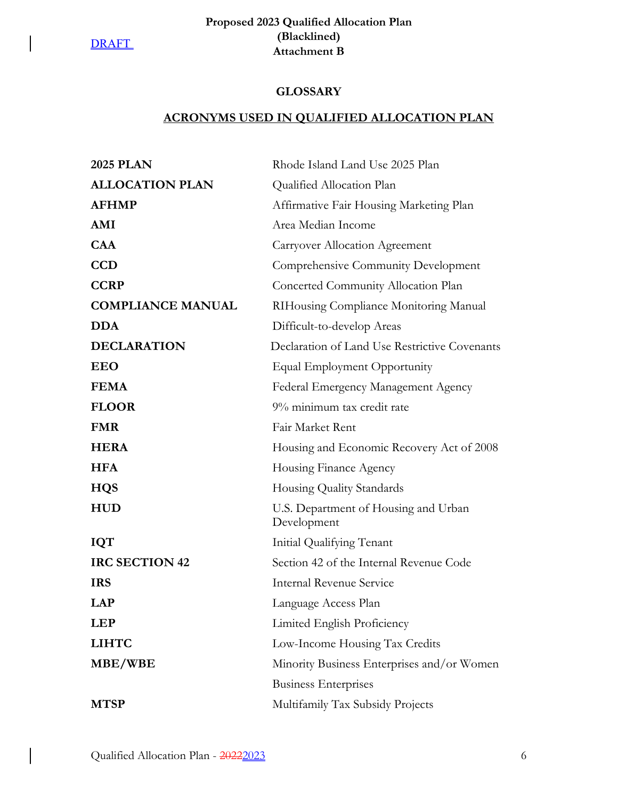$\overline{\phantom{a}}$ 

 $\overline{\phantom{a}}$ 

# **Proposed 2023 Qualified Allocation Plan (Blacklined) Attachment B**

# **GLOSSARY**

# **ACRONYMS USED IN QUALIFIED ALLOCATION PLAN**

| <b>2025 PLAN</b>         | Rhode Island Land Use 2025 Plan                     |
|--------------------------|-----------------------------------------------------|
| <b>ALLOCATION PLAN</b>   | Qualified Allocation Plan                           |
| <b>AFHMP</b>             | Affirmative Fair Housing Marketing Plan             |
| AMI                      | Area Median Income                                  |
| <b>CAA</b>               | <b>Carryover Allocation Agreement</b>               |
| <b>CCD</b>               | Comprehensive Community Development                 |
| <b>CCRP</b>              | Concerted Community Allocation Plan                 |
| <b>COMPLIANCE MANUAL</b> | RIHousing Compliance Monitoring Manual              |
| <b>DDA</b>               | Difficult-to-develop Areas                          |
| <b>DECLARATION</b>       | Declaration of Land Use Restrictive Covenants       |
| <b>EEO</b>               | Equal Employment Opportunity                        |
| <b>FEMA</b>              | Federal Emergency Management Agency                 |
| <b>FLOOR</b>             | 9% minimum tax credit rate                          |
| <b>FMR</b>               | Fair Market Rent                                    |
| <b>HERA</b>              | Housing and Economic Recovery Act of 2008           |
| <b>HFA</b>               | Housing Finance Agency                              |
| <b>HQS</b>               | Housing Quality Standards                           |
| <b>HUD</b>               | U.S. Department of Housing and Urban<br>Development |
| <b>IQT</b>               | Initial Qualifying Tenant                           |
| <b>IRC SECTION 42</b>    | Section 42 of the Internal Revenue Code             |
| <b>IRS</b>               | Internal Revenue Service                            |
| <b>LAP</b>               | Language Access Plan                                |
| <b>LEP</b>               | Limited English Proficiency                         |
| <b>LIHTC</b>             | Low-Income Housing Tax Credits                      |
| MBE/WBE                  | Minority Business Enterprises and/or Women          |
|                          | <b>Business Enterprises</b>                         |
| <b>MTSP</b>              | Multifamily Tax Subsidy Projects                    |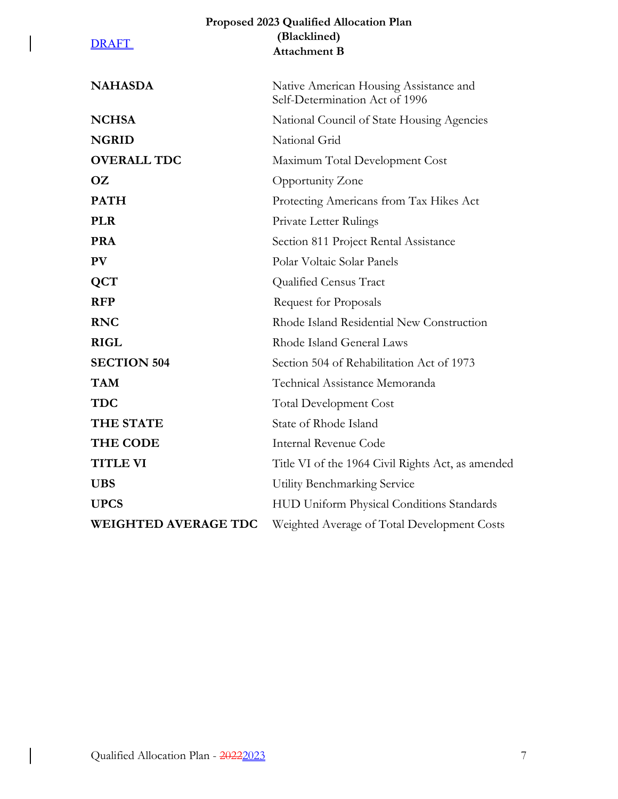|                             | Proposed 2023 Qualified Allocation Plan                                  |
|-----------------------------|--------------------------------------------------------------------------|
| <b>DRAFT</b>                | (Blacklined)                                                             |
|                             | <b>Attachment B</b>                                                      |
| <b>NAHASDA</b>              | Native American Housing Assistance and<br>Self-Determination Act of 1996 |
| <b>NCHSA</b>                | National Council of State Housing Agencies                               |
| <b>NGRID</b>                | National Grid                                                            |
| <b>OVERALL TDC</b>          | Maximum Total Development Cost                                           |
| OZ.                         | Opportunity Zone                                                         |
| <b>PATH</b>                 | Protecting Americans from Tax Hikes Act                                  |
| <b>PLR</b>                  | Private Letter Rulings                                                   |
| <b>PRA</b>                  | Section 811 Project Rental Assistance                                    |
| <b>PV</b>                   | Polar Voltaic Solar Panels                                               |
| <b>QCT</b>                  | Qualified Census Tract                                                   |
| <b>RFP</b>                  | <b>Request for Proposals</b>                                             |
| <b>RNC</b>                  | Rhode Island Residential New Construction                                |
| <b>RIGL</b>                 | Rhode Island General Laws                                                |
| <b>SECTION 504</b>          | Section 504 of Rehabilitation Act of 1973                                |
| <b>TAM</b>                  | Technical Assistance Memoranda                                           |
| <b>TDC</b>                  | Total Development Cost                                                   |
| <b>THE STATE</b>            | State of Rhode Island                                                    |
| <b>THE CODE</b>             | <b>Internal Revenue Code</b>                                             |
| <b>TITLE VI</b>             | Title VI of the 1964 Civil Rights Act, as amended                        |
| <b>UBS</b>                  | Utility Benchmarking Service                                             |
| <b>UPCS</b>                 | HUD Uniform Physical Conditions Standards                                |
| <b>WEIGHTED AVERAGE TDC</b> | Weighted Average of Total Development Costs                              |

 $\bigg\}$ 

 $\big\vert$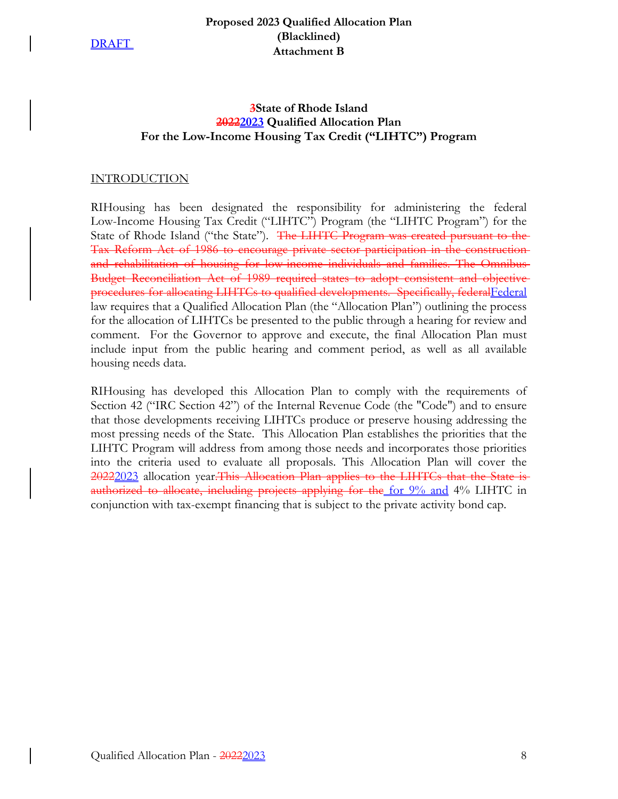### **Proposed 2023 Qualified Allocation Plan (Blacklined) Attachment B**

# **3State of Rhode Island 20222023 Qualified Allocation Plan For the Low-Income Housing Tax Credit ("LIHTC") Program**

### INTRODUCTION

RIHousing has been designated the responsibility for administering the federal Low-Income Housing Tax Credit ("LIHTC") Program (the "LIHTC Program") for the State of Rhode Island ("the State"). The LIHTC Program was created pursuant to the Tax Reform Act of 1986 to encourage private sector participation in the construction and rehabilitation of housing for low-income individuals and families. The Omnibus Budget Reconciliation Act of 1989 required states to adopt consistent and objective procedures for allocating LIHTCs to qualified developments. Specifically, federal Federal law requires that a Qualified Allocation Plan (the "Allocation Plan") outlining the process for the allocation of LIHTCs be presented to the public through a hearing for review and comment. For the Governor to approve and execute, the final Allocation Plan must include input from the public hearing and comment period, as well as all available housing needs data.

RIHousing has developed this Allocation Plan to comply with the requirements of Section 42 ("IRC Section 42") of the Internal Revenue Code (the "Code") and to ensure that those developments receiving LIHTCs produce or preserve housing addressing the most pressing needs of the State. This Allocation Plan establishes the priorities that the LIHTC Program will address from among those needs and incorporates those priorities into the criteria used to evaluate all proposals. This Allocation Plan will cover the 20222023 allocation year. This Allocation Plan applies to the LIHTCs that the State is authorized to allocate, including projects applying for the for 9% and 4% LIHTC in conjunction with tax-exempt financing that is subject to the private activity bond cap.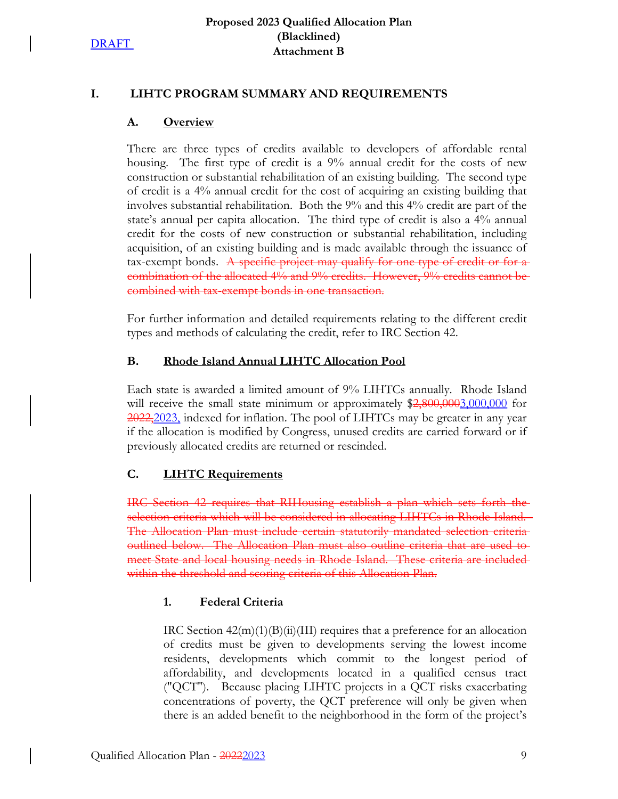# **I. LIHTC PROGRAM SUMMARY AND REQUIREMENTS**

### **A. Overview**

There are three types of credits available to developers of affordable rental housing. The first type of credit is a 9% annual credit for the costs of new construction or substantial rehabilitation of an existing building. The second type of credit is a 4% annual credit for the cost of acquiring an existing building that involves substantial rehabilitation. Both the 9% and this 4% credit are part of the state's annual per capita allocation. The third type of credit is also a 4% annual credit for the costs of new construction or substantial rehabilitation, including acquisition, of an existing building and is made available through the issuance of tax-exempt bonds. A specific project may qualify for one type of credit or for a combination of the allocated 4% and 9% credits. However, 9% credits cannot be combined with tax-exempt bonds in one transaction.

For further information and detailed requirements relating to the different credit types and methods of calculating the credit, refer to IRC Section 42.

# **B. Rhode Island Annual LIHTC Allocation Pool**

Each state is awarded a limited amount of 9% LIHTCs annually. Rhode Island will receive the small state minimum or approximately \$2,800,0003,000,000 for 2022, 2023, indexed for inflation. The pool of LIHTCs may be greater in any year if the allocation is modified by Congress, unused credits are carried forward or if previously allocated credits are returned or rescinded.

# **C. LIHTC Requirements**

IRC Section 42 requires that RIHousing establish a plan which sets forth the selection criteria which will be considered in allocating LIHTCs in Rhode Island. The Allocation Plan must include certain statutorily mandated selection criteria outlined below. The Allocation Plan must also outline criteria that are used to meet State and local housing needs in Rhode Island. These criteria are included within the threshold and scoring criteria of this Allocation Plan.

# **1. Federal Criteria**

IRC Section  $42(m)(1)(B)(ii)(III)$  requires that a preference for an allocation of credits must be given to developments serving the lowest income residents, developments which commit to the longest period of affordability, and developments located in a qualified census tract ("QCT"). Because placing LIHTC projects in a QCT risks exacerbating concentrations of poverty, the QCT preference will only be given when there is an added benefit to the neighborhood in the form of the project's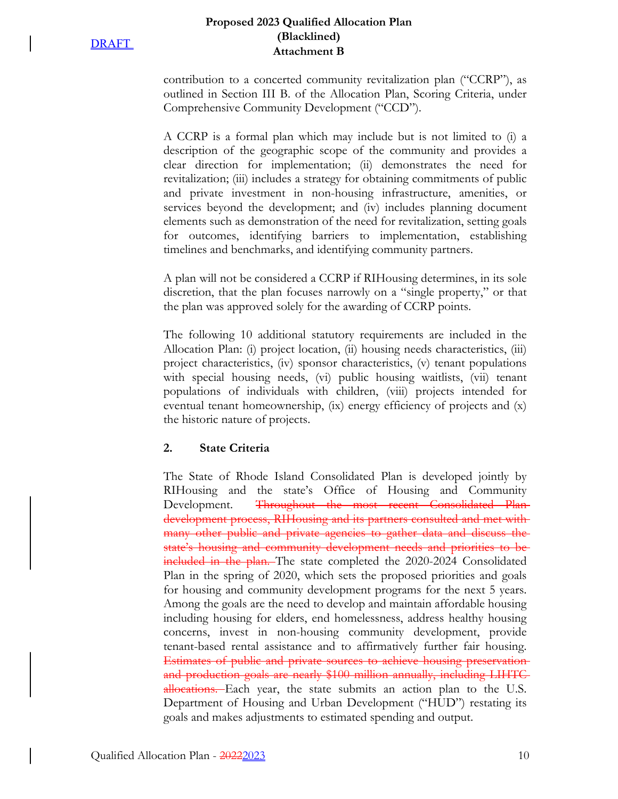### **Proposed 2023 Qualified Allocation Plan (Blacklined) Attachment B**

contribution to a concerted community revitalization plan ("CCRP"), as outlined in Section III B. of the Allocation Plan, Scoring Criteria, under Comprehensive Community Development ("CCD").

A CCRP is a formal plan which may include but is not limited to (i) a description of the geographic scope of the community and provides a clear direction for implementation; (ii) demonstrates the need for revitalization; (iii) includes a strategy for obtaining commitments of public and private investment in non-housing infrastructure, amenities, or services beyond the development; and (iv) includes planning document elements such as demonstration of the need for revitalization, setting goals for outcomes, identifying barriers to implementation, establishing timelines and benchmarks, and identifying community partners.

A plan will not be considered a CCRP if RIHousing determines, in its sole discretion, that the plan focuses narrowly on a "single property," or that the plan was approved solely for the awarding of CCRP points.

The following 10 additional statutory requirements are included in the Allocation Plan: (i) project location, (ii) housing needs characteristics, (iii) project characteristics, (iv) sponsor characteristics, (v) tenant populations with special housing needs, (vi) public housing waitlists, (vii) tenant populations of individuals with children, (viii) projects intended for eventual tenant homeownership, (ix) energy efficiency of projects and (x) the historic nature of projects.

# **2. State Criteria**

The State of Rhode Island Consolidated Plan is developed jointly by RIHousing and the state's Office of Housing and Community Development. Throughout the most recent Consolidated Plandevelopment process, RIHousing and its partners consulted and met with many other public and private agencies to gather data and discuss the state's housing and community development needs and priorities to be included in the plan. The state completed the 2020-2024 Consolidated Plan in the spring of 2020, which sets the proposed priorities and goals for housing and community development programs for the next 5 years. Among the goals are the need to develop and maintain affordable housing including housing for elders, end homelessness, address healthy housing concerns, invest in non-housing community development, provide tenant-based rental assistance and to affirmatively further fair housing. Estimates of public and private sources to achieve housing preservation and production goals are nearly \$100 million annually, including LIHTC allocations. Each year, the state submits an action plan to the U.S. Department of Housing and Urban Development ("HUD") restating its goals and makes adjustments to estimated spending and output.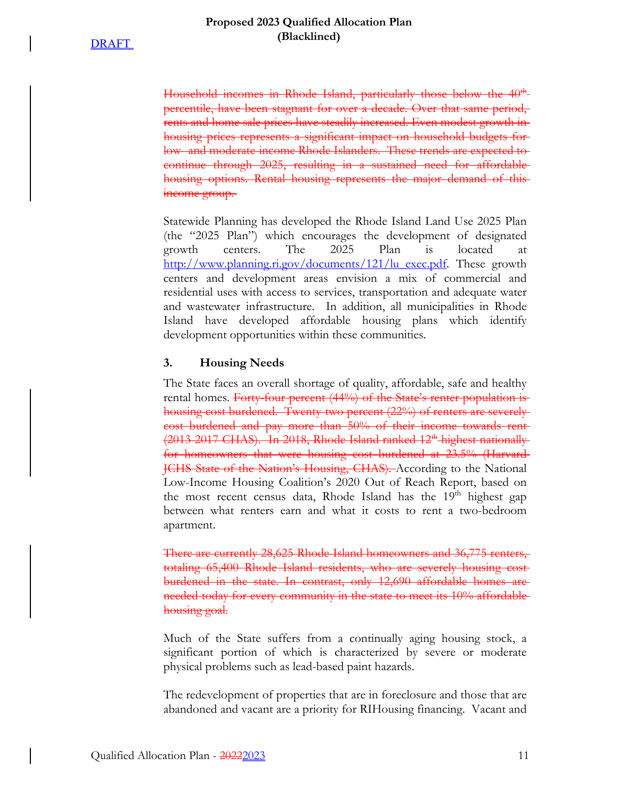Household incomes in Rhode Island, particularly those below the 40<sup>th</sup> percentile, have been stagnant for over a decade. Over that same period, rents and home sale prices have steadily increased. Even modest growth in housing prices represents a significant impact on household budgets forlow- and moderate-income Rhode Islanders. These trends are expected to continue through 2025, resulting in a sustained need for affordable housing options. Rental housing represents the major demand of this income group.

Statewide Planning has developed the Rhode Island Land Use 2025 Plan (the "2025 Plan") which encourages the development of designated growth centers. The 2025 Plan is located at http://www.planning.ri.gov/documents/121/lu\_exec.pdf. These growth centers and development areas envision a mix of commercial and residential uses with access to services, transportation and adequate water and wastewater infrastructure. In addition, all municipalities in Rhode Island have developed affordable housing plans which identify development opportunities within these communities.

#### **3. Housing Needs**

The State faces an overall shortage of quality, affordable, safe and healthy rental homes. Forty-four percent (44%) of the State's renter population ishousing cost burdened. Twenty-two percent (22%) of renters are severely cost burdened and pay more than 50% of their income towards rent (2013-2017 CHAS). In 2018, Rhode Island ranked 12<sup>th</sup> highest nationally for homeowners that were housing cost burdened at 23.5% (Harvard JCHS State of the Nation's Housing, CHAS). According to the National Low-Income Housing Coalition's 2020 Out of Reach Report, based on the most recent census data, Rhode Island has the 19<sup>th</sup> highest gap between what renters earn and what it costs to rent a two-bedroom apartment.

There are currently 28,625 Rhode Island homeowners and 36,775 renters, totaling 65,400 Rhode Island residents, who are severely housing cost burdened in the state. In contrast, only 12,690 affordable homes are needed today for every community in the state to meet its 10% affordable housing goal.

Much of the State suffers from a continually aging housing stock, a significant portion of which is characterized by severe or moderate physical problems such as lead-based paint hazards.

The redevelopment of properties that are in foreclosure and those that are abandoned and vacant are a priority for RIHousing financing. Vacant and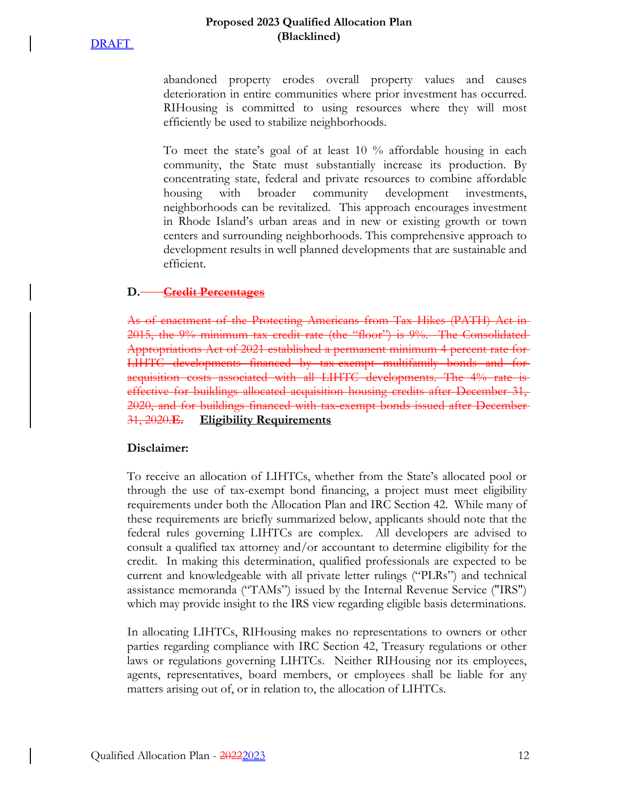#### **Proposed 2023 Qualified Allocation Plan (Blacklined)**

abandoned property erodes overall property values and causes deterioration in entire communities where prior investment has occurred. RIHousing is committed to using resources where they will most efficiently be used to stabilize neighborhoods.

To meet the state's goal of at least 10 % affordable housing in each community, the State must substantially increase its production. By concentrating state, federal and private resources to combine affordable housing with broader community development investments, neighborhoods can be revitalized. This approach encourages investment in Rhode Island's urban areas and in new or existing growth or town centers and surrounding neighborhoods. This comprehensive approach to development results in well planned developments that are sustainable and efficient.

### **D. Credit Percentages**

As of enactment of the Protecting Americans from Tax Hikes (PATH) Act in 2015, the 9% minimum tax credit rate (the "floor") is 9%. The Consolidated Appropriations Act of 2021 established a permanent minimum 4 percent rate for LIHTC developments financed by tax-exempt multifamily bonds and for acquisition costs associated with all LIHTC developments. The 4% rate is effective for buildings allocated acquisition housing credits after December 31, 2020, and for buildings financed with tax-exempt bonds issued after December 31, 2020.**E. Eligibility Requirements**

### **Disclaimer:**

To receive an allocation of LIHTCs, whether from the State's allocated pool or through the use of tax-exempt bond financing, a project must meet eligibility requirements under both the Allocation Plan and IRC Section 42. While many of these requirements are briefly summarized below, applicants should note that the federal rules governing LIHTCs are complex. All developers are advised to consult a qualified tax attorney and/or accountant to determine eligibility for the credit. In making this determination, qualified professionals are expected to be current and knowledgeable with all private letter rulings ("PLRs") and technical assistance memoranda ("TAMs") issued by the Internal Revenue Service ("IRS") which may provide insight to the IRS view regarding eligible basis determinations.

In allocating LIHTCs, RIHousing makes no representations to owners or other parties regarding compliance with IRC Section 42, Treasury regulations or other laws or regulations governing LIHTCs. Neither RIHousing nor its employees, agents, representatives, board members, or employees shall be liable for any matters arising out of, or in relation to, the allocation of LIHTCs.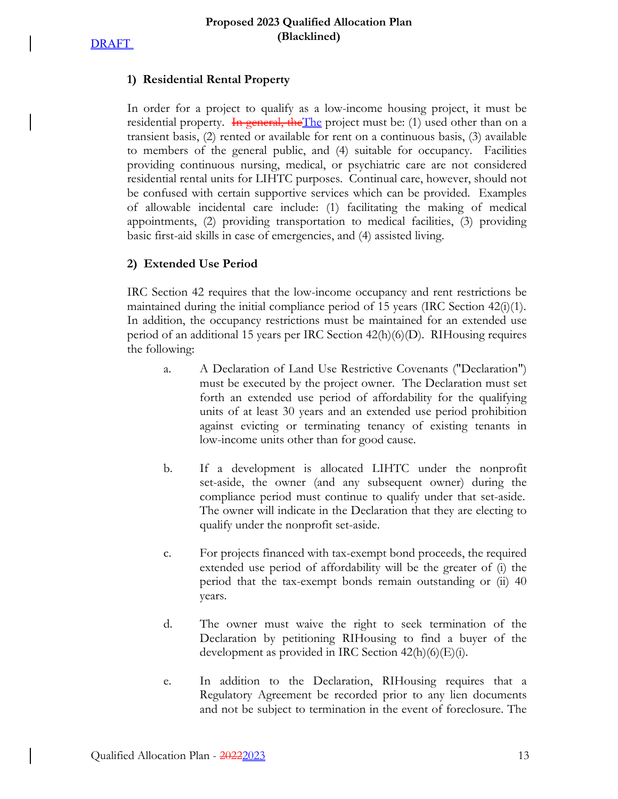

### **1) Residential Rental Property**

In order for a project to qualify as a low-income housing project, it must be residential property. In general, the The project must be: (1) used other than on a transient basis, (2) rented or available for rent on a continuous basis, (3) available to members of the general public, and (4) suitable for occupancy. Facilities providing continuous nursing, medical, or psychiatric care are not considered residential rental units for LIHTC purposes. Continual care, however, should not be confused with certain supportive services which can be provided. Examples of allowable incidental care include: (1) facilitating the making of medical appointments, (2) providing transportation to medical facilities, (3) providing basic first-aid skills in case of emergencies, and (4) assisted living.

### **2) Extended Use Period**

IRC Section 42 requires that the low-income occupancy and rent restrictions be maintained during the initial compliance period of 15 years (IRC Section  $42(i)(1)$ . In addition, the occupancy restrictions must be maintained for an extended use period of an additional 15 years per IRC Section 42(h)(6)(D). RIHousing requires the following:

- a. A Declaration of Land Use Restrictive Covenants ("Declaration") must be executed by the project owner. The Declaration must set forth an extended use period of affordability for the qualifying units of at least 30 years and an extended use period prohibition against evicting or terminating tenancy of existing tenants in low-income units other than for good cause.
- b. If a development is allocated LIHTC under the nonprofit set-aside, the owner (and any subsequent owner) during the compliance period must continue to qualify under that set-aside. The owner will indicate in the Declaration that they are electing to qualify under the nonprofit set-aside.
- c. For projects financed with tax-exempt bond proceeds, the required extended use period of affordability will be the greater of (i) the period that the tax-exempt bonds remain outstanding or (ii) 40 years.
- d. The owner must waive the right to seek termination of the Declaration by petitioning RIHousing to find a buyer of the development as provided in IRC Section  $42(h)(6)(E)(i)$ .
- e. In addition to the Declaration, RIHousing requires that a Regulatory Agreement be recorded prior to any lien documents and not be subject to termination in the event of foreclosure. The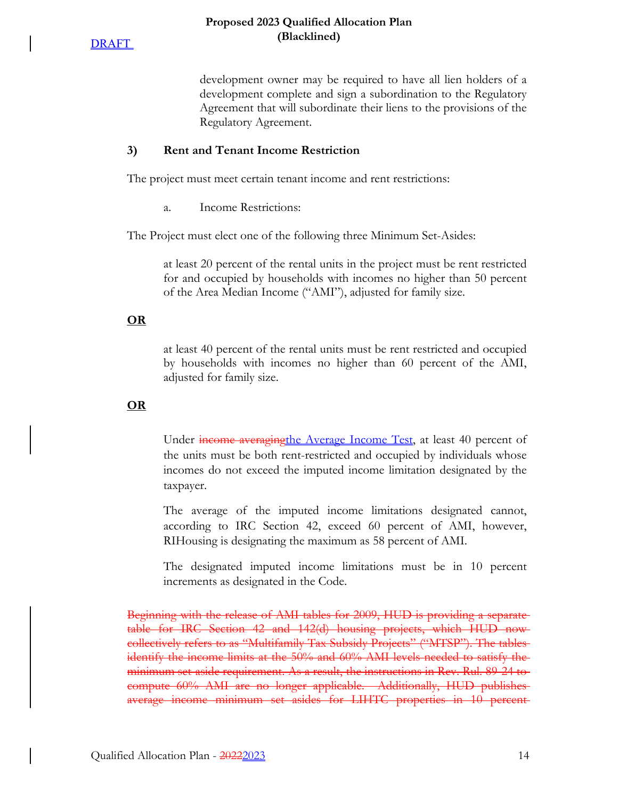

development owner may be required to have all lien holders of a development complete and sign a subordination to the Regulatory Agreement that will subordinate their liens to the provisions of the Regulatory Agreement.

### **3) Rent and Tenant Income Restriction**

The project must meet certain tenant income and rent restrictions:

a. Income Restrictions:

The Project must elect one of the following three Minimum Set-Asides:

at least 20 percent of the rental units in the project must be rent restricted for and occupied by households with incomes no higher than 50 percent of the Area Median Income ("AMI"), adjusted for family size.

### **OR**

at least 40 percent of the rental units must be rent restricted and occupied by households with incomes no higher than 60 percent of the AMI, adjusted for family size.

**OR**

Under income averaging the Average Income Test, at least 40 percent of the units must be both rent-restricted and occupied by individuals whose incomes do not exceed the imputed income limitation designated by the taxpayer.

The average of the imputed income limitations designated cannot, according to IRC Section 42, exceed 60 percent of AMI, however, RIHousing is designating the maximum as 58 percent of AMI.

The designated imputed income limitations must be in 10 percent increments as designated in the Code.

Beginning with the release of AMI tables for 2009, HUD is providing a separate table for IRC Section 42 and 142(d) housing projects, which HUD now collectively refers to as "Multifamily Tax Subsidy Projects" ("MTSP"). The tables identify the income limits at the 50% and 60% AMI levels needed to satisfy the minimum set-aside requirement. As a result, the instructions in Rev. Rul. 89-24 to compute 60% AMI are no longer applicable. Additionally, HUD publishes average income minimum set asides for LIHTC properties in 10 percent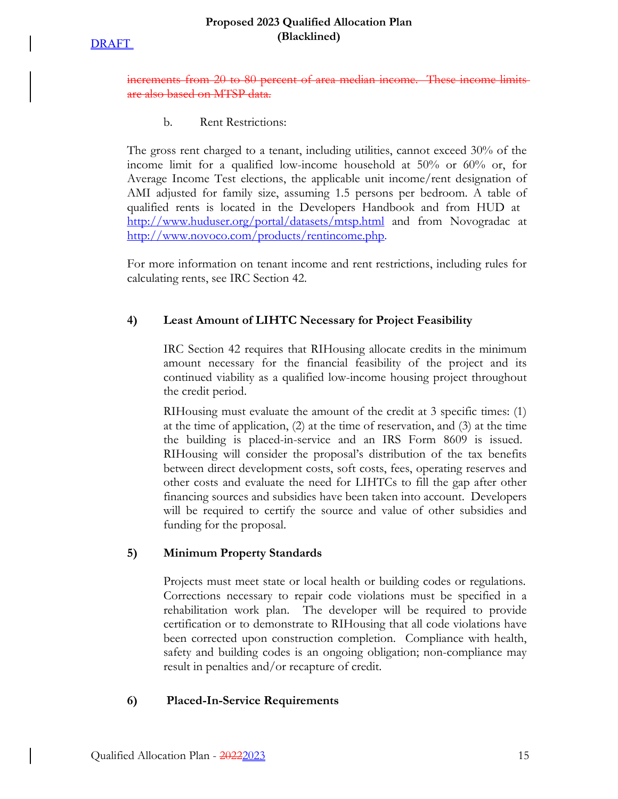### **Proposed 2023 Qualified Allocation Plan (Blacklined)**

increments from 20 to 80 percent of area median income. These income limits also based on MTSP data.

b. Rent Restrictions:

The gross rent charged to a tenant, including utilities, cannot exceed 30% of the income limit for a qualified low-income household at 50% or 60% or, for Average Income Test elections, the applicable unit income/rent designation of AMI adjusted for family size, assuming 1.5 persons per bedroom. A table of qualified rents is located in the Developers Handbook and from HUD at http://www.huduser.org/portal/datasets/mtsp.html and from Novogradac at http://www.novoco.com/products/rentincome.php.

For more information on tenant income and rent restrictions, including rules for calculating rents, see IRC Section 42.

# **4) Least Amount of LIHTC Necessary for Project Feasibility**

IRC Section 42 requires that RIHousing allocate credits in the minimum amount necessary for the financial feasibility of the project and its continued viability as a qualified low-income housing project throughout the credit period.

RIHousing must evaluate the amount of the credit at 3 specific times: (1) at the time of application, (2) at the time of reservation, and (3) at the time the building is placed-in-service and an IRS Form 8609 is issued. RIHousing will consider the proposal's distribution of the tax benefits between direct development costs, soft costs, fees, operating reserves and other costs and evaluate the need for LIHTCs to fill the gap after other financing sources and subsidies have been taken into account. Developers will be required to certify the source and value of other subsidies and funding for the proposal.

# **5) Minimum Property Standards**

Projects must meet state or local health or building codes or regulations. Corrections necessary to repair code violations must be specified in a rehabilitation work plan. The developer will be required to provide certification or to demonstrate to RIHousing that all code violations have been corrected upon construction completion. Compliance with health, safety and building codes is an ongoing obligation; non-compliance may result in penalties and/or recapture of credit.

# **6) Placed-In-Service Requirements**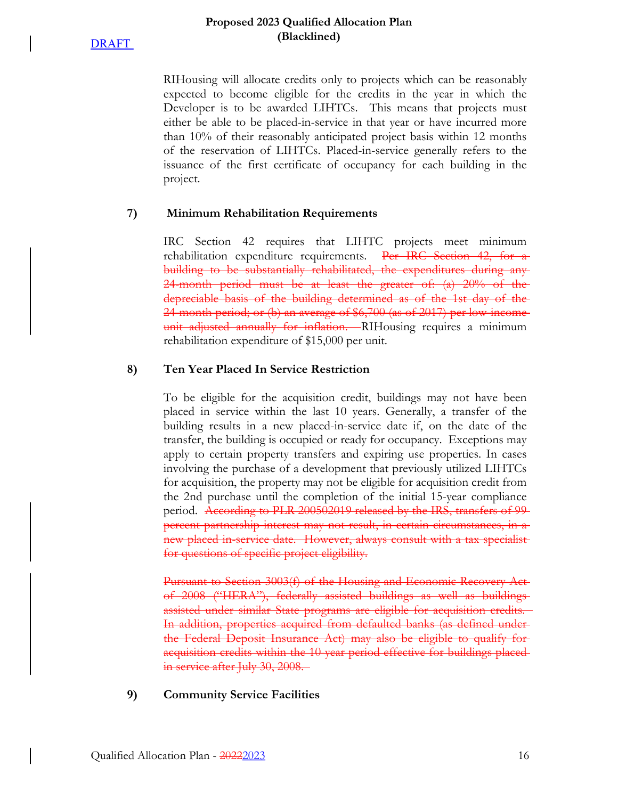#### **Proposed 2023 Qualified Allocation Plan (Blacklined)**

RIHousing will allocate credits only to projects which can be reasonably expected to become eligible for the credits in the year in which the Developer is to be awarded LIHTCs. This means that projects must either be able to be placed-in-service in that year or have incurred more than 10% of their reasonably anticipated project basis within 12 months of the reservation of LIHTCs. Placed-in-service generally refers to the issuance of the first certificate of occupancy for each building in the project.

### **7) Minimum Rehabilitation Requirements**

IRC Section 42 requires that LIHTC projects meet minimum rehabilitation expenditure requirements. Per IRC Section 42, for building to be substantially rehabilitated, the expenditures during any 24-month period must be at least the greater of: (a) 20% of the depreciable basis of the building determined as of the 1st day of the 24-month period; or (b) an average of \$6,700 (as of 2017) per low-income unit adjusted annually for inflation. RIHousing requires a minimum rehabilitation expenditure of \$15,000 per unit.

#### **8) Ten Year Placed In Service Restriction**

To be eligible for the acquisition credit, buildings may not have been placed in service within the last 10 years. Generally, a transfer of the building results in a new placed-in-service date if, on the date of the transfer, the building is occupied or ready for occupancy. Exceptions may apply to certain property transfers and expiring use properties. In cases involving the purchase of a development that previously utilized LIHTCs for acquisition, the property may not be eligible for acquisition credit from the 2nd purchase until the completion of the initial 15-year compliance period. According to PLR 200502019 released by the IRS, transfers of 99percent partnership interest may not result, in certain circumstances, in a new placed in-service date. However, always consult with a tax specialist for questions of specific project eligibility.

Pursuant to Section 3003(f) of the Housing and Economic Recovery Act of 2008 ("HERA"), federally assisted buildings as well as buildings assisted under similar State programs are eligible for acquisition credits. In addition, properties acquired from defaulted banks (as defined under the Federal Deposit Insurance Act) may also be eligible to qualify for acquisition credits within the 10-year period effective for buildings placed in service after July 30, 2008.

**9) Community Service Facilities**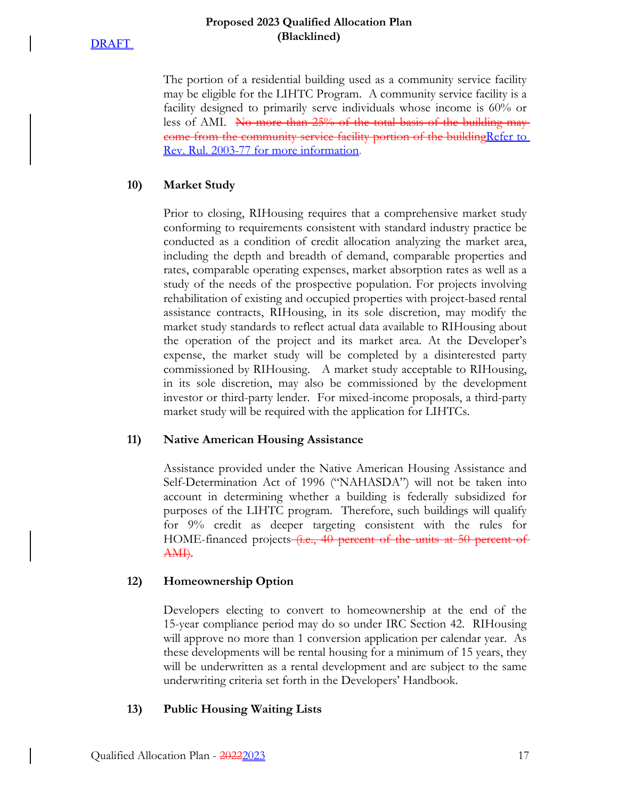The portion of a residential building used as a community service facility may be eligible for the LIHTC Program. A community service facility is a facility designed to primarily serve individuals whose income is 60% or less of AMI. No more than 25% of the total basis of the building maycome from the community service facility portion of the building Refer to Rev. Rul. 2003-77 for more information.

# **10) Market Study**

Prior to closing, RIHousing requires that a comprehensive market study conforming to requirements consistent with standard industry practice be conducted as a condition of credit allocation analyzing the market area, including the depth and breadth of demand, comparable properties and rates, comparable operating expenses, market absorption rates as well as a study of the needs of the prospective population. For projects involving rehabilitation of existing and occupied properties with project-based rental assistance contracts, RIHousing, in its sole discretion, may modify the market study standards to reflect actual data available to RIHousing about the operation of the project and its market area. At the Developer's expense, the market study will be completed by a disinterested party commissioned by RIHousing. A market study acceptable to RIHousing, in its sole discretion, may also be commissioned by the development investor or third-party lender. For mixed-income proposals, a third-party market study will be required with the application for LIHTCs.

# **11) Native American Housing Assistance**

Assistance provided under the Native American Housing Assistance and Self-Determination Act of 1996 ("NAHASDA") will not be taken into account in determining whether a building is federally subsidized for purposes of the LIHTC program. Therefore, such buildings will qualify for 9% credit as deeper targeting consistent with the rules for HOME-financed projects (i.e., 40 percent of the units at 50 percent of AMI).

# **12) Homeownership Option**

Developers electing to convert to homeownership at the end of the 15-year compliance period may do so under IRC Section 42. RIHousing will approve no more than 1 conversion application per calendar year. As these developments will be rental housing for a minimum of 15 years, they will be underwritten as a rental development and are subject to the same underwriting criteria set forth in the Developers' Handbook.

# **13) Public Housing Waiting Lists**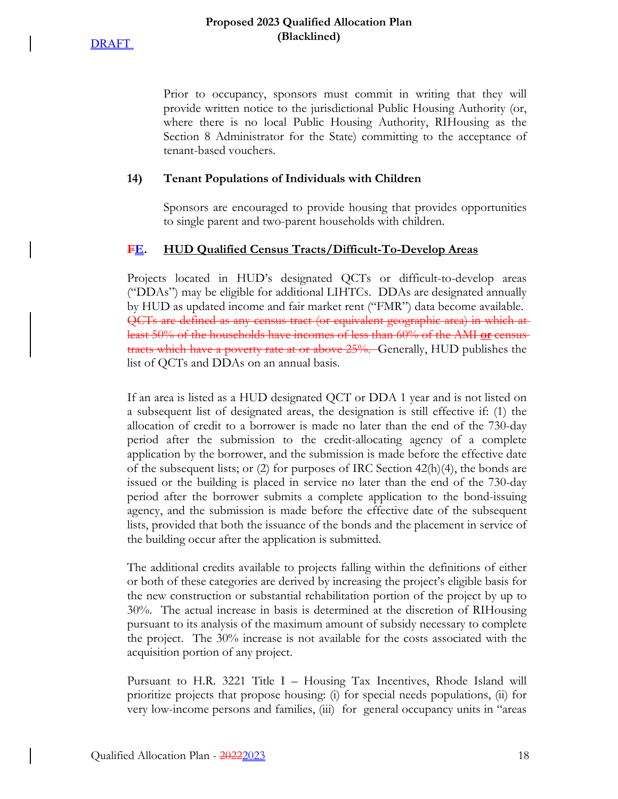### **Proposed 2023 Qualified Allocation Plan (Blacklined)**

Prior to occupancy, sponsors must commit in writing that they will provide written notice to the jurisdictional Public Housing Authority (or, where there is no local Public Housing Authority, RIHousing as the Section 8 Administrator for the State) committing to the acceptance of tenant-based vouchers.

### **14) Tenant Populations of Individuals with Children**

Sponsors are encouraged to provide housing that provides opportunities to single parent and two-parent households with children.

# **FE. HUD Qualified Census Tracts/Difficult-To-Develop Areas**

Projects located in HUD's designated QCTs or difficult-to-develop areas ("DDAs") may be eligible for additional LIHTCs. DDAs are designated annually by HUD as updated income and fair market rent ("FMR") data become available. QCTs are defined as any census tract (or equivalent geographic area) in which at least 50% of the households have incomes of less than 60% of the AMI **or** census tracts which have a poverty rate at or above 25%. Generally, HUD publishes the list of QCTs and DDAs on an annual basis.

If an area is listed as a HUD designated QCT or DDA 1 year and is not listed on a subsequent list of designated areas, the designation is still effective if: (1) the allocation of credit to a borrower is made no later than the end of the 730-day period after the submission to the credit-allocating agency of a complete application by the borrower, and the submission is made before the effective date of the subsequent lists; or (2) for purposes of IRC Section  $42(h)(4)$ , the bonds are issued or the building is placed in service no later than the end of the 730-day period after the borrower submits a complete application to the bond-issuing agency, and the submission is made before the effective date of the subsequent lists, provided that both the issuance of the bonds and the placement in service of the building occur after the application is submitted.

The additional credits available to projects falling within the definitions of either or both of these categories are derived by increasing the project's eligible basis for the new construction or substantial rehabilitation portion of the project by up to 30%. The actual increase in basis is determined at the discretion of RIHousing pursuant to its analysis of the maximum amount of subsidy necessary to complete the project. The 30% increase is not available for the costs associated with the acquisition portion of any project.

Pursuant to H.R. 3221 Title I – Housing Tax Incentives, Rhode Island will prioritize projects that propose housing: (i) for special needs populations, (ii) for very low-income persons and families, (iii) for general occupancy units in "areas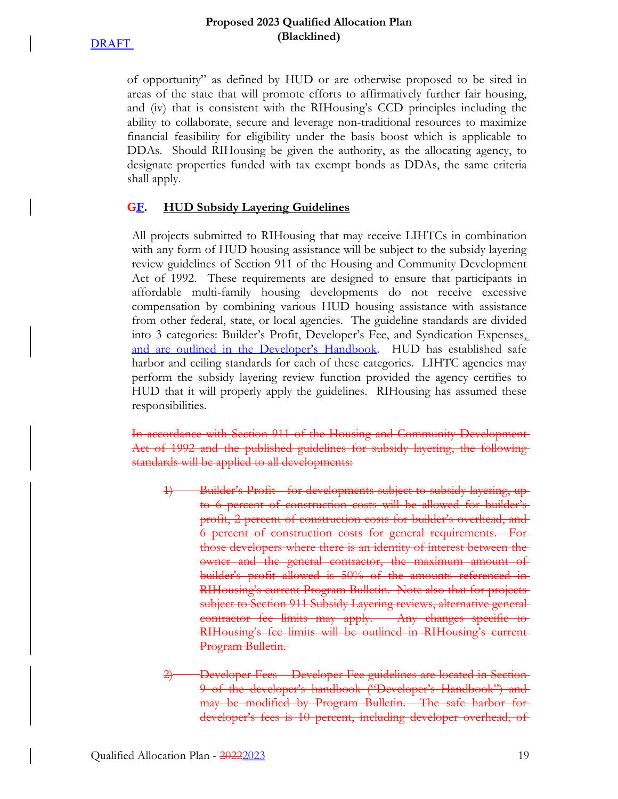### **Proposed 2023 Qualified Allocation Plan (Blacklined)**

of opportunity" as defined by HUD or are otherwise proposed to be sited in areas of the state that will promote efforts to affirmatively further fair housing, and (iv) that is consistent with the RIHousing's CCD principles including the ability to collaborate, secure and leverage non-traditional resources to maximize financial feasibility for eligibility under the basis boost which is applicable to DDAs. Should RIHousing be given the authority, as the allocating agency, to designate properties funded with tax exempt bonds as DDAs, the same criteria shall apply.

# **GF. HUD Subsidy Layering Guidelines**

All projects submitted to RIHousing that may receive LIHTCs in combination with any form of HUD housing assistance will be subject to the subsidy layering review guidelines of Section 911 of the Housing and Community Development Act of 1992. These requirements are designed to ensure that participants in affordable multi-family housing developments do not receive excessive compensation by combining various HUD housing assistance with assistance from other federal, state, or local agencies. The guideline standards are divided into 3 categories: Builder's Profit, Developer's Fee, and Syndication Expenses, and are outlined in the Developer's Handbook. HUD has established safe harbor and ceiling standards for each of these categories. LIHTC agencies may perform the subsidy layering review function provided the agency certifies to HUD that it will properly apply the guidelines. RIHousing has assumed these responsibilities.

In accordance with Section 911 of the Housing and Community Development Act of 1992 and the published guidelines for subsidy layering, the following standards will be applied to all developments:

- Builder's Profit for developments subject to subsidy layering, to 6 percent of construction costs will be allowed for builder's profit, 2 percent of construction costs for builder's overhead, and 6 percent of construction costs for general requirements. For those developers where there is an identity of interest between the owner and the general contractor, the maximum amount of builder's profit allowed is 50% of the amounts referenced in RIHousing's current Program Bulletin. Note also that for projects subject to Section 911 Subsidy Layering reviews, alternative generalcontractor fee limits may apply. Any changes specific RIHousing's fee limits will be outlined in RIHousing's current Program Bulletin.
- 2) Developer Fees Developer Fee guidelines are located in Section 9 of the developer's handbook ("Developer's Handbook") and may be modified by Program Bulletin. The safe harbor for developer's fees is 10 percent, including developer overhead, of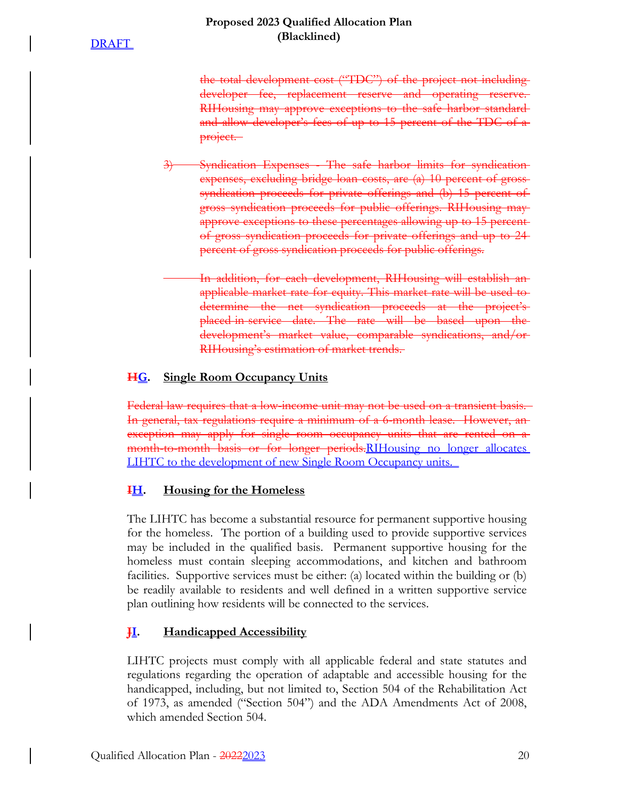the total development cost ("TDC") of the project not including developer fee, replacement reserve and operating reserve. RIHousing may approve exceptions to the safe harbor standardand allow developer's fees of up to 15 percent of the TDC of a project.

3) Syndication Expenses - The safe harbor limits for syndication expenses, excluding bridge loan costs, are (a) 10 percent of grosssyndication proceeds for private offerings and (b) 15 percent of gross syndication proceeds for public offerings. RIHousing may approve exceptions to these percentages allowing up to 15 percentof gross syndication proceeds for private offerings and up to 24 percent of gross syndication proceeds for public offerings.

> In addition, for each development, RIHousing will establish an applicable market rate for equity. This market rate will be used to determine the net syndication proceeds at the project'splaced-in-service date. The rate will be based upon the development's market value, comparable syndications, and/or RIHousing's estimation of market trends.

# **HG. Single Room Occupancy Units**

Federal law requires that a low-income unit may not be used on a transient basis. In general, tax regulations require a minimum of a 6-month lease. However, an exception may apply for single room occupancy units that are rented on a month-to-month basis or for longer periods.RIHousing no longer allocates LIHTC to the development of new Single Room Occupancy units.

# **IH. Housing for the Homeless**

The LIHTC has become a substantial resource for permanent supportive housing for the homeless. The portion of a building used to provide supportive services may be included in the qualified basis. Permanent supportive housing for the homeless must contain sleeping accommodations, and kitchen and bathroom facilities. Supportive services must be either: (a) located within the building or (b) be readily available to residents and well defined in a written supportive service plan outlining how residents will be connected to the services.

# **JI. Handicapped Accessibility**

LIHTC projects must comply with all applicable federal and state statutes and regulations regarding the operation of adaptable and accessible housing for the handicapped, including, but not limited to, Section 504 of the Rehabilitation Act of 1973, as amended ("Section 504") and the ADA Amendments Act of 2008, which amended Section 504.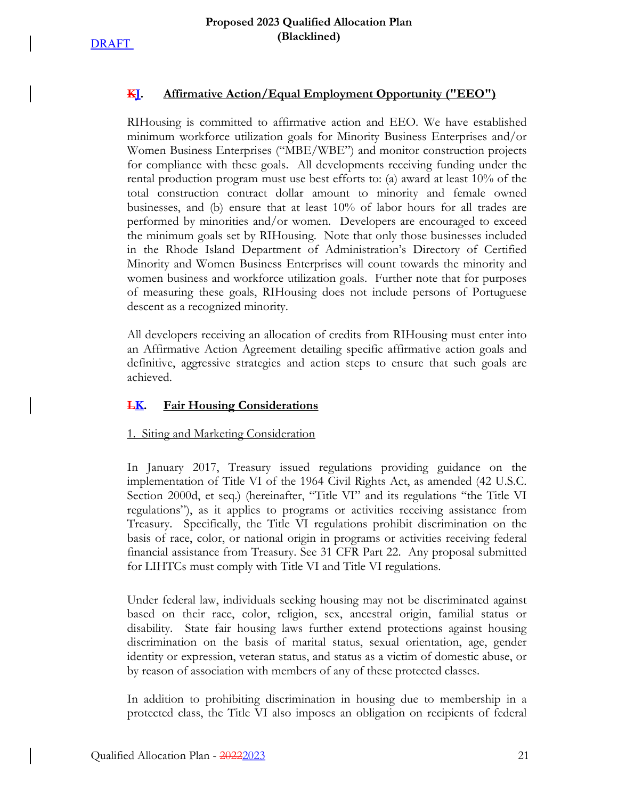

# **KJ. Affirmative Action/Equal Employment Opportunity ("EEO")**

RIHousing is committed to affirmative action and EEO. We have established minimum workforce utilization goals for Minority Business Enterprises and/or Women Business Enterprises ("MBE/WBE") and monitor construction projects for compliance with these goals. All developments receiving funding under the rental production program must use best efforts to: (a) award at least 10% of the total construction contract dollar amount to minority and female owned businesses, and (b) ensure that at least 10% of labor hours for all trades are performed by minorities and/or women. Developers are encouraged to exceed the minimum goals set by RIHousing. Note that only those businesses included in the Rhode Island Department of Administration's Directory of Certified Minority and Women Business Enterprises will count towards the minority and women business and workforce utilization goals. Further note that for purposes of measuring these goals, RIHousing does not include persons of Portuguese descent as a recognized minority.

All developers receiving an allocation of credits from RIHousing must enter into an Affirmative Action Agreement detailing specific affirmative action goals and definitive, aggressive strategies and action steps to ensure that such goals are achieved.

### **LK. Fair Housing Considerations**

### 1. Siting and Marketing Consideration

In January 2017, Treasury issued regulations providing guidance on the implementation of Title VI of the 1964 Civil Rights Act, as amended (42 U.S.C. Section 2000d, et seq.) (hereinafter, "Title VI" and its regulations "the Title VI regulations"), as it applies to programs or activities receiving assistance from Treasury. Specifically, the Title VI regulations prohibit discrimination on the basis of race, color, or national origin in programs or activities receiving federal financial assistance from Treasury. See 31 CFR Part 22. Any proposal submitted for LIHTCs must comply with Title VI and Title VI regulations.

Under federal law, individuals seeking housing may not be discriminated against based on their race, color, religion, sex, ancestral origin, familial status or disability. State fair housing laws further extend protections against housing discrimination on the basis of marital status, sexual orientation, age, gender identity or expression, veteran status, and status as a victim of domestic abuse, or by reason of association with members of any of these protected classes.

In addition to prohibiting discrimination in housing due to membership in a protected class, the Title VI also imposes an obligation on recipients of federal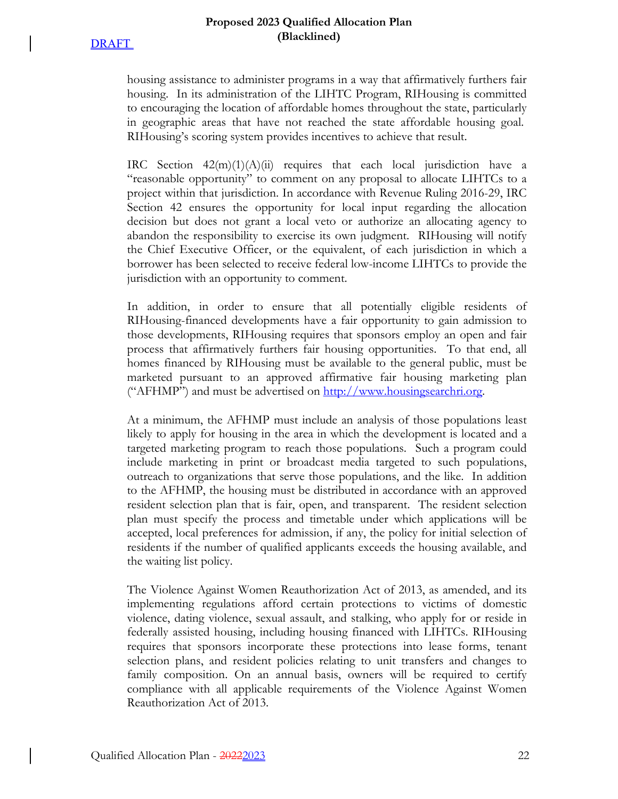housing assistance to administer programs in a way that affirmatively furthers fair housing. In its administration of the LIHTC Program, RIHousing is committed to encouraging the location of affordable homes throughout the state, particularly in geographic areas that have not reached the state affordable housing goal. RIHousing's scoring system provides incentives to achieve that result.

IRC Section  $42(m)(1)(A)(ii)$  requires that each local jurisdiction have a "reasonable opportunity" to comment on any proposal to allocate LIHTCs to a project within that jurisdiction. In accordance with Revenue Ruling 2016-29, IRC Section 42 ensures the opportunity for local input regarding the allocation decision but does not grant a local veto or authorize an allocating agency to abandon the responsibility to exercise its own judgment. RIHousing will notify the Chief Executive Officer, or the equivalent, of each jurisdiction in which a borrower has been selected to receive federal low-income LIHTCs to provide the jurisdiction with an opportunity to comment.

In addition, in order to ensure that all potentially eligible residents of RIHousing-financed developments have a fair opportunity to gain admission to those developments, RIHousing requires that sponsors employ an open and fair process that affirmatively furthers fair housing opportunities. To that end, all homes financed by RIHousing must be available to the general public, must be marketed pursuant to an approved affirmative fair housing marketing plan ("AFHMP") and must be advertised on http://www.housingsearchri.org.

At a minimum, the AFHMP must include an analysis of those populations least likely to apply for housing in the area in which the development is located and a targeted marketing program to reach those populations. Such a program could include marketing in print or broadcast media targeted to such populations, outreach to organizations that serve those populations, and the like. In addition to the AFHMP, the housing must be distributed in accordance with an approved resident selection plan that is fair, open, and transparent. The resident selection plan must specify the process and timetable under which applications will be accepted, local preferences for admission, if any, the policy for initial selection of residents if the number of qualified applicants exceeds the housing available, and the waiting list policy.

The Violence Against Women Reauthorization Act of 2013, as amended, and its implementing regulations afford certain protections to victims of domestic violence, dating violence, sexual assault, and stalking, who apply for or reside in federally assisted housing, including housing financed with LIHTCs. RIHousing requires that sponsors incorporate these protections into lease forms, tenant selection plans, and resident policies relating to unit transfers and changes to family composition. On an annual basis, owners will be required to certify compliance with all applicable requirements of the Violence Against Women Reauthorization Act of 2013.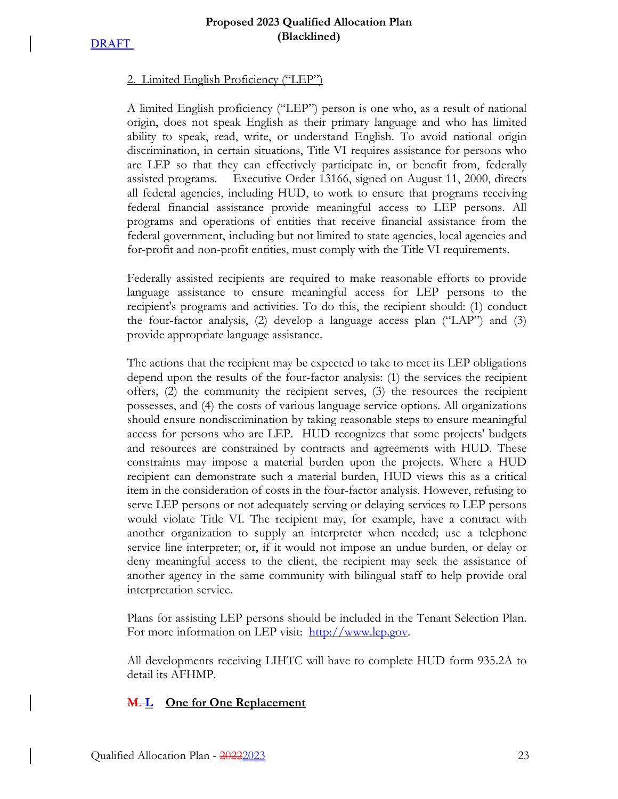### 2. Limited English Proficiency ("LEP")

A limited English proficiency ("LEP") person is one who, as a result of national origin, does not speak English as their primary language and who has limited ability to speak, read, write, or understand English. To avoid national origin discrimination, in certain situations, Title VI requires assistance for persons who are LEP so that they can effectively participate in, or benefit from, federally assisted programs. Executive Order 13166, signed on August 11, 2000, directs all federal agencies, including HUD, to work to ensure that programs receiving federal financial assistance provide meaningful access to LEP persons. All programs and operations of entities that receive financial assistance from the federal government, including but not limited to state agencies, local agencies and for-profit and non-profit entities, must comply with the Title VI requirements.

Federally assisted recipients are required to make reasonable efforts to provide language assistance to ensure meaningful access for LEP persons to the recipient's programs and activities. To do this, the recipient should: (1) conduct the four-factor analysis, (2) develop a language access plan ("LAP") and (3) provide appropriate language assistance.

The actions that the recipient may be expected to take to meet its LEP obligations depend upon the results of the four-factor analysis: (1) the services the recipient offers, (2) the community the recipient serves, (3) the resources the recipient possesses, and (4) the costs of various language service options. All organizations should ensure nondiscrimination by taking reasonable steps to ensure meaningful access for persons who are LEP. HUD recognizes that some projects' budgets and resources are constrained by contracts and agreements with HUD. These constraints may impose a material burden upon the projects. Where a HUD recipient can demonstrate such a material burden, HUD views this as a critical item in the consideration of costs in the four-factor analysis. However, refusing to serve LEP persons or not adequately serving or delaying services to LEP persons would violate Title VI. The recipient may, for example, have a contract with another organization to supply an interpreter when needed; use a telephone service line interpreter; or, if it would not impose an undue burden, or delay or deny meaningful access to the client, the recipient may seek the assistance of another agency in the same community with bilingual staff to help provide oral interpretation service.

Plans for assisting LEP persons should be included in the Tenant Selection Plan. For more information on LEP visit: http://www.lep.gov.

All developments receiving LIHTC will have to complete HUD form 935.2A to detail its AFHMP.

# **M.** <u>L</u> One for One Replacement</u>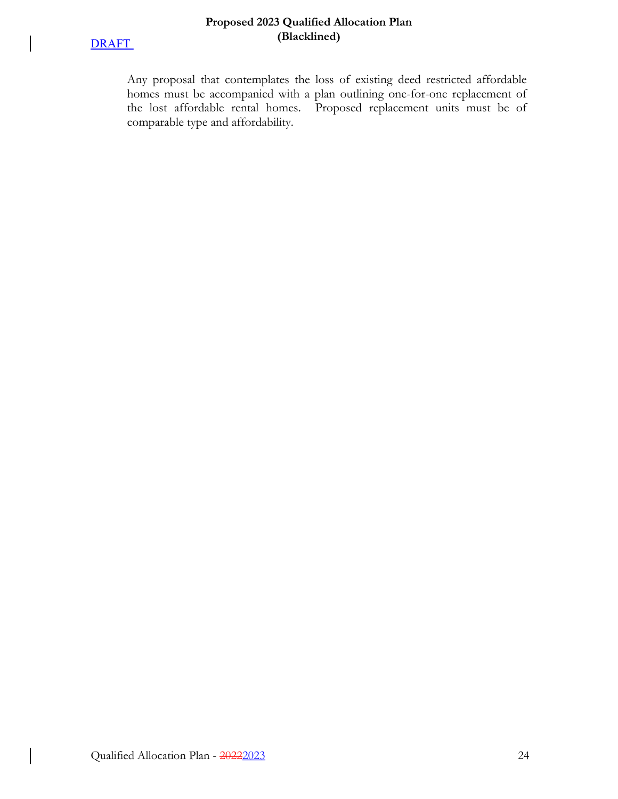

 $\overline{\phantom{a}}$ 

 $\overline{\phantom{a}}$ 

### **Proposed 2023 Qualified Allocation Plan (Blacklined)**

Any proposal that contemplates the loss of existing deed restricted affordable homes must be accompanied with a plan outlining one-for-one replacement of the lost affordable rental homes. Proposed replacement units must be of comparable type and affordability.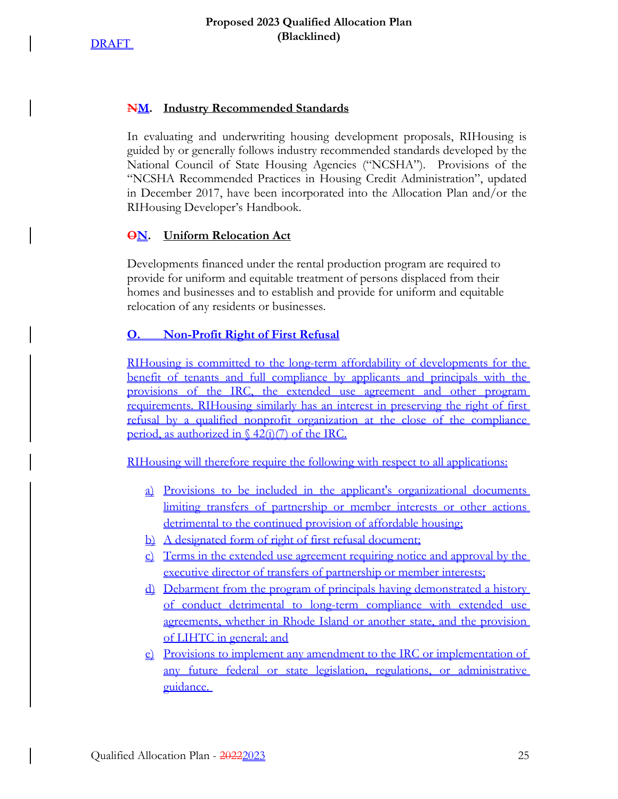

### **NM. Industry Recommended Standards**

In evaluating and underwriting housing development proposals, RIHousing is guided by or generally follows industry recommended standards developed by the National Council of State Housing Agencies ("NCSHA"). Provisions of the "NCSHA Recommended Practices in Housing Credit Administration", updated in December 2017, have been incorporated into the Allocation Plan and/or the RIHousing Developer's Handbook.

### **ON. Uniform Relocation Act**

Developments financed under the rental production program are required to provide for uniform and equitable treatment of persons displaced from their homes and businesses and to establish and provide for uniform and equitable relocation of any residents or businesses.

### **O. Non-Profit Right of First Refusal**

RIHousing is committed to the long-term affordability of developments for the benefit of tenants and full compliance by applicants and principals with the provisions of the IRC, the extended use agreement and other program requirements. RIHousing similarly has an interest in preserving the right of first refusal by a qualified nonprofit organization at the close of the compliance period, as authorized in  $\frac{642(i)}{7}$  of the IRC.

RIHousing will therefore require the following with respect to all applications:

- a) Provisions to be included in the applicant's organizational documents limiting transfers of partnership or member interests or other actions detrimental to the continued provision of affordable housing;
- b) A designated form of right of first refusal document;
- c) Terms in the extended use agreement requiring notice and approval by the executive director of transfers of partnership or member interests;
- d) Debarment from the program of principals having demonstrated a history of conduct detrimental to long-term compliance with extended use agreements, whether in Rhode Island or another state, and the provision of LIHTC in general; and
- e) Provisions to implement any amendment to the IRC or implementation of any future federal or state legislation, regulations, or administrative guidance.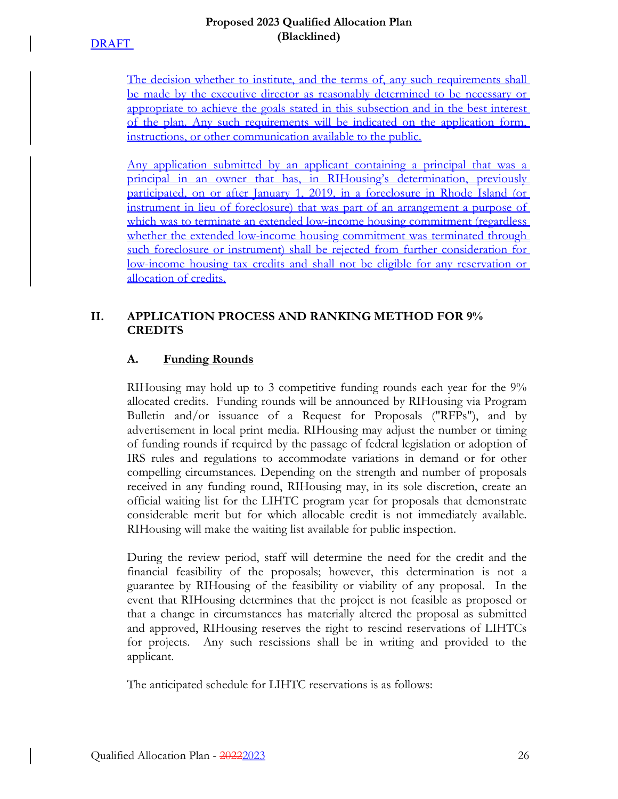### **Proposed 2023 Qualified Allocation Plan (Blacklined)**

The decision whether to institute, and the terms of, any such requirements shall be made by the executive director as reasonably determined to be necessary or appropriate to achieve the goals stated in this subsection and in the best interest of the plan. Any such requirements will be indicated on the application form, instructions, or other communication available to the public.

Any application submitted by an applicant containing a principal that was a principal in an owner that has, in RIHousing's determination, previously participated, on or after January 1, 2019, in a foreclosure in Rhode Island (or instrument in lieu of foreclosure) that was part of an arrangement a purpose of which was to terminate an extended low-income housing commitment (regardless whether the extended low-income housing commitment was terminated through such foreclosure or instrument) shall be rejected from further consideration for low-income housing tax credits and shall not be eligible for any reservation or allocation of credits.

# **II. APPLICATION PROCESS AND RANKING METHOD FOR 9% CREDITS**

# **A. Funding Rounds**

RIHousing may hold up to 3 competitive funding rounds each year for the 9% allocated credits. Funding rounds will be announced by RIHousing via Program Bulletin and/or issuance of a Request for Proposals ("RFPs"), and by advertisement in local print media. RIHousing may adjust the number or timing of funding rounds if required by the passage of federal legislation or adoption of IRS rules and regulations to accommodate variations in demand or for other compelling circumstances. Depending on the strength and number of proposals received in any funding round, RIHousing may, in its sole discretion, create an official waiting list for the LIHTC program year for proposals that demonstrate considerable merit but for which allocable credit is not immediately available. RIHousing will make the waiting list available for public inspection.

During the review period, staff will determine the need for the credit and the financial feasibility of the proposals; however, this determination is not a guarantee by RIHousing of the feasibility or viability of any proposal. In the event that RIHousing determines that the project is not feasible as proposed or that a change in circumstances has materially altered the proposal as submitted and approved, RIHousing reserves the right to rescind reservations of LIHTCs for projects. Any such rescissions shall be in writing and provided to the applicant.

The anticipated schedule for LIHTC reservations is as follows: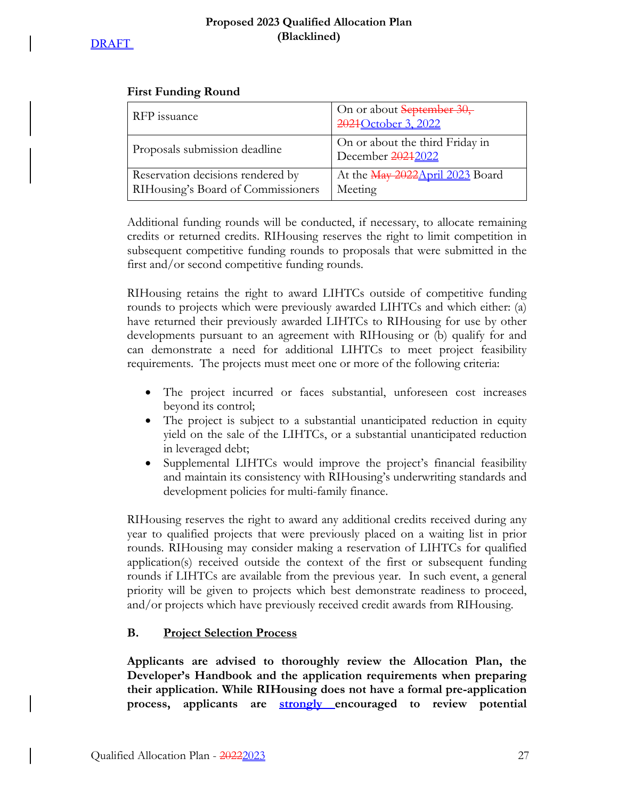# **First Funding Round**

| RFP issuance                                                            | On or about September 30,<br>2021 October 3, 2022    |
|-------------------------------------------------------------------------|------------------------------------------------------|
| Proposals submission deadline                                           | On or about the third Friday in<br>December 20212022 |
| Reservation decisions rendered by<br>RIHousing's Board of Commissioners | At the May 2022 April 2023 Board<br>Meeting          |

Additional funding rounds will be conducted, if necessary, to allocate remaining credits or returned credits. RIHousing reserves the right to limit competition in subsequent competitive funding rounds to proposals that were submitted in the first and/or second competitive funding rounds.

RIHousing retains the right to award LIHTCs outside of competitive funding rounds to projects which were previously awarded LIHTCs and which either: (a) have returned their previously awarded LIHTCs to RIHousing for use by other developments pursuant to an agreement with RIHousing or (b) qualify for and can demonstrate a need for additional LIHTCs to meet project feasibility requirements. The projects must meet one or more of the following criteria:

- The project incurred or faces substantial, unforeseen cost increases beyond its control;
- The project is subject to a substantial unanticipated reduction in equity yield on the sale of the LIHTCs, or a substantial unanticipated reduction in leveraged debt;
- Supplemental LIHTCs would improve the project's financial feasibility and maintain its consistency with RIHousing's underwriting standards and development policies for multi-family finance.

RIHousing reserves the right to award any additional credits received during any year to qualified projects that were previously placed on a waiting list in prior rounds. RIHousing may consider making a reservation of LIHTCs for qualified application(s) received outside the context of the first or subsequent funding rounds if LIHTCs are available from the previous year. In such event, a general priority will be given to projects which best demonstrate readiness to proceed, and/or projects which have previously received credit awards from RIHousing.

# **B. Project Selection Process**

**Applicants are advised to thoroughly review the Allocation Plan, the Developer's Handbook and the application requirements when preparing their application. While RIHousing does not have a formal pre-application process, applicants are strongly encouraged to review potential**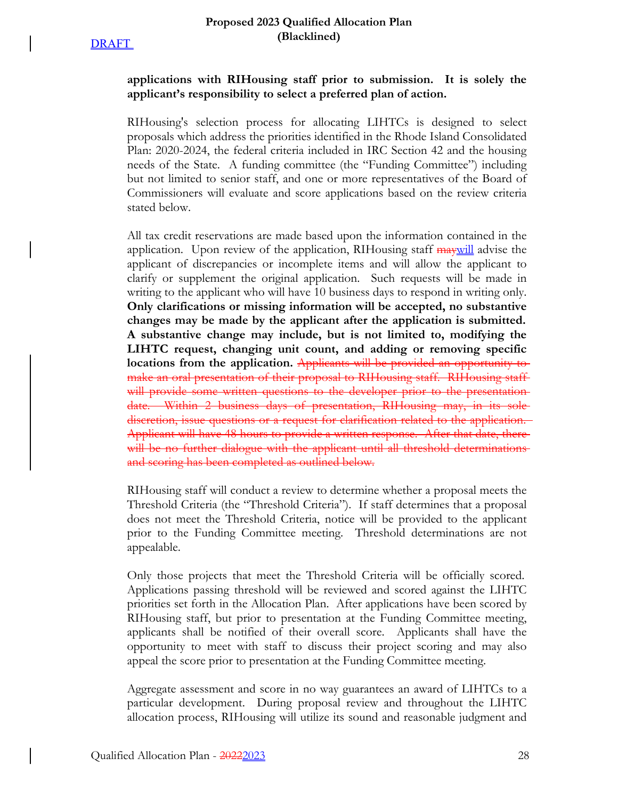## **applications with RIHousing staff prior to submission. It is solely the applicant's responsibility to select a preferred plan of action.**

RIHousing's selection process for allocating LIHTCs is designed to select proposals which address the priorities identified in the Rhode Island Consolidated Plan: 2020-2024, the federal criteria included in IRC Section 42 and the housing needs of the State. A funding committee (the "Funding Committee") including but not limited to senior staff, and one or more representatives of the Board of Commissioners will evaluate and score applications based on the review criteria stated below.

All tax credit reservations are made based upon the information contained in the application. Upon review of the application, RIHousing staff **may** will advise the applicant of discrepancies or incomplete items and will allow the applicant to clarify or supplement the original application. Such requests will be made in writing to the applicant who will have 10 business days to respond in writing only. **Only clarifications or missing information will be accepted, no substantive changes may be made by the applicant after the application is submitted. A substantive change may include, but is not limited to, modifying the LIHTC request, changing unit count, and adding or removing specific locations from the application.** Applicants will be provided an opportunity to make an oral presentation of their proposal to RIHousing staff. RIHousing staffwill provide some written questions to the developer prior to the presentationdate. Within 2 business days of presentation, RIHousing may, in its sole discretion, issue questions or a request for clarification related to the application. Applicant will have 48 hours to provide a written response. After that date, there will be no further dialogue with the applicant until all threshold determinationsand scoring has been completed as outlined below.

RIHousing staff will conduct a review to determine whether a proposal meets the Threshold Criteria (the "Threshold Criteria"). If staff determines that a proposal does not meet the Threshold Criteria, notice will be provided to the applicant prior to the Funding Committee meeting. Threshold determinations are not appealable.

Only those projects that meet the Threshold Criteria will be officially scored. Applications passing threshold will be reviewed and scored against the LIHTC priorities set forth in the Allocation Plan. After applications have been scored by RIHousing staff, but prior to presentation at the Funding Committee meeting, applicants shall be notified of their overall score. Applicants shall have the opportunity to meet with staff to discuss their project scoring and may also appeal the score prior to presentation at the Funding Committee meeting.

Aggregate assessment and score in no way guarantees an award of LIHTCs to a particular development. During proposal review and throughout the LIHTC allocation process, RIHousing will utilize its sound and reasonable judgment and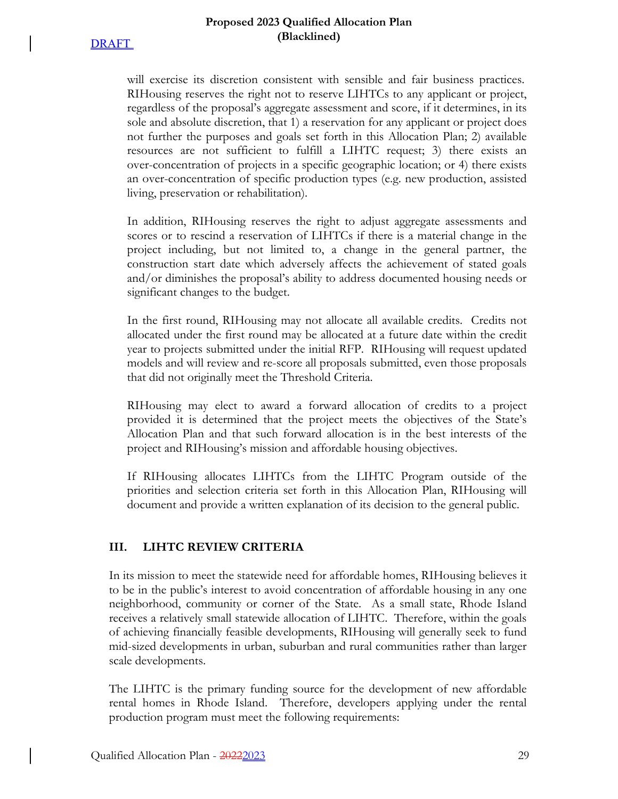### **Proposed 2023 Qualified Allocation Plan (Blacklined)**

will exercise its discretion consistent with sensible and fair business practices. RIHousing reserves the right not to reserve LIHTCs to any applicant or project, regardless of the proposal's aggregate assessment and score, if it determines, in its sole and absolute discretion, that 1) a reservation for any applicant or project does not further the purposes and goals set forth in this Allocation Plan; 2) available resources are not sufficient to fulfill a LIHTC request; 3) there exists an over-concentration of projects in a specific geographic location; or 4) there exists an over-concentration of specific production types (e.g. new production, assisted living, preservation or rehabilitation).

In addition, RIHousing reserves the right to adjust aggregate assessments and scores or to rescind a reservation of LIHTCs if there is a material change in the project including, but not limited to, a change in the general partner, the construction start date which adversely affects the achievement of stated goals and/or diminishes the proposal's ability to address documented housing needs or significant changes to the budget.

In the first round, RIHousing may not allocate all available credits. Credits not allocated under the first round may be allocated at a future date within the credit year to projects submitted under the initial RFP. RIHousing will request updated models and will review and re-score all proposals submitted, even those proposals that did not originally meet the Threshold Criteria.

RIHousing may elect to award a forward allocation of credits to a project provided it is determined that the project meets the objectives of the State's Allocation Plan and that such forward allocation is in the best interests of the project and RIHousing's mission and affordable housing objectives.

If RIHousing allocates LIHTCs from the LIHTC Program outside of the priorities and selection criteria set forth in this Allocation Plan, RIHousing will document and provide a written explanation of its decision to the general public.

# **III. LIHTC REVIEW CRITERIA**

In its mission to meet the statewide need for affordable homes, RIHousing believes it to be in the public's interest to avoid concentration of affordable housing in any one neighborhood, community or corner of the State. As a small state, Rhode Island receives a relatively small statewide allocation of LIHTC. Therefore, within the goals of achieving financially feasible developments, RIHousing will generally seek to fund mid-sized developments in urban, suburban and rural communities rather than larger scale developments.

The LIHTC is the primary funding source for the development of new affordable rental homes in Rhode Island. Therefore, developers applying under the rental production program must meet the following requirements: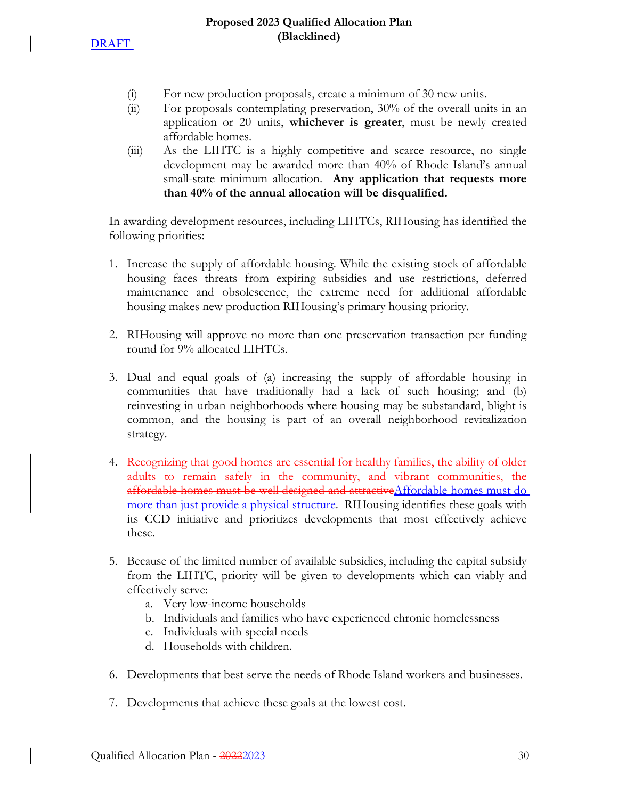- (i) For new production proposals, create a minimum of 30 new units.
- (ii) For proposals contemplating preservation, 30% of the overall units in an application or 20 units, **whichever is greater**, must be newly created affordable homes.
- (iii) As the LIHTC is a highly competitive and scarce resource, no single development may be awarded more than 40% of Rhode Island's annual small-state minimum allocation. **Any application that requests more than 40% of the annual allocation will be disqualified.**

In awarding development resources, including LIHTCs, RIHousing has identified the following priorities:

- 1. Increase the supply of affordable housing. While the existing stock of affordable housing faces threats from expiring subsidies and use restrictions, deferred maintenance and obsolescence, the extreme need for additional affordable housing makes new production RIHousing's primary housing priority.
- 2. RIHousing will approve no more than one preservation transaction per funding round for 9% allocated LIHTCs.
- 3. Dual and equal goals of (a) increasing the supply of affordable housing in communities that have traditionally had a lack of such housing; and (b) reinvesting in urban neighborhoods where housing may be substandard, blight is common, and the housing is part of an overall neighborhood revitalization strategy.
- 4. Recognizing that good homes are essential for healthy families, the ability of olderadults to remain safely in the community, and vibrant communities, the affordable homes must be well designed and attractiveAffordable homes must do more than just provide a physical structure. RIHousing identifies these goals with its CCD initiative and prioritizes developments that most effectively achieve these.
- 5. Because of the limited number of available subsidies, including the capital subsidy from the LIHTC, priority will be given to developments which can viably and effectively serve:
	- a. Very low-income households
	- b. Individuals and families who have experienced chronic homelessness
	- c. Individuals with special needs
	- d. Households with children.
- 6. Developments that best serve the needs of Rhode Island workers and businesses.
- 7. Developments that achieve these goals at the lowest cost.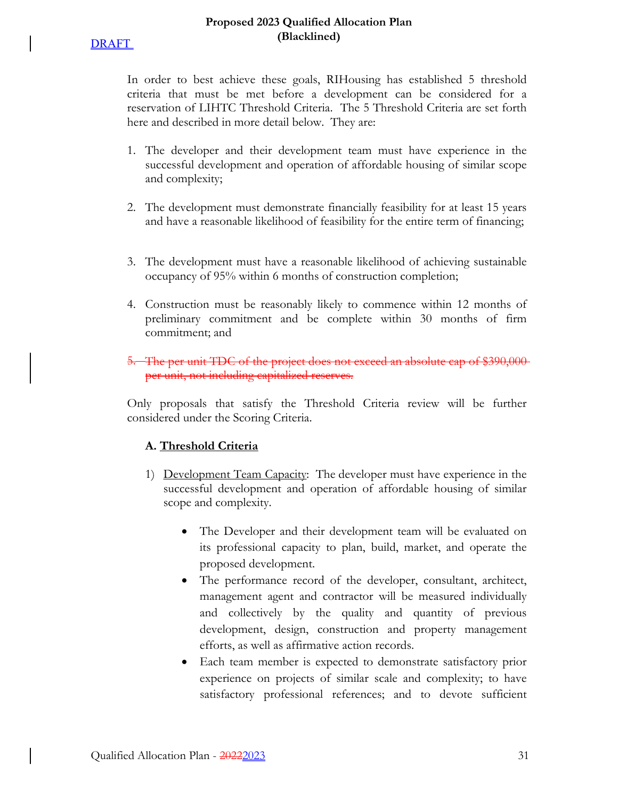In order to best achieve these goals, RIHousing has established 5 threshold criteria that must be met before a development can be considered for a reservation of LIHTC Threshold Criteria. The 5 Threshold Criteria are set forth here and described in more detail below. They are:

- 1. The developer and their development team must have experience in the successful development and operation of affordable housing of similar scope and complexity;
- 2. The development must demonstrate financially feasibility for at least 15 years and have a reasonable likelihood of feasibility for the entire term of financing;
- 3. The development must have a reasonable likelihood of achieving sustainable occupancy of 95% within 6 months of construction completion;
- 4. Construction must be reasonably likely to commence within 12 months of preliminary commitment and be complete within 30 months of firm commitment; and

# 5. The per unit TDC of the project does not exceed an absolute cap of \$390,000 per unit, not including capitalized reserves.

Only proposals that satisfy the Threshold Criteria review will be further considered under the Scoring Criteria.

# **A. Threshold Criteria**

- 1) Development Team Capacity: The developer must have experience in the successful development and operation of affordable housing of similar scope and complexity.
	- The Developer and their development team will be evaluated on its professional capacity to plan, build, market, and operate the proposed development.
	- The performance record of the developer, consultant, architect, management agent and contractor will be measured individually and collectively by the quality and quantity of previous development, design, construction and property management efforts, as well as affirmative action records.
	- Each team member is expected to demonstrate satisfactory prior experience on projects of similar scale and complexity; to have satisfactory professional references; and to devote sufficient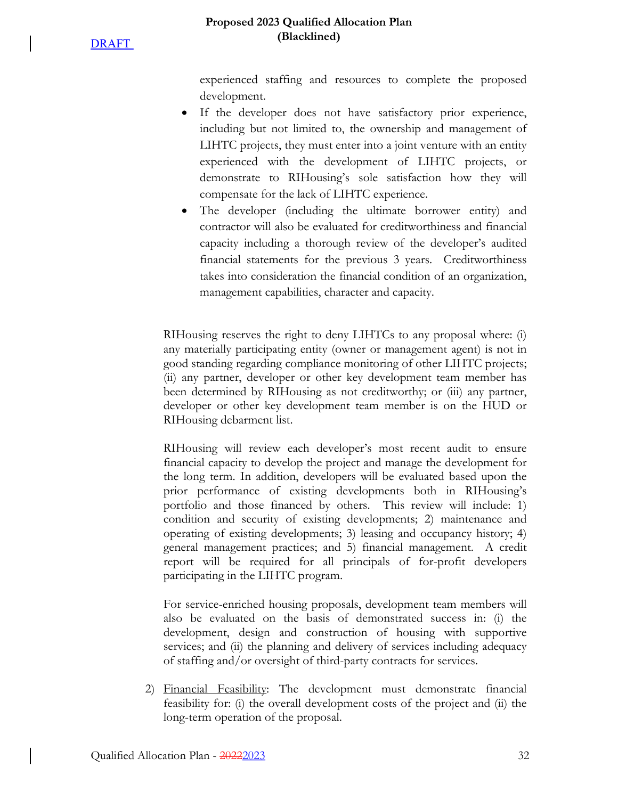### **Proposed 2023 Qualified Allocation Plan (Blacklined)**

experienced staffing and resources to complete the proposed development.

- If the developer does not have satisfactory prior experience, including but not limited to, the ownership and management of LIHTC projects, they must enter into a joint venture with an entity experienced with the development of LIHTC projects, or demonstrate to RIHousing's sole satisfaction how they will compensate for the lack of LIHTC experience.
- The developer (including the ultimate borrower entity) and contractor will also be evaluated for creditworthiness and financial capacity including a thorough review of the developer's audited financial statements for the previous 3 years. Creditworthiness takes into consideration the financial condition of an organization, management capabilities, character and capacity.

RIHousing reserves the right to deny LIHTCs to any proposal where: (i) any materially participating entity (owner or management agent) is not in good standing regarding compliance monitoring of other LIHTC projects; (ii) any partner, developer or other key development team member has been determined by RIHousing as not creditworthy; or (iii) any partner, developer or other key development team member is on the HUD or RIHousing debarment list.

RIHousing will review each developer's most recent audit to ensure financial capacity to develop the project and manage the development for the long term. In addition, developers will be evaluated based upon the prior performance of existing developments both in RIHousing's portfolio and those financed by others. This review will include: 1) condition and security of existing developments; 2) maintenance and operating of existing developments; 3) leasing and occupancy history; 4) general management practices; and 5) financial management. A credit report will be required for all principals of for-profit developers participating in the LIHTC program.

For service-enriched housing proposals, development team members will also be evaluated on the basis of demonstrated success in: (i) the development, design and construction of housing with supportive services; and (ii) the planning and delivery of services including adequacy of staffing and/or oversight of third-party contracts for services.

2) Financial Feasibility: The development must demonstrate financial feasibility for: (i) the overall development costs of the project and (ii) the long-term operation of the proposal.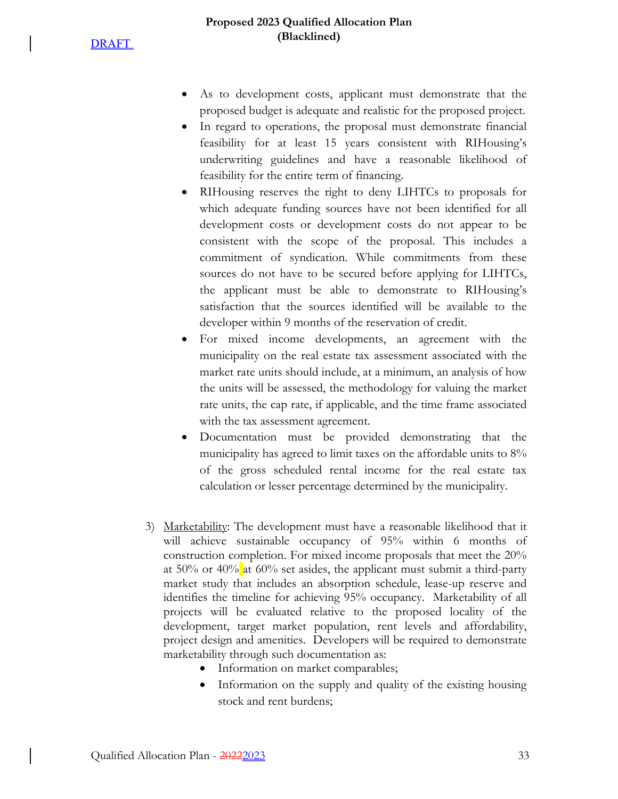**DRAFT** 

- As to development costs, applicant must demonstrate that the proposed budget is adequate and realistic for the proposed project.
- In regard to operations, the proposal must demonstrate financial feasibility for at least 15 years consistent with RIHousing's underwriting guidelines and have a reasonable likelihood of feasibility for the entire term of financing.
- RIHousing reserves the right to deny LIHTCs to proposals for which adequate funding sources have not been identified for all development costs or development costs do not appear to be consistent with the scope of the proposal. This includes a commitment of syndication. While commitments from these sources do not have to be secured before applying for LIHTCs, the applicant must be able to demonstrate to RIHousing's satisfaction that the sources identified will be available to the developer within 9 months of the reservation of credit.
- For mixed income developments, an agreement with the municipality on the real estate tax assessment associated with the market rate units should include, at a minimum, an analysis of how the units will be assessed, the methodology for valuing the market rate units, the cap rate, if applicable, and the time frame associated with the tax assessment agreement.
- Documentation must be provided demonstrating that the municipality has agreed to limit taxes on the affordable units to 8% of the gross scheduled rental income for the real estate tax calculation or lesser percentage determined by the municipality.
- 3) Marketability: The development must have a reasonable likelihood that it will achieve sustainable occupancy of 95% within 6 months of construction completion. For mixed income proposals that meet the 20% at  $50\%$  or  $40\%$  at  $60\%$  set asides, the applicant must submit a third-party market study that includes an absorption schedule, lease-up reserve and identifies the timeline for achieving 95% occupancy. Marketability of all projects will be evaluated relative to the proposed locality of the development, target market population, rent levels and affordability, project design and amenities. Developers will be required to demonstrate marketability through such documentation as:
	- Information on market comparables;
	- Information on the supply and quality of the existing housing stock and rent burdens;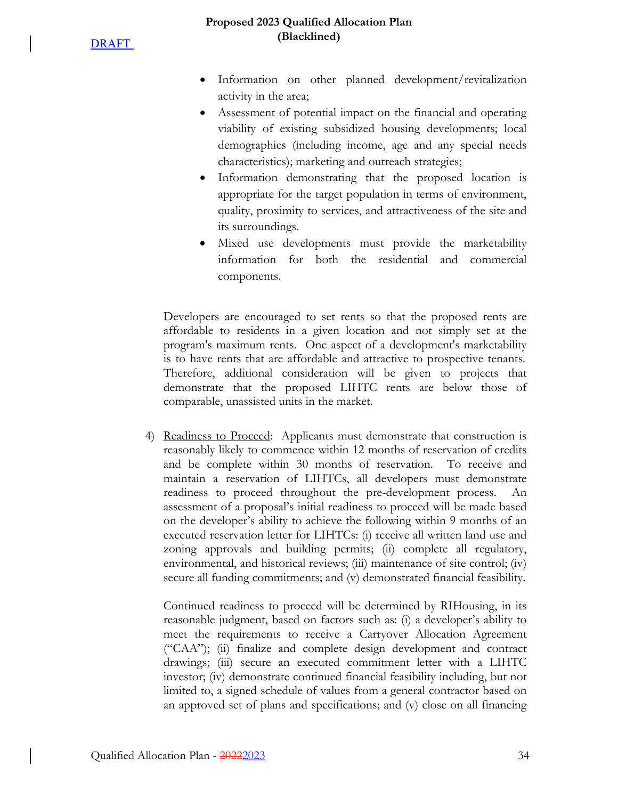#### **Proposed 2023 Qualified Allocation Plan (Blacklined)**

- Information on other planned development/revitalization activity in the area;
- Assessment of potential impact on the financial and operating viability of existing subsidized housing developments; local demographics (including income, age and any special needs characteristics); marketing and outreach strategies;
- Information demonstrating that the proposed location is appropriate for the target population in terms of environment, quality, proximity to services, and attractiveness of the site and its surroundings.
- Mixed use developments must provide the marketability information for both the residential and commercial components.

Developers are encouraged to set rents so that the proposed rents are affordable to residents in a given location and not simply set at the program's maximum rents. One aspect of a development's marketability is to have rents that are affordable and attractive to prospective tenants. Therefore, additional consideration will be given to projects that demonstrate that the proposed LIHTC rents are below those of comparable, unassisted units in the market.

4) Readiness to Proceed: Applicants must demonstrate that construction is reasonably likely to commence within 12 months of reservation of credits and be complete within 30 months of reservation. To receive and maintain a reservation of LIHTCs, all developers must demonstrate readiness to proceed throughout the pre-development process. An assessment of a proposal's initial readiness to proceed will be made based on the developer's ability to achieve the following within 9 months of an executed reservation letter for LIHTCs: (i) receive all written land use and zoning approvals and building permits; (ii) complete all regulatory, environmental, and historical reviews; (iii) maintenance of site control; (iv) secure all funding commitments; and (v) demonstrated financial feasibility.

Continued readiness to proceed will be determined by RIHousing, in its reasonable judgment, based on factors such as: (i) a developer's ability to meet the requirements to receive a Carryover Allocation Agreement ("CAA"); (ii) finalize and complete design development and contract drawings; (iii) secure an executed commitment letter with a LIHTC investor; (iv) demonstrate continued financial feasibility including, but not limited to, a signed schedule of values from a general contractor based on an approved set of plans and specifications; and (v) close on all financing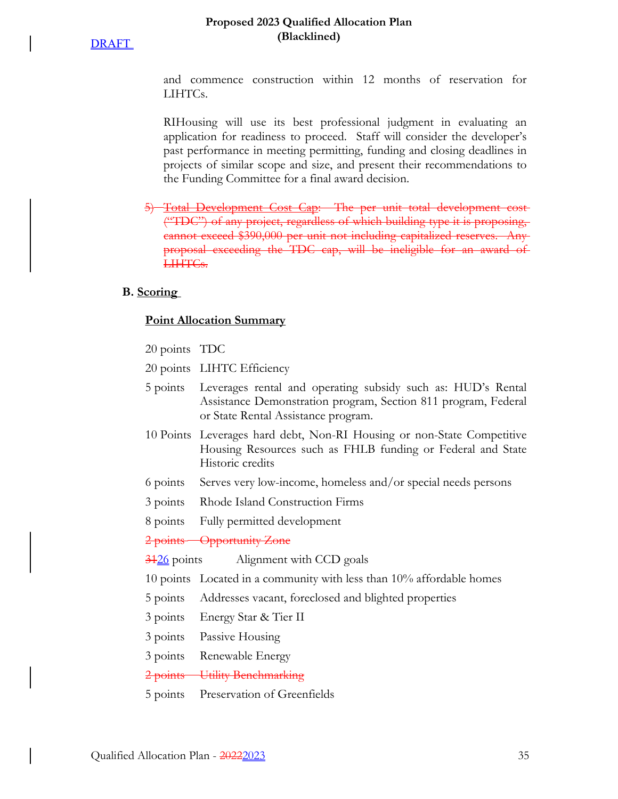#### **Proposed 2023 Qualified Allocation Plan (Blacklined)**

and commence construction within 12 months of reservation for LIHTCs.

RIHousing will use its best professional judgment in evaluating an application for readiness to proceed. Staff will consider the developer's past performance in meeting permitting, funding and closing deadlines in projects of similar scope and size, and present their recommendations to the Funding Committee for a final award decision.

5) Total Development Cost Cap: The per unit total development cost ("TDC") of any project, regardless of which building type it is proposing, cannot exceed \$390,000 per unit not including capitalized reserves. proposal exceeding the TDC cap, will be ineligible for an award LIHTCs.

### **B. Scoring**

### **Point Allocation Summary**

- 20 points TDC
- 20 points LIHTC Efficiency
- 5 points Leverages rental and operating subsidy such as: HUD's Rental Assistance Demonstration program, Section 811 program, Federal or State Rental Assistance program.
- 10 Points Leverages hard debt, Non-RI Housing or non-State Competitive Housing Resources such as FHLB funding or Federal and State Historic credits
- 6 points Serves very low-income, homeless and/or special needs persons
- 3 points Rhode Island Construction Firms
- 8 points Fully permitted development

2 points Opportunity Zone

3126 points Alignment with CCD goals

10 points Located in a community with less than 10% affordable homes

- 5 points Addresses vacant, foreclosed and blighted properties
- 3 points Energy Star & Tier II
- 3 points Passive Housing
- 3 points Renewable Energy
- 2 points Utility Benchmarking
- 5 points Preservation of Greenfields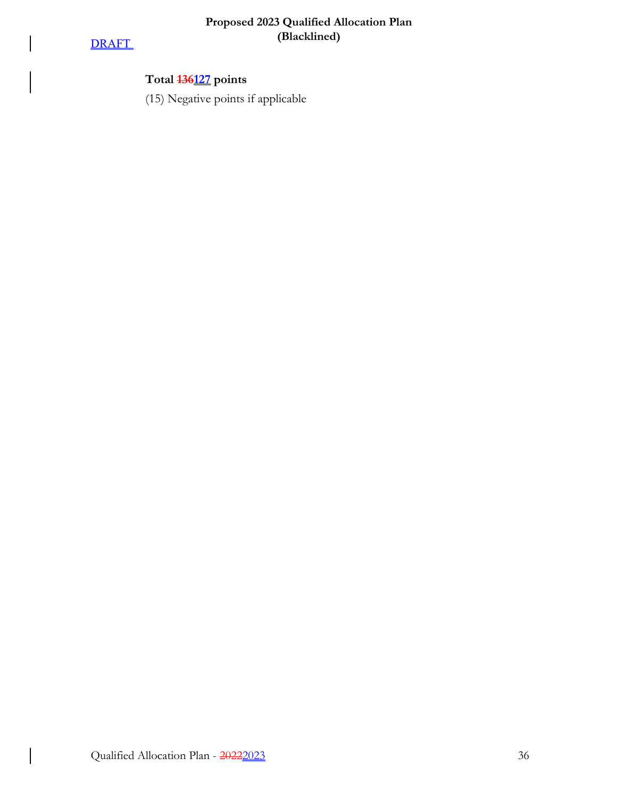# **DRAFT**

 $\overline{\phantom{a}}$ 

 $\Bigg\}$ 

 $\big\vert$ 

# **Total 136127 points**

(15) Negative points if applicable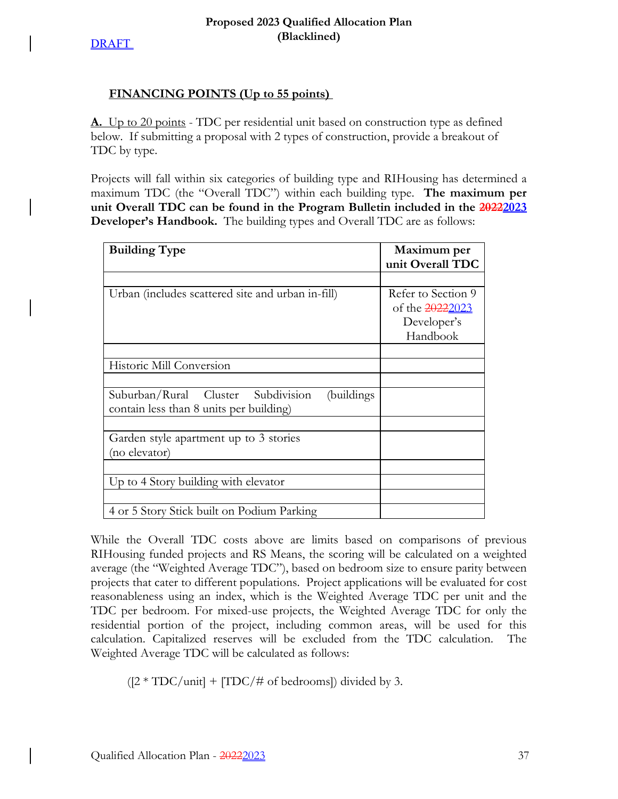# **FINANCING POINTS (Up to 55 points)**

**A.** Up to 20 points - TDC per residential unit based on construction type as defined below. If submitting a proposal with 2 types of construction, provide a breakout of TDC by type.

Projects will fall within six categories of building type and RIHousing has determined a maximum TDC (the "Overall TDC") within each building type. **The maximum per unit Overall TDC can be found in the Program Bulletin included in the 20222023 Developer's Handbook.** The building types and Overall TDC are as follows:

| <b>Building Type</b>                              | Maximum per        |
|---------------------------------------------------|--------------------|
|                                                   | unit Overall TDC   |
|                                                   |                    |
| Urban (includes scattered site and urban in-fill) | Refer to Section 9 |
|                                                   | of the 20222023    |
|                                                   | Developer's        |
|                                                   | Handbook           |
|                                                   |                    |
| Historic Mill Conversion                          |                    |
|                                                   |                    |
| Suburban/Rural Cluster Subdivision<br>(buildings  |                    |
| contain less than 8 units per building)           |                    |
|                                                   |                    |
| Garden style apartment up to 3 stories            |                    |
| (no elevator)                                     |                    |
|                                                   |                    |
| Up to 4 Story building with elevator              |                    |
|                                                   |                    |
| 4 or 5 Story Stick built on Podium Parking        |                    |

While the Overall TDC costs above are limits based on comparisons of previous RIHousing funded projects and RS Means, the scoring will be calculated on a weighted average (the "Weighted Average TDC"), based on bedroom size to ensure parity between projects that cater to different populations. Project applications will be evaluated for cost reasonableness using an index, which is the Weighted Average TDC per unit and the TDC per bedroom. For mixed-use projects, the Weighted Average TDC for only the residential portion of the project, including common areas, will be used for this calculation. Capitalized reserves will be excluded from the TDC calculation. The Weighted Average TDC will be calculated as follows:

 $([2 * TDC/unit] + [TDC/# of bedrooms])$  divided by 3.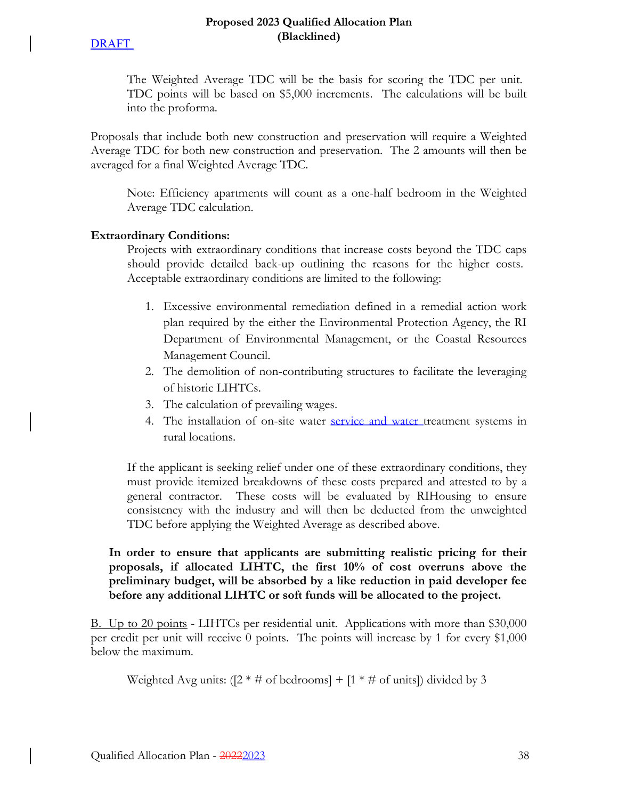#### **Proposed 2023 Qualified Allocation Plan (Blacklined)**

The Weighted Average TDC will be the basis for scoring the TDC per unit. TDC points will be based on \$5,000 increments. The calculations will be built into the proforma.

Proposals that include both new construction and preservation will require a Weighted Average TDC for both new construction and preservation. The 2 amounts will then be averaged for a final Weighted Average TDC.

Note: Efficiency apartments will count as a one-half bedroom in the Weighted Average TDC calculation.

### **Extraordinary Conditions:**

Projects with extraordinary conditions that increase costs beyond the TDC caps should provide detailed back-up outlining the reasons for the higher costs. Acceptable extraordinary conditions are limited to the following:

- 1. Excessive environmental remediation defined in a remedial action work plan required by the either the Environmental Protection Agency, the RI Department of Environmental Management, or the Coastal Resources Management Council.
- 2. The demolition of non-contributing structures to facilitate the leveraging of historic LIHTCs.
- 3. The calculation of prevailing wages.
- 4. The installation of on-site water service and water treatment systems in rural locations.

If the applicant is seeking relief under one of these extraordinary conditions, they must provide itemized breakdowns of these costs prepared and attested to by a general contractor. These costs will be evaluated by RIHousing to ensure consistency with the industry and will then be deducted from the unweighted TDC before applying the Weighted Average as described above.

**In order to ensure that applicants are submitting realistic pricing for their proposals, if allocated LIHTC, the first 10% of cost overruns above the preliminary budget, will be absorbed by a like reduction in paid developer fee before any additional LIHTC or soft funds will be allocated to the project.**

B. Up to 20 points - LIHTCs per residential unit. Applications with more than \$30,000 per credit per unit will receive 0 points. The points will increase by 1 for every \$1,000 below the maximum.

Weighted Avg units:  $(2 * # of *bedrooms*] + [1 * # of *units*]) divided by 3$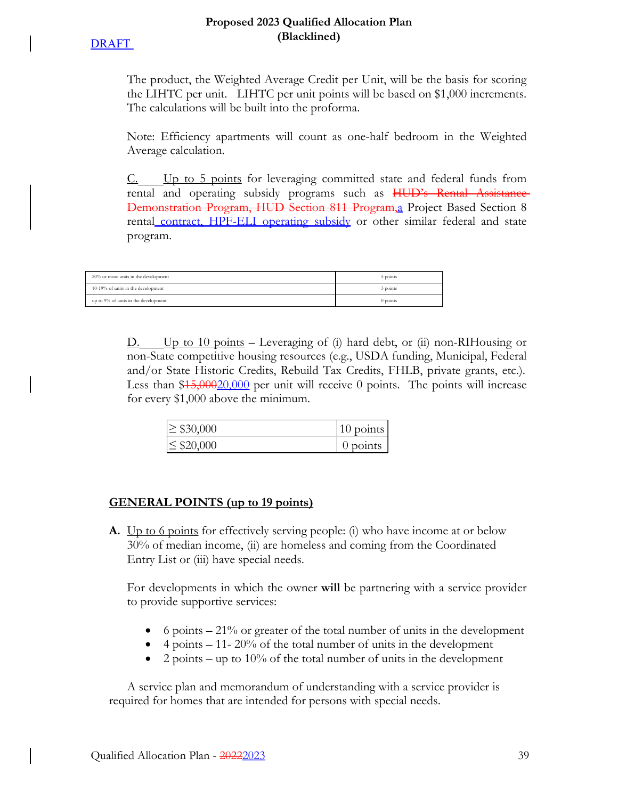### **Proposed 2023 Qualified Allocation Plan (Blacklined)**

The product, the Weighted Average Credit per Unit, will be the basis for scoring the LIHTC per unit. LIHTC per unit points will be based on \$1,000 increments. The calculations will be built into the proforma.

Note: Efficiency apartments will count as one-half bedroom in the Weighted Average calculation.

C. Up to 5 points for leveraging committed state and federal funds from rental and operating subsidy programs such as HUD's Rental Assistance Demonstration Program, HUD Section 811 Program,a Project Based Section 8 rental contract, HPF-ELI operating subsidy or other similar federal and state program.

| 20% or more units in the development | 5 points   |
|--------------------------------------|------------|
| 10-19% of units in the development   | 3 points   |
| up to 9% of units in the development | $0$ points |

 $D.$  Up to 10 points – Leveraging of (i) hard debt, or (ii) non-RIHousing or non-State competitive housing resources (e.g., USDA funding, Municipal, Federal and/or State Historic Credits, Rebuild Tax Credits, FHLB, private grants, etc.). Less than \$45,000,000 per unit will receive 0 points. The points will increase for every \$1,000 above the minimum.

| $\geq$ \$30,000 | $\vert$ 10 points |
|-----------------|-------------------|
| $\leq$ \$20,000 | $0$ points        |

# **GENERAL POINTS (up to 19 points)**

**A.** Up to 6 points for effectively serving people: (i) who have income at or below 30% of median income, (ii) are homeless and coming from the Coordinated Entry List or (iii) have special needs.

For developments in which the owner **will** be partnering with a service provider to provide supportive services:

- $\bullet$  6 points  $-21\%$  or greater of the total number of units in the development
- $\bullet$  4 points 11- 20% of the total number of units in the development
- 2 points up to 10% of the total number of units in the development

A service plan and memorandum of understanding with a service provider is required for homes that are intended for persons with special needs.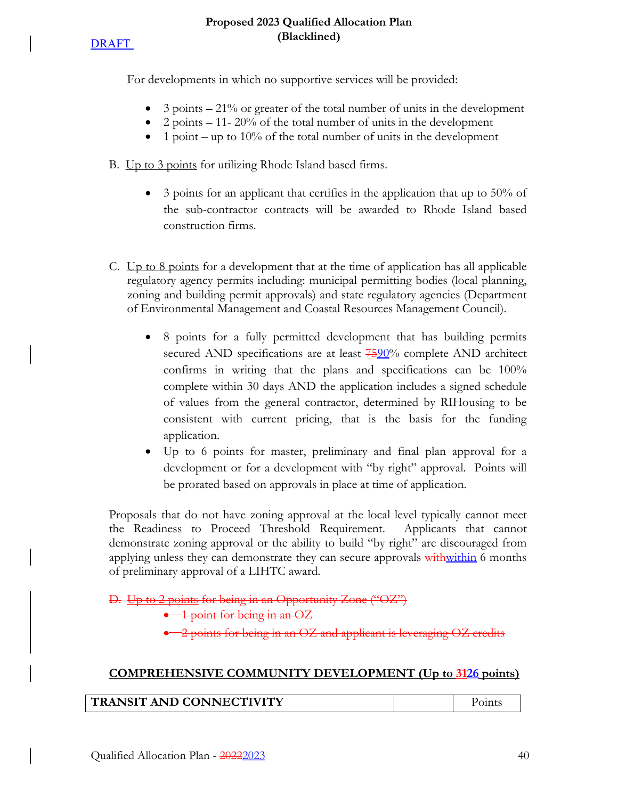**DRAFT** 

For developments in which no supportive services will be provided:

- 3 points 21% or greater of the total number of units in the development
- 2 points  $-11-20\%$  of the total number of units in the development
- $\bullet$  1 point up to 10% of the total number of units in the development

B. Up to 3 points for utilizing Rhode Island based firms.

- 3 points for an applicant that certifies in the application that up to 50% of the sub-contractor contracts will be awarded to Rhode Island based construction firms.
- C. Up to 8 points for a development that at the time of application has all applicable regulatory agency permits including: municipal permitting bodies (local planning, zoning and building permit approvals) and state regulatory agencies (Department of Environmental Management and Coastal Resources Management Council).
	- 8 points for a fully permitted development that has building permits secured AND specifications are at least  $7520%$  complete AND architect confirms in writing that the plans and specifications can be 100% complete within 30 days AND the application includes a signed schedule of values from the general contractor, determined by RIHousing to be consistent with current pricing, that is the basis for the funding application.
	- Up to 6 points for master, preliminary and final plan approval for a development or for a development with "by right" approval. Points will be prorated based on approvals in place at time of application.

Proposals that do not have zoning approval at the local level typically cannot meet the Readiness to Proceed Threshold Requirement. Applicants that cannot demonstrate zoning approval or the ability to build "by right" are discouraged from applying unless they can demonstrate they can secure approvals with within 6 months of preliminary approval of a LIHTC award.

D. Up to 2 points for being in an Opportunity Zone ("OZ")

1 point for being in an OZ

2 points for being in an OZ and applicant is leveraging OZ credits

# **COMPREHENSIVE COMMUNITY DEVELOPMENT (Up to 3126 points)**

| TRANSIT AND CONNECTIVITY | Points |
|--------------------------|--------|
|--------------------------|--------|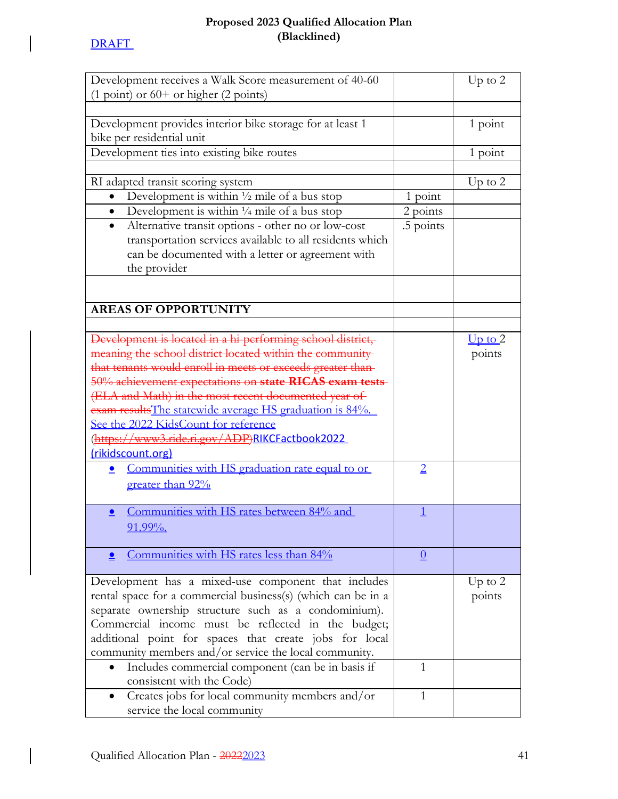$\bigg\}$ 

 $\bigg\}$ 

# **Proposed 2023 Qualified Allocation Plan (Blacklined)**

| Development receives a Walk Score measurement of 40-60                                 |                 | Up to $2$   |
|----------------------------------------------------------------------------------------|-----------------|-------------|
| $(1 point)$ or $60+$ or higher $(2 point)$                                             |                 |             |
|                                                                                        |                 |             |
| Development provides interior bike storage for at least 1<br>bike per residential unit |                 | 1 point     |
| Development ties into existing bike routes                                             |                 | 1 point     |
|                                                                                        |                 |             |
|                                                                                        |                 |             |
| RI adapted transit scoring system                                                      |                 | Up to $2$   |
| Development is within $\frac{1}{2}$ mile of a bus stop                                 | 1 point         |             |
| Development is within $\frac{1}{4}$ mile of a bus stop<br>$\bullet$                    | 2 points        |             |
| Alternative transit options - other no or low-cost<br>$\bullet$                        | .5 points       |             |
| transportation services available to all residents which                               |                 |             |
| can be documented with a letter or agreement with                                      |                 |             |
| the provider                                                                           |                 |             |
|                                                                                        |                 |             |
| <b>AREAS OF OPPORTUNITY</b>                                                            |                 |             |
|                                                                                        |                 |             |
| Development is located in a hi-performing school district,                             |                 | $Up$ to $2$ |
| meaning the school district located within the community                               |                 | points      |
| that tenants would enroll in meets or exceeds greater than-                            |                 |             |
| 50% achievement expectations on state RICAS exam tests-                                |                 |             |
| (ELA and Math) in the most recent documented year of                                   |                 |             |
| exam results The statewide average HS graduation is 84%.                               |                 |             |
|                                                                                        |                 |             |
| See the 2022 KidsCount for reference                                                   |                 |             |
| (https://www3.ride.ri.gov/ADP)RIKCFactbook2022                                         |                 |             |
| (rikidscount.org)                                                                      |                 |             |
| Communities with HS graduation rate equal to or<br>≗                                   | $\overline{2}$  |             |
| <u>greater than 92%</u>                                                                |                 |             |
|                                                                                        |                 |             |
| Communities with HS rates between 84% and                                              |                 |             |
| 91.99%.                                                                                |                 |             |
|                                                                                        |                 |             |
| Communities with HS rates less than 84%                                                | $\underline{0}$ |             |
| Development has a mixed-use component that includes                                    |                 |             |
|                                                                                        |                 | Up to $2$   |
| rental space for a commercial business(s) (which can be in a                           |                 | points      |
| separate ownership structure such as a condominium).                                   |                 |             |
| Commercial income must be reflected in the budget;                                     |                 |             |
| additional point for spaces that create jobs for local                                 |                 |             |
| community members and/or service the local community.                                  |                 |             |
| Includes commercial component (can be in basis if                                      | $\mathbf{1}$    |             |
| consistent with the Code)                                                              |                 |             |
| Creates jobs for local community members and/or                                        | 1               |             |
| service the local community                                                            |                 |             |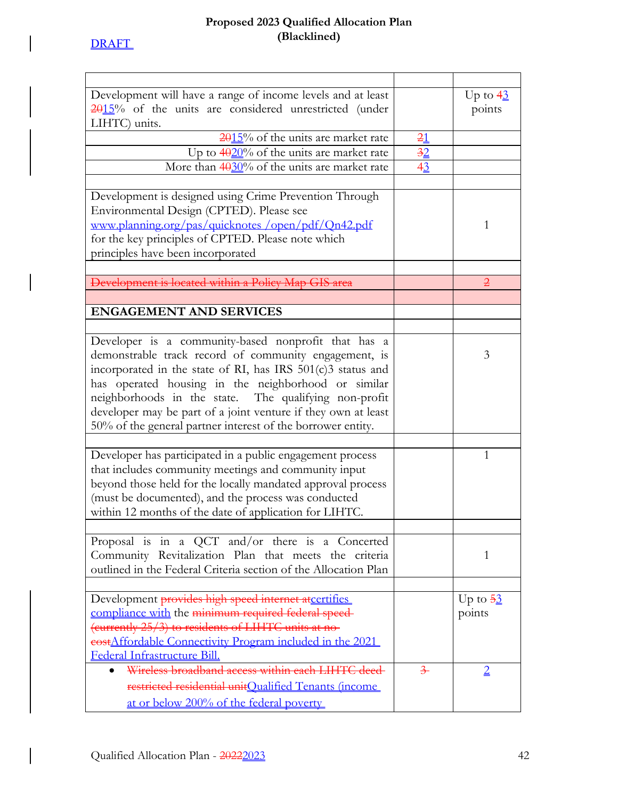$\begin{array}{c} \hline \end{array}$ 

 $\Big\}$ 

 $\overline{\phantom{a}}$ 

# **Proposed 2023 Qualified Allocation Plan (Blacklined)**

| Development will have a range of income levels and at least     |                | Up to $4\frac{3}{2}$ |
|-----------------------------------------------------------------|----------------|----------------------|
| $2015$ % of the units are considered unrestricted (under        |                | points               |
| LIHTC) units.                                                   |                |                      |
| $2015%$ of the units are market rate                            | 21             |                      |
| Up to $4020\%$ of the units are market rate                     | $\frac{32}{5}$ |                      |
| More than $40.30\%$ of the units are market rate                | $4^{3}_{-}$    |                      |
|                                                                 |                |                      |
| Development is designed using Crime Prevention Through          |                |                      |
| Environmental Design (CPTED). Please see                        |                |                      |
|                                                                 |                |                      |
| www.planning.org/pas/quicknotes/open/pdf/Qn42.pdf               |                | 1                    |
| for the key principles of CPTED. Please note which              |                |                      |
| principles have been incorporated                               |                |                      |
|                                                                 |                |                      |
| Development is located within a Policy Map GIS area             |                | $\overline{2}$       |
|                                                                 |                |                      |
| <b>ENGAGEMENT AND SERVICES</b>                                  |                |                      |
|                                                                 |                |                      |
| Developer is a community-based nonprofit that has a             |                |                      |
| demonstrable track record of community engagement, is           |                | 3                    |
| incorporated in the state of RI, has IRS 501(c)3 status and     |                |                      |
| has operated housing in the neighborhood or similar             |                |                      |
|                                                                 |                |                      |
| neighborhoods in the state. The qualifying non-profit           |                |                      |
| developer may be part of a joint venture if they own at least   |                |                      |
| 50% of the general partner interest of the borrower entity.     |                |                      |
|                                                                 |                |                      |
| Developer has participated in a public engagement process       |                | 1                    |
| that includes community meetings and community input            |                |                      |
| beyond those held for the locally mandated approval process     |                |                      |
| (must be documented), and the process was conducted             |                |                      |
| within 12 months of the date of application for LIHTC.          |                |                      |
|                                                                 |                |                      |
| Proposal is in a QCT and/or there is a Concerted                |                |                      |
| Community Revitalization Plan that meets the criteria           |                | 1                    |
| outlined in the Federal Criteria section of the Allocation Plan |                |                      |
|                                                                 |                |                      |
|                                                                 |                |                      |
| Development provides high speed internet atcertifies            |                | Up to $\frac{53}{2}$ |
| compliance with the minimum required federal speed-             |                | points               |
| (currently 25/3) to residents of LIHTC units at no-             |                |                      |
| eostAffordable Connectivity Program included in the 2021        |                |                      |
| Federal Infrastructure Bill.                                    |                |                      |
| Wireless broadband access within each LIHTC deed-               | $\frac{3}{2}$  | $\overline{2}$       |
| restricted residential unitQualified Tenants (income            |                |                      |
| at or below 200% of the federal poverty                         |                |                      |
|                                                                 |                |                      |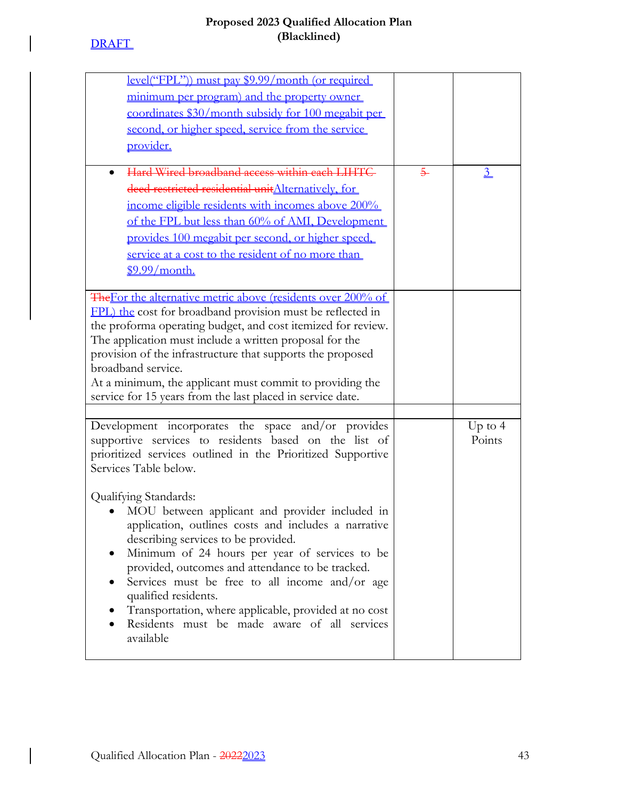# **DRAFT**

 $\overline{\phantom{a}}$ 

 $\bigg|$ 

| <u>level("FPL"))</u> must pay \$9.99/month (or required<br>minimum per program) and the property owner<br>coordinates \$30/month subsidy for 100 megabit per<br>second, or higher speed, service from the service<br>provider.<br>Hard Wired broadband access within each LIHTC<br>$\bullet$<br>deed restricted residential unit Alternatively, for<br>income eligible residents with incomes above 200%                                                                                                                                                                                                                                                                            | $\overline{5}$ | $\frac{3}{2}$       |
|-------------------------------------------------------------------------------------------------------------------------------------------------------------------------------------------------------------------------------------------------------------------------------------------------------------------------------------------------------------------------------------------------------------------------------------------------------------------------------------------------------------------------------------------------------------------------------------------------------------------------------------------------------------------------------------|----------------|---------------------|
| of the FPL but less than 60% of AMI, Development<br>provides 100 megabit per second, or higher speed,<br>service at a cost to the resident of no more than<br>\$9.99/month.                                                                                                                                                                                                                                                                                                                                                                                                                                                                                                         |                |                     |
| The For the alternative metric above (residents over 200% of<br>FPL) the cost for broadband provision must be reflected in<br>the proforma operating budget, and cost itemized for review.<br>The application must include a written proposal for the<br>provision of the infrastructure that supports the proposed<br>broadband service.<br>At a minimum, the applicant must commit to providing the<br>service for 15 years from the last placed in service date.                                                                                                                                                                                                                 |                |                     |
| Development incorporates the space and/or provides<br>supportive services to residents based on the list of<br>prioritized services outlined in the Prioritized Supportive<br>Services Table below.<br>Qualifying Standards:<br>MOU between applicant and provider included in<br>application, outlines costs and includes a narrative<br>describing services to be provided.<br>Minimum of 24 hours per year of services to be<br>provided, outcomes and attendance to be tracked.<br>Services must be free to all income and/or age<br>qualified residents.<br>Transportation, where applicable, provided at no cost<br>Residents must be made aware of all services<br>available |                | Up to $4$<br>Points |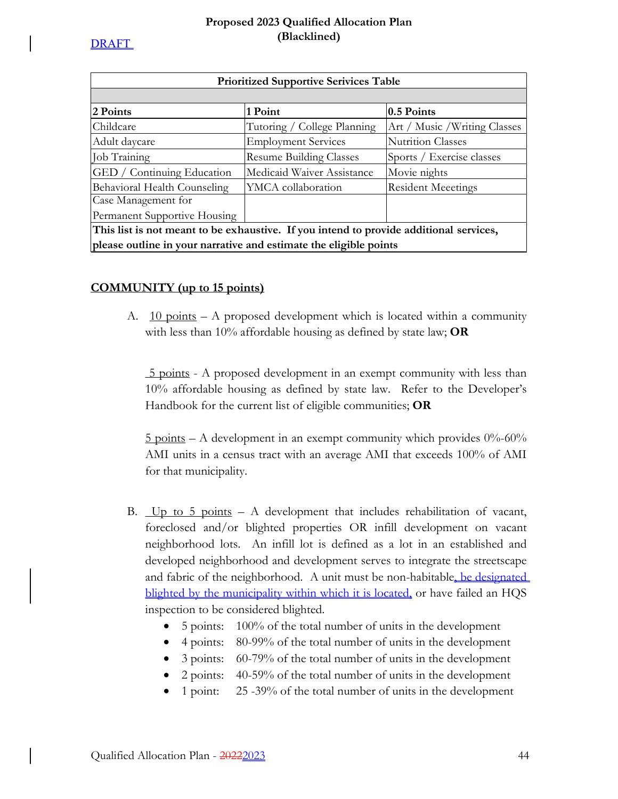| <b>Prioritized Supportive Serivices Table</b>                                          |                                |                               |
|----------------------------------------------------------------------------------------|--------------------------------|-------------------------------|
|                                                                                        |                                |                               |
| 2 Points                                                                               | 1 Point                        | $0.5$ Points                  |
| Childcare                                                                              | Tutoring / College Planning    | Art / Music / Writing Classes |
| Adult daycare                                                                          | <b>Employment Services</b>     | Nutrition Classes             |
| Job Training                                                                           | <b>Resume Building Classes</b> | Sports / Exercise classes     |
| GED / Continuing Education                                                             | Medicaid Waiver Assistance     | Movie nights                  |
| Behavioral Health Counseling                                                           | YMCA collaboration             | <b>Resident Meeetings</b>     |
| Case Management for                                                                    |                                |                               |
| Permanent Supportive Housing                                                           |                                |                               |
| This list is not meant to be exhaustive. If you intend to provide additional services, |                                |                               |
| please outline in your narrative and estimate the eligible points                      |                                |                               |

# **COMMUNITY (up to 15 points)**

A. 10 points – A proposed development which is located within a community with less than 10% affordable housing as defined by state law; **OR**

 5 points - A proposed development in an exempt community with less than 10% affordable housing as defined by state law. Refer to the Developer's Handbook for the current list of eligible communities; **OR**

5 points – A development in an exempt community which provides 0%-60% AMI units in a census tract with an average AMI that exceeds 100% of AMI for that municipality.

- B.  $Up$  to 5 points A development that includes rehabilitation of vacant, foreclosed and/or blighted properties OR infill development on vacant neighborhood lots. An infill lot is defined as a lot in an established and developed neighborhood and development serves to integrate the streetscape and fabric of the neighborhood. A unit must be non-habitable, be designated blighted by the municipality within which it is located, or have failed an HQS inspection to be considered blighted.
	- 5 points: 100% of the total number of units in the development
	- 4 points: 80-99% of the total number of units in the development
	- 3 points: 60-79% of the total number of units in the development
	- 2 points: 40-59% of the total number of units in the development
	- 1 point: 25 -39% of the total number of units in the development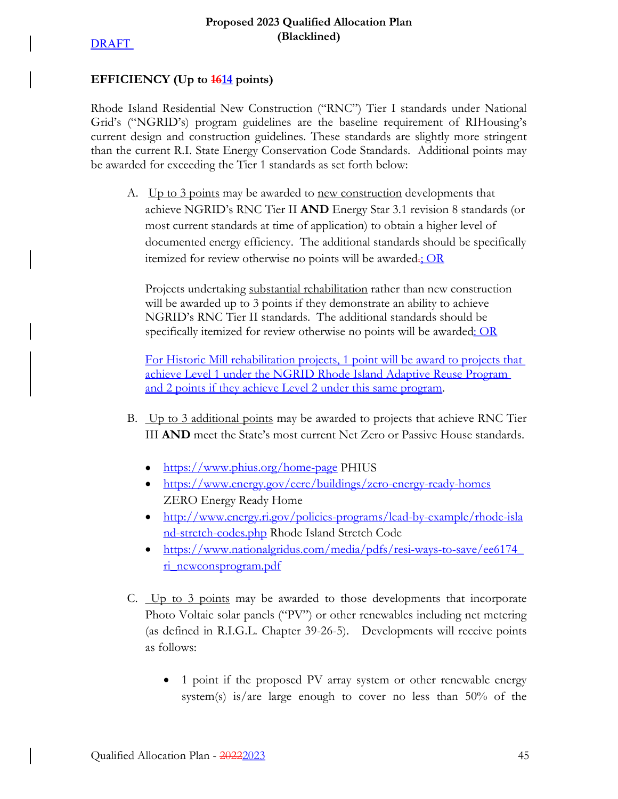### EFFICIENCY (Up to  $\frac{1614}{161}$  points)

Rhode Island Residential New Construction ("RNC") Tier I standards under National Grid's ("NGRID's) program guidelines are the baseline requirement of RIHousing's current design and construction guidelines. These standards are slightly more stringent than the current R.I. State Energy Conservation Code Standards. Additional points may be awarded for exceeding the Tier 1 standards as set forth below:

A. Up to 3 points may be awarded to new construction developments that achieve NGRID's RNC Tier II **AND** Energy Star 3.1 revision 8 standards (or most current standards at time of application) to obtain a higher level of documented energy efficiency. The additional standards should be specifically itemized for review otherwise no points will be awarded. $\frac{C}{2}$ 

Projects undertaking substantial rehabilitation rather than new construction will be awarded up to 3 points if they demonstrate an ability to achieve NGRID's RNC Tier II standards. The additional standards should be specifically itemized for review otherwise no points will be awarded: OR

For Historic Mill rehabilitation projects, 1 point will be award to projects that achieve Level 1 under the NGRID Rhode Island Adaptive Reuse Program and 2 points if they achieve Level 2 under this same program.

- B. Up to 3 additional points may be awarded to projects that achieve RNC Tier III **AND** meet the State's most current Net Zero or Passive House standards.
	- https://www.phius.org/home-page PHIUS
	- https://www.energy.gov/eere/buildings/zero-energy-ready-homes ZERO Energy Ready Home
	- http://www.energy.ri.gov/policies-programs/lead-by-example/rhode-isla nd-stretch-codes.php Rhode Island Stretch Code
	- https://www.nationalgridus.com/media/pdfs/resi-ways-to-save/ee6174\_ ri\_newconsprogram.pdf
- C. Up to 3 points may be awarded to those developments that incorporate Photo Voltaic solar panels ("PV") or other renewables including net metering (as defined in R.I.G.L. Chapter 39-26-5). Developments will receive points as follows:
	- 1 point if the proposed PV array system or other renewable energy system(s) is/are large enough to cover no less than 50% of the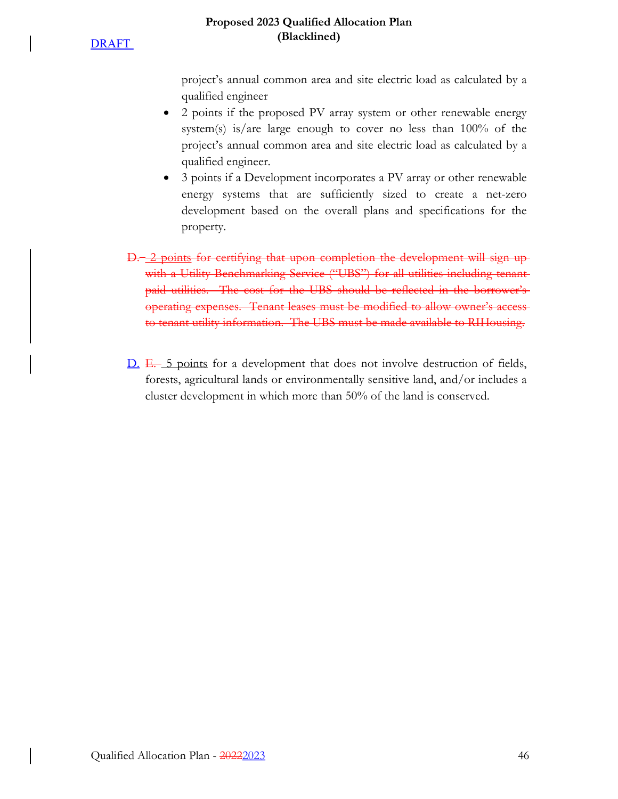## **Proposed 2023 Qualified Allocation Plan (Blacklined)**

project's annual common area and site electric load as calculated by a qualified engineer

- 2 points if the proposed PV array system or other renewable energy system(s) is/are large enough to cover no less than 100% of the project's annual common area and site electric load as calculated by a qualified engineer.
- 3 points if a Development incorporates a PV array or other renewable energy systems that are sufficiently sized to create a net-zero development based on the overall plans and specifications for the property.
- D. 2 points for certifying that upon completion the development will sign upwith a Utility Benchmarking Service ("UBS") for all utilities including tenantpaid utilities. The cost for the UBS should be reflected in the borrower's operating expenses. Tenant leases must be modified to allow owner's access to tenant utility information. The UBS must be made available to RIHousing.
- D. E. 5 points for a development that does not involve destruction of fields, forests, agricultural lands or environmentally sensitive land, and/or includes a cluster development in which more than 50% of the land is conserved.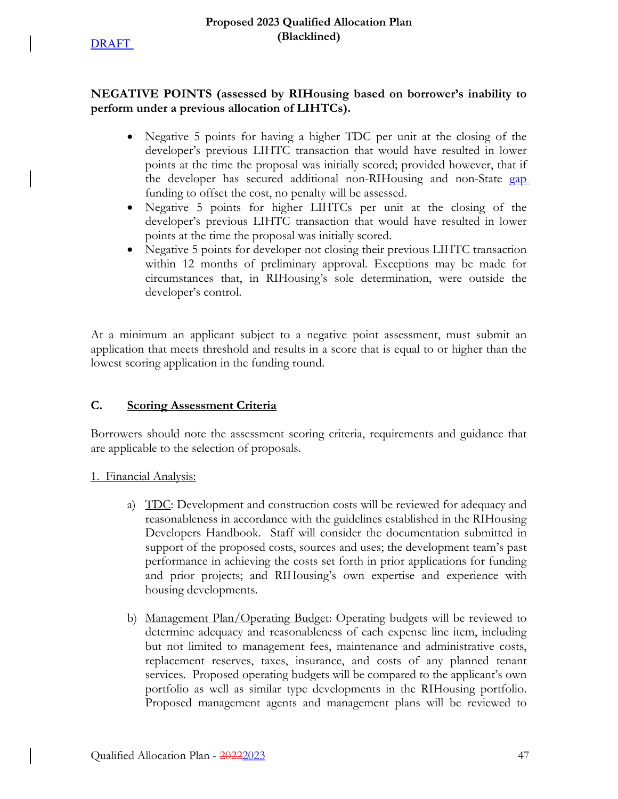

# **NEGATIVE POINTS (assessed by RIHousing based on borrower's inability to perform under a previous allocation of LIHTCs).**

- Negative 5 points for having a higher TDC per unit at the closing of the developer's previous LIHTC transaction that would have resulted in lower points at the time the proposal was initially scored; provided however, that if the developer has secured additional non-RIHousing and non-State gap funding to offset the cost, no penalty will be assessed.
- Negative 5 points for higher LIHTCs per unit at the closing of the developer's previous LIHTC transaction that would have resulted in lower points at the time the proposal was initially scored.
- Negative 5 points for developer not closing their previous LIHTC transaction within 12 months of preliminary approval. Exceptions may be made for circumstances that, in RIHousing's sole determination, were outside the developer's control.

At a minimum an applicant subject to a negative point assessment, must submit an application that meets threshold and results in a score that is equal to or higher than the lowest scoring application in the funding round.

# **C. Scoring Assessment Criteria**

Borrowers should note the assessment scoring criteria, requirements and guidance that are applicable to the selection of proposals.

1. Financial Analysis:

- a) TDC: Development and construction costs will be reviewed for adequacy and reasonableness in accordance with the guidelines established in the RIHousing Developers Handbook. Staff will consider the documentation submitted in support of the proposed costs, sources and uses; the development team's past performance in achieving the costs set forth in prior applications for funding and prior projects; and RIHousing's own expertise and experience with housing developments.
- b) Management Plan/Operating Budget: Operating budgets will be reviewed to determine adequacy and reasonableness of each expense line item, including but not limited to management fees, maintenance and administrative costs, replacement reserves, taxes, insurance, and costs of any planned tenant services. Proposed operating budgets will be compared to the applicant's own portfolio as well as similar type developments in the RIHousing portfolio. Proposed management agents and management plans will be reviewed to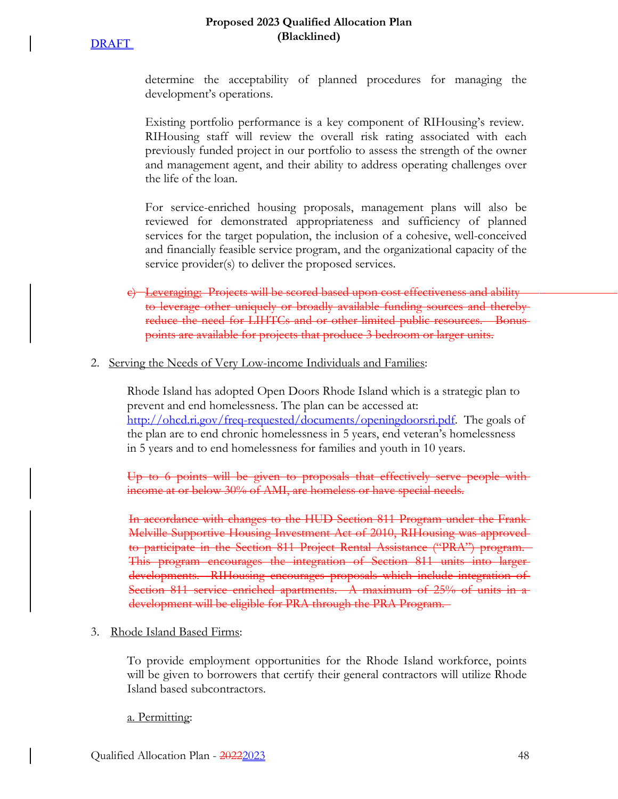### **Proposed 2023 Qualified Allocation Plan (Blacklined)**

determine the acceptability of planned procedures for managing the development's operations.

Existing portfolio performance is a key component of RIHousing's review. RIHousing staff will review the overall risk rating associated with each previously funded project in our portfolio to assess the strength of the owner and management agent, and their ability to address operating challenges over the life of the loan.

For service-enriched housing proposals, management plans will also be reviewed for demonstrated appropriateness and sufficiency of planned services for the target population, the inclusion of a cohesive, well-conceived and financially feasible service program, and the organizational capacity of the service provider(s) to deliver the proposed services.

e) Leveraging: Projects will be scored based upon cost effectiveness and ability to leverage other uniquely or broadly available funding sources and thereby reduce the need for LIHTCs and or other limited public resources. Bonus points are available for projects that produce 3 bedroom or larger units.

### 2. Serving the Needs of Very Low-income Individuals and Families:

Rhode Island has adopted Open Doors Rhode Island which is a strategic plan to prevent and end homelessness. The plan can be accessed at: http://ohcd.ri.gov/freq-requested/documents/openingdoorsri.pdf. The goals of the plan are to end chronic homelessness in 5 years, end veteran's homelessness in 5 years and to end homelessness for families and youth in 10 years.

Up to 6 points will be given to proposals that effectively serve people with income at or below 30% of AMI, are homeless or have special needs.

In accordance with changes to the HUD Section 811 Program under the Frank Melville Supportive Housing Investment Act of 2010, RIHousing was approved to participate in the Section 811 Project Rental Assistance ("PRA") program. This program encourages the integration of Section 811 units into larger developments. RIHousing encourages proposals which include integration of Section 811 service enriched apartments. A maximum of 25% of units in a development will be eligible for PRA through the PRA Program.

### 3. Rhode Island Based Firms:

To provide employment opportunities for the Rhode Island workforce, points will be given to borrowers that certify their general contractors will utilize Rhode Island based subcontractors.

### a. Permitting: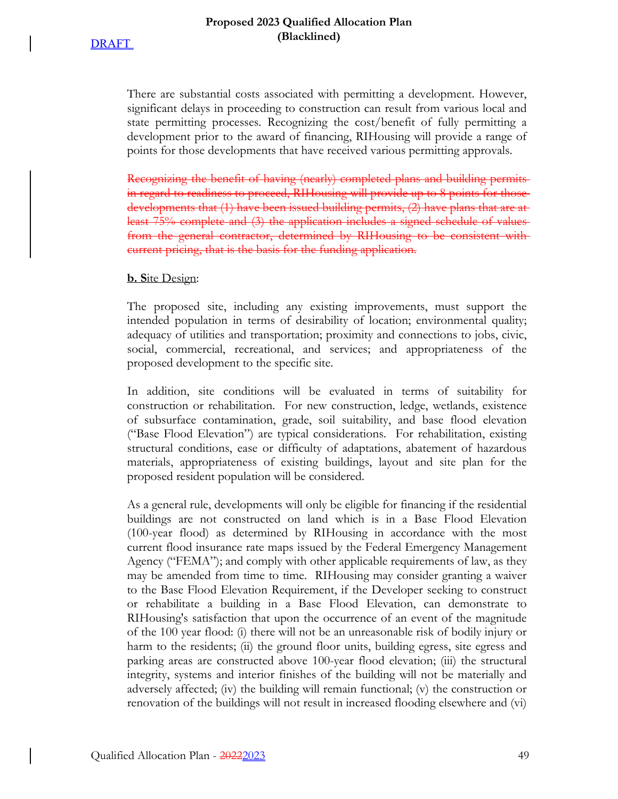There are substantial costs associated with permitting a development. However, significant delays in proceeding to construction can result from various local and state permitting processes. Recognizing the cost/benefit of fully permitting a development prior to the award of financing, RIHousing will provide a range of points for those developments that have received various permitting approvals.

Recognizing the benefit of having (nearly) completed plans and building permits in regard to readiness to proceed, RIHousing will provide up to 8 points for those developments that (1) have been issued building permits, (2) have plans that are at least 75% complete and (3) the application includes a signed schedule of values from the general contractor, determined by RIHousing to be consistent with current pricing, that is the basis for the funding application.

### **b. S**ite Design:

The proposed site, including any existing improvements, must support the intended population in terms of desirability of location; environmental quality; adequacy of utilities and transportation; proximity and connections to jobs, civic, social, commercial, recreational, and services; and appropriateness of the proposed development to the specific site.

In addition, site conditions will be evaluated in terms of suitability for construction or rehabilitation. For new construction, ledge, wetlands, existence of subsurface contamination, grade, soil suitability, and base flood elevation ("Base Flood Elevation") are typical considerations. For rehabilitation, existing structural conditions, ease or difficulty of adaptations, abatement of hazardous materials, appropriateness of existing buildings, layout and site plan for the proposed resident population will be considered.

As a general rule, developments will only be eligible for financing if the residential buildings are not constructed on land which is in a Base Flood Elevation (100-year flood) as determined by RIHousing in accordance with the most current flood insurance rate maps issued by the Federal Emergency Management Agency ("FEMA"); and comply with other applicable requirements of law, as they may be amended from time to time. RIHousing may consider granting a waiver to the Base Flood Elevation Requirement, if the Developer seeking to construct or rehabilitate a building in a Base Flood Elevation, can demonstrate to RIHousing's satisfaction that upon the occurrence of an event of the magnitude of the 100 year flood: (i) there will not be an unreasonable risk of bodily injury or harm to the residents; (ii) the ground floor units, building egress, site egress and parking areas are constructed above 100-year flood elevation; (iii) the structural integrity, systems and interior finishes of the building will not be materially and adversely affected; (iv) the building will remain functional; (v) the construction or renovation of the buildings will not result in increased flooding elsewhere and (vi)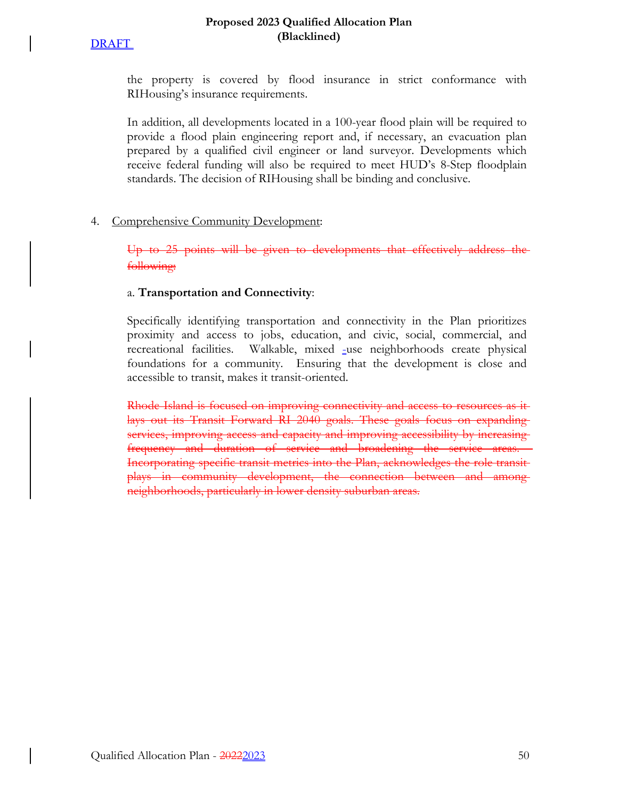### **Proposed 2023 Qualified Allocation Plan (Blacklined)**

the property is covered by flood insurance in strict conformance with RIHousing's insurance requirements.

In addition, all developments located in a 100-year flood plain will be required to provide a flood plain engineering report and, if necessary, an evacuation plan prepared by a qualified civil engineer or land surveyor. Developments which receive federal funding will also be required to meet HUD's 8-Step floodplain standards. The decision of RIHousing shall be binding and conclusive.

# 4. Comprehensive Community Development:

Up to 25 points will be given to developments that effectively address the following:

# a. **Transportation and Connectivity**:

Specifically identifying transportation and connectivity in the Plan prioritizes proximity and access to jobs, education, and civic, social, commercial, and recreational facilities. Walkable, mixed -use neighborhoods create physical foundations for a community. Ensuring that the development is close and accessible to transit, makes it transit-oriented.

Rhode Island is focused on improving connectivity and access to resources as it lays out its Transit Forward RI 2040 goals. These goals focus on expanding services, improving access and capacity and improving accessibility by increasing frequency and duration of service and broadening the service areas. Incorporating specific transit metrics into the Plan, acknowledges the role transit plays in community development, the connection between and among neighborhoods, particularly in lower density suburban areas.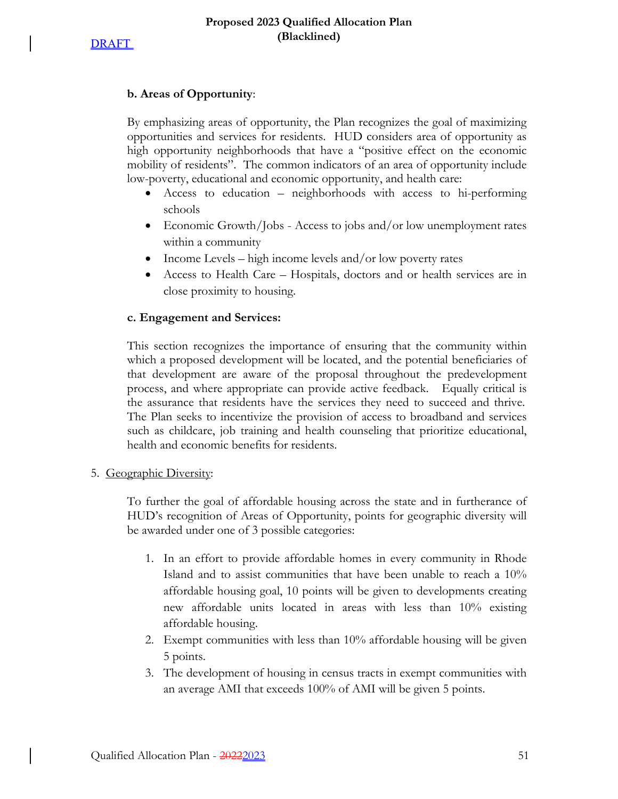### **b. Areas of Opportunity**:

By emphasizing areas of opportunity, the Plan recognizes the goal of maximizing opportunities and services for residents. HUD considers area of opportunity as high opportunity neighborhoods that have a "positive effect on the economic mobility of residents". The common indicators of an area of opportunity include low-poverty, educational and economic opportunity, and health care:

- Access to education neighborhoods with access to hi-performing schools
- Economic Growth/Jobs Access to jobs and/or low unemployment rates within a community
- Income Levels high income levels and/or low poverty rates
- Access to Health Care Hospitals, doctors and or health services are in close proximity to housing.

### **c. Engagement and Services:**

This section recognizes the importance of ensuring that the community within which a proposed development will be located, and the potential beneficiaries of that development are aware of the proposal throughout the predevelopment process, and where appropriate can provide active feedback. Equally critical is the assurance that residents have the services they need to succeed and thrive. The Plan seeks to incentivize the provision of access to broadband and services such as childcare, job training and health counseling that prioritize educational, health and economic benefits for residents.

### 5. Geographic Diversity:

To further the goal of affordable housing across the state and in furtherance of HUD's recognition of Areas of Opportunity, points for geographic diversity will be awarded under one of 3 possible categories:

- 1. In an effort to provide affordable homes in every community in Rhode Island and to assist communities that have been unable to reach a 10% affordable housing goal, 10 points will be given to developments creating new affordable units located in areas with less than 10% existing affordable housing.
- 2. Exempt communities with less than 10% affordable housing will be given 5 points.
- 3. The development of housing in census tracts in exempt communities with an average AMI that exceeds 100% of AMI will be given 5 points.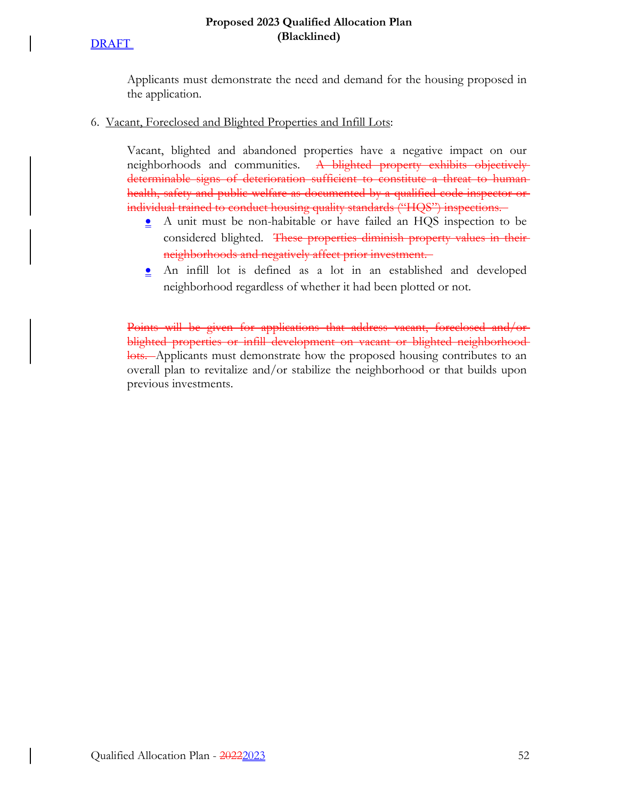# **DRAFT**

Applicants must demonstrate the need and demand for the housing proposed in the application.

6. Vacant, Foreclosed and Blighted Properties and Infill Lots:

Vacant, blighted and abandoned properties have a negative impact on our neighborhoods and communities. A blighted property exhibits objectively determinable signs of deterioration sufficient to constitute a threat to human health, safety and public welfare as documented by a qualified code inspector or individual trained to conduct housing quality standards ("HQS") inspections.

- A unit must be non-habitable or have failed an HQS inspection to be considered blighted. These properties diminish property values in their neighborhoods and negatively affect prior investment.
- An infill lot is defined as a lot in an established and developed neighborhood regardless of whether it had been plotted or not.

Points will be given for applications that address vacant, foreclosed and/or blighted properties or infill development on vacant or blighted neighborhoodlots. Applicants must demonstrate how the proposed housing contributes to an overall plan to revitalize and/or stabilize the neighborhood or that builds upon previous investments.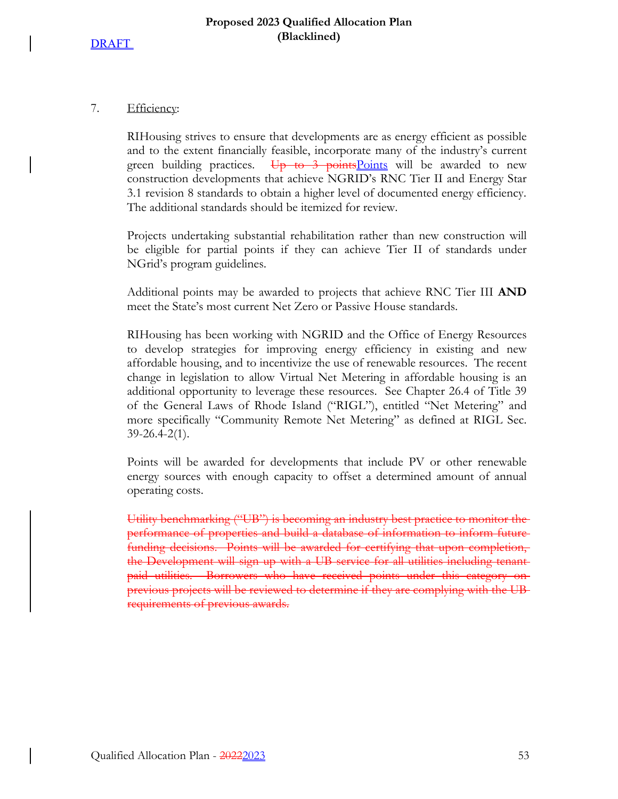### 7. Efficiency:

RIHousing strives to ensure that developments are as energy efficient as possible and to the extent financially feasible, incorporate many of the industry's current green building practices. Up to 3 points Points will be awarded to new construction developments that achieve NGRID's RNC Tier II and Energy Star 3.1 revision 8 standards to obtain a higher level of documented energy efficiency. The additional standards should be itemized for review.

Projects undertaking substantial rehabilitation rather than new construction will be eligible for partial points if they can achieve Tier II of standards under NGrid's program guidelines.

Additional points may be awarded to projects that achieve RNC Tier III **AND** meet the State's most current Net Zero or Passive House standards.

RIHousing has been working with NGRID and the Office of Energy Resources to develop strategies for improving energy efficiency in existing and new affordable housing, and to incentivize the use of renewable resources. The recent change in legislation to allow Virtual Net Metering in affordable housing is an additional opportunity to leverage these resources. See Chapter 26.4 of Title 39 of the General Laws of Rhode Island ("RIGL"), entitled "Net Metering" and more specifically "Community Remote Net Metering" as defined at RIGL Sec. 39-26.4-2(1).

Points will be awarded for developments that include PV or other renewable energy sources with enough capacity to offset a determined amount of annual operating costs.

Utility benchmarking ("UB") is becoming an industry best practice to monitor the performance of properties and build a database of information to inform future funding decisions. Points will be awarded for certifying that upon completion, the Development will sign up with a UB service for all utilities including tenantpaid utilities. Borrowers who have received points under this category on previous projects will be reviewed to determine if they are complying with the UB requirements of previous awards.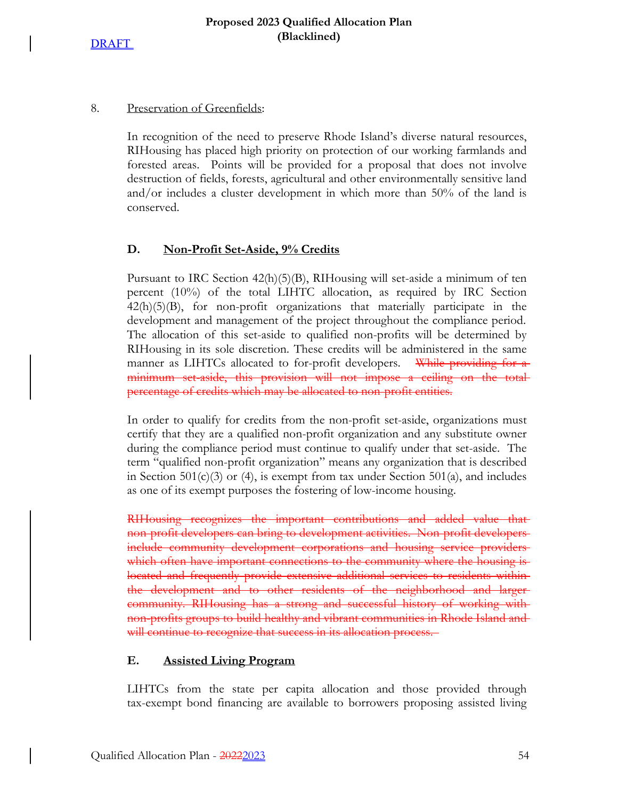# 8. Preservation of Greenfields:

In recognition of the need to preserve Rhode Island's diverse natural resources, RIHousing has placed high priority on protection of our working farmlands and forested areas. Points will be provided for a proposal that does not involve destruction of fields, forests, agricultural and other environmentally sensitive land and/or includes a cluster development in which more than 50% of the land is conserved.

# **D. Non-Profit Set-Aside, 9% Credits**

Pursuant to IRC Section 42(h)(5)(B), RIHousing will set-aside a minimum of ten percent (10%) of the total LIHTC allocation, as required by IRC Section  $42(h)(5)(B)$ , for non-profit organizations that materially participate in the development and management of the project throughout the compliance period. The allocation of this set-aside to qualified non-profits will be determined by RIHousing in its sole discretion. These credits will be administered in the same manner as LIHTCs allocated to for-profit developers. While providing for a minimum set-aside, this provision will not impose a ceiling on the total percentage of credits which may be allocated to non-profit entities.

In order to qualify for credits from the non-profit set-aside, organizations must certify that they are a qualified non-profit organization and any substitute owner during the compliance period must continue to qualify under that set-aside. The term "qualified non-profit organization" means any organization that is described in Section 501(c)(3) or (4), is exempt from tax under Section 501(a), and includes as one of its exempt purposes the fostering of low-income housing.

RIHousing recognizes the important contributions and added value that non-profit developers can bring to development activities. Non-profit developers include community development corporations and housing service providers which often have important connections to the community where the housing is located and frequently provide extensive additional services to residents within the development and to other residents of the neighborhood and larger community. RIHousing has a strong and successful history of working with non-profits groups to build healthy and vibrant communities in Rhode Island and will continue to recognize that success in its allocation process.

# **E. Assisted Living Program**

LIHTCs from the state per capita allocation and those provided through tax-exempt bond financing are available to borrowers proposing assisted living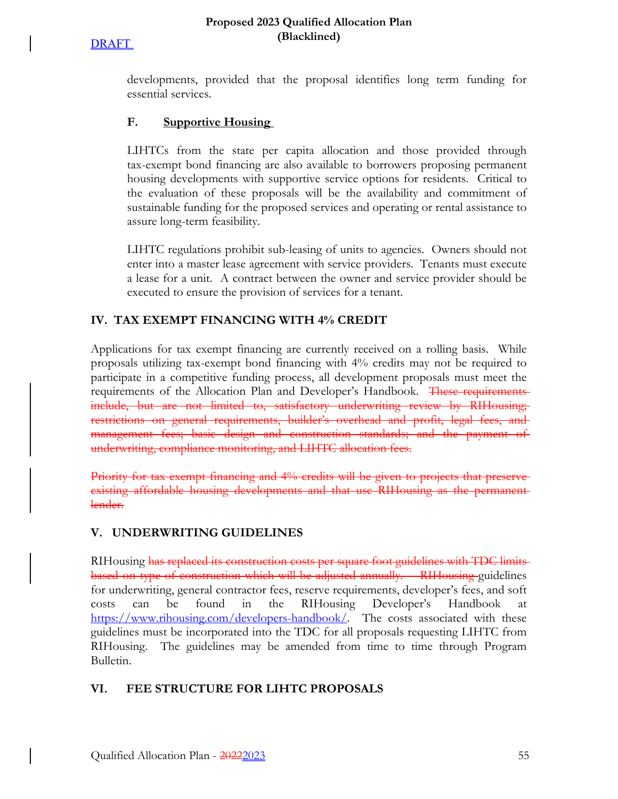#### **Proposed 2023 Qualified Allocation Plan (Blacklined)**

developments, provided that the proposal identifies long term funding for essential services.

# **F. Supportive Housing**

LIHTCs from the state per capita allocation and those provided through tax-exempt bond financing are also available to borrowers proposing permanent housing developments with supportive service options for residents. Critical to the evaluation of these proposals will be the availability and commitment of sustainable funding for the proposed services and operating or rental assistance to assure long-term feasibility.

LIHTC regulations prohibit sub-leasing of units to agencies. Owners should not enter into a master lease agreement with service providers. Tenants must execute a lease for a unit. A contract between the owner and service provider should be executed to ensure the provision of services for a tenant.

# **IV. TAX EXEMPT FINANCING WITH 4% CREDIT**

Applications for tax exempt financing are currently received on a rolling basis. While proposals utilizing tax-exempt bond financing with 4% credits may not be required to participate in a competitive funding process, all development proposals must meet the requirements of the Allocation Plan and Developer's Handbook. These requirements include, but are not limited to, satisfactory underwriting review by RIHousing; restrictions on general requirements, builder's overhead and profit, legal fees, and management fees; basic design and construction standards; and the payment of underwriting, compliance monitoring, and LIHTC allocation fees.

Priority for tax exempt financing and 4% credits will be given to projects that preserveexisting affordable housing developments and that use RIHousing as the permanent lender.

# **V. UNDERWRITING GUIDELINES**

RIHousing has replaced its construction costs per square foot guidelines with TDC limits based on type of construction which will be adjusted annually. RIHousing guidelines for underwriting, general contractor fees, reserve requirements, developer's fees, and soft costs can be found in the RIHousing Developer's Handbook at https://www.rihousing.com/developers-handbook/. The costs associated with these guidelines must be incorporated into the TDC for all proposals requesting LIHTC from RIHousing. The guidelines may be amended from time to time through Program Bulletin.

# **VI. FEE STRUCTURE FOR LIHTC PROPOSALS**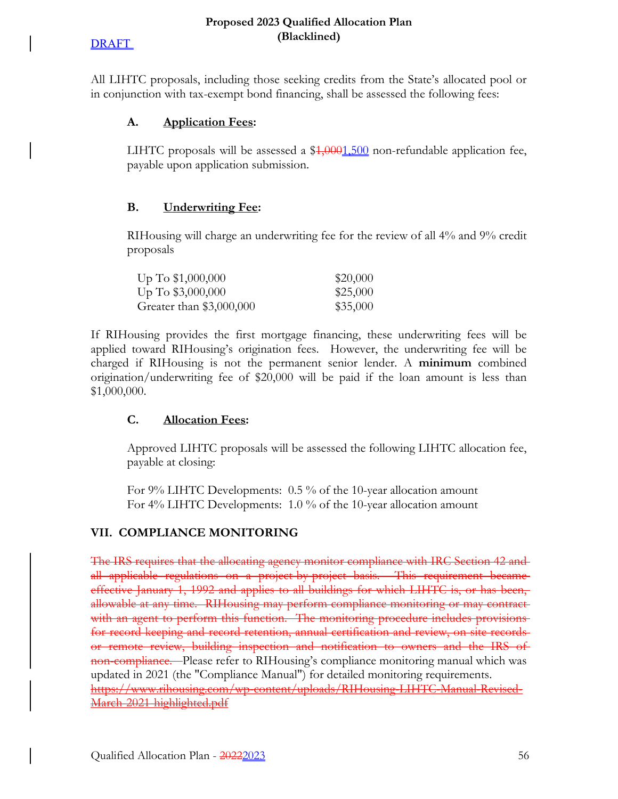All LIHTC proposals, including those seeking credits from the State's allocated pool or in conjunction with tax-exempt bond financing, shall be assessed the following fees:

# **A. Application Fees:**

LIHTC proposals will be assessed a  $$1,0001,500$  non-refundable application fee, payable upon application submission.

# **B. Underwriting Fee:**

RIHousing will charge an underwriting fee for the review of all 4% and 9% credit proposals

| $Up$ To \$1,000,000      | \$20,000 |
|--------------------------|----------|
| $Up$ To \$3,000,000      | \$25,000 |
| Greater than \$3,000,000 | \$35,000 |

If RIHousing provides the first mortgage financing, these underwriting fees will be applied toward RIHousing's origination fees. However, the underwriting fee will be charged if RIHousing is not the permanent senior lender. A **minimum** combined origination/underwriting fee of \$20,000 will be paid if the loan amount is less than \$1,000,000.

# **C. Allocation Fees:**

Approved LIHTC proposals will be assessed the following LIHTC allocation fee, payable at closing:

For 9% LIHTC Developments: 0.5 % of the 10-year allocation amount For 4% LIHTC Developments: 1.0 % of the 10-year allocation amount

# **VII. COMPLIANCE MONITORING**

The IRS requires that the allocating agency monitor compliance with IRC Section 42 and all applicable regulations on a project-by-project basis. This requirement became effective January 1, 1992 and applies to all buildings for which LIHTC is, or has been, allowable at any time. RIHousing may perform compliance monitoring or may contractwith an agent to perform this function. The monitoring procedure includes provisions for record keeping and record retention, annual certification and review, on-site records or remote review, building inspection and notification to owners and the IRS of non-compliance. Please refer to RIHousing's compliance monitoring manual which was updated in 2021 (the "Compliance Manual") for detailed monitoring requirements. https://www.rihousing.com/wp-content/uploads/RIHousing-LIHTC-Manual-Revised-March-2021-highlighted.pdf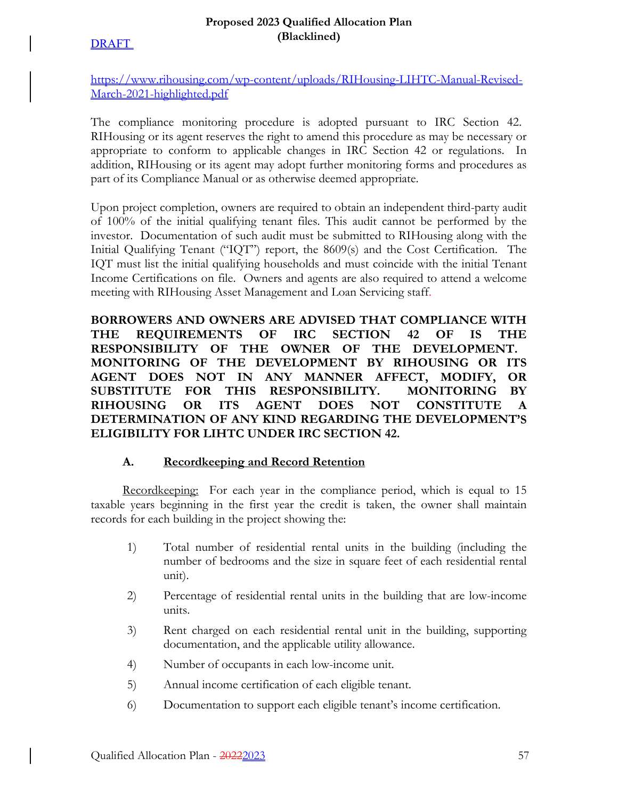## **Proposed 2023 Qualified Allocation Plan (Blacklined)**

https://www.rihousing.com/wp-content/uploads/RIHousing-LIHTC-Manual-Revised-March-2021-highlighted.pdf

The compliance monitoring procedure is adopted pursuant to IRC Section 42. RIHousing or its agent reserves the right to amend this procedure as may be necessary or appropriate to conform to applicable changes in IRC Section 42 or regulations. In addition, RIHousing or its agent may adopt further monitoring forms and procedures as part of its Compliance Manual or as otherwise deemed appropriate.

Upon project completion, owners are required to obtain an independent third-party audit of 100% of the initial qualifying tenant files. This audit cannot be performed by the investor. Documentation of such audit must be submitted to RIHousing along with the Initial Qualifying Tenant ("IQT") report, the 8609(s) and the Cost Certification. The IQT must list the initial qualifying households and must coincide with the initial Tenant Income Certifications on file. Owners and agents are also required to attend a welcome meeting with RIHousing Asset Management and Loan Servicing staff.

**BORROWERS AND OWNERS ARE ADVISED THAT COMPLIANCE WITH THE REQUIREMENTS OF IRC SECTION 42 OF IS THE RESPONSIBILITY OF THE OWNER OF THE DEVELOPMENT. MONITORING OF THE DEVELOPMENT BY RIHOUSING OR ITS AGENT DOES NOT IN ANY MANNER AFFECT, MODIFY, OR SUBSTITUTE FOR THIS RESPONSIBILITY. MONITORING BY RIHOUSING OR ITS AGENT DOES NOT CONSTITUTE A DETERMINATION OF ANY KIND REGARDING THE DEVELOPMENT'S ELIGIBILITY FOR LIHTC UNDER IRC SECTION 42.**

# **A. Recordkeeping and Record Retention**

Recordkeeping: For each year in the compliance period, which is equal to 15 taxable years beginning in the first year the credit is taken, the owner shall maintain records for each building in the project showing the:

- 1) Total number of residential rental units in the building (including the number of bedrooms and the size in square feet of each residential rental unit).
- 2) Percentage of residential rental units in the building that are low-income units.
- 3) Rent charged on each residential rental unit in the building, supporting documentation, and the applicable utility allowance.
- 4) Number of occupants in each low-income unit.
- 5) Annual income certification of each eligible tenant.
- 6) Documentation to support each eligible tenant's income certification.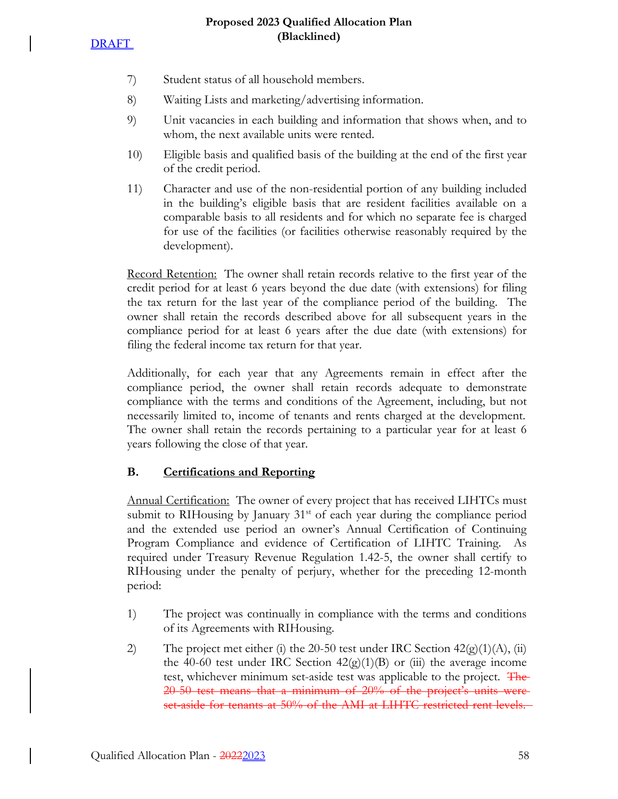**DRAFT** 

- 7) Student status of all household members.
- 8) Waiting Lists and marketing/advertising information.
- 9) Unit vacancies in each building and information that shows when, and to whom, the next available units were rented.
- 10) Eligible basis and qualified basis of the building at the end of the first year of the credit period.
- 11) Character and use of the non-residential portion of any building included in the building's eligible basis that are resident facilities available on a comparable basis to all residents and for which no separate fee is charged for use of the facilities (or facilities otherwise reasonably required by the development).

Record Retention: The owner shall retain records relative to the first year of the credit period for at least 6 years beyond the due date (with extensions) for filing the tax return for the last year of the compliance period of the building. The owner shall retain the records described above for all subsequent years in the compliance period for at least 6 years after the due date (with extensions) for filing the federal income tax return for that year.

Additionally, for each year that any Agreements remain in effect after the compliance period, the owner shall retain records adequate to demonstrate compliance with the terms and conditions of the Agreement, including, but not necessarily limited to, income of tenants and rents charged at the development. The owner shall retain the records pertaining to a particular year for at least 6 years following the close of that year.

# **B. Certifications and Reporting**

Annual Certification: The owner of every project that has received LIHTCs must submit to RIHousing by January 31<sup>st</sup> of each year during the compliance period and the extended use period an owner's Annual Certification of Continuing Program Compliance and evidence of Certification of LIHTC Training. As required under Treasury Revenue Regulation 1.42-5, the owner shall certify to RIHousing under the penalty of perjury, whether for the preceding 12-month period:

- 1) The project was continually in compliance with the terms and conditions of its Agreements with RIHousing.
- 2) The project met either (i) the 20-50 test under IRC Section  $42(g)(1)(A)$ , (ii) the 40-60 test under IRC Section  $42(g)(1)(B)$  or (iii) the average income test, whichever minimum set-aside test was applicable to the project. The 20-50 test means that a minimum of 20% of the project's units were set-aside for tenants at 50% of the AMI at LIHTC restricted rent levels.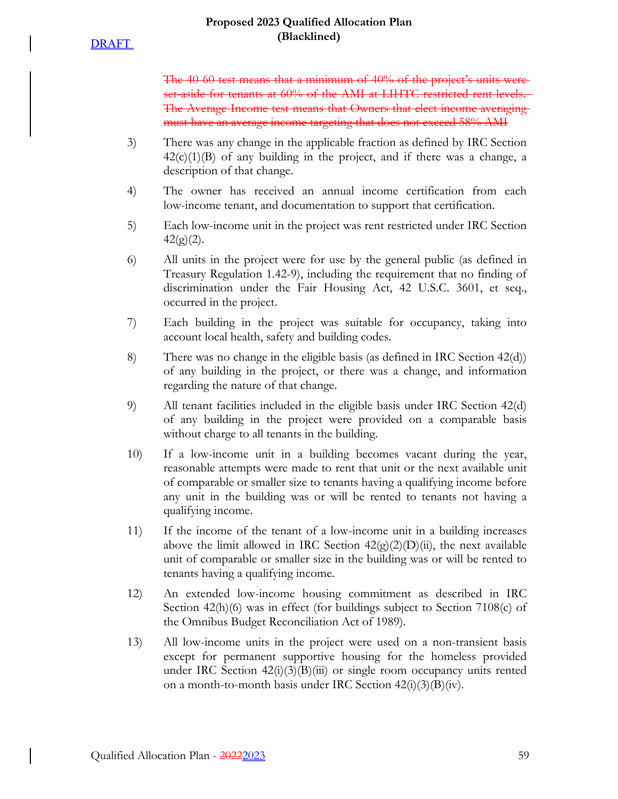The 40-60 test means that a minimum of 40% of the project's units were set-aside for tenants at 60% of the AMI at LIHTC restricted rent levels. The Average Income test means that Owners that elect income averaging must have an average income targeting that does not exceed 58% AMI

- 3) There was any change in the applicable fraction as defined by IRC Section  $42(c)(1)(B)$  of any building in the project, and if there was a change, a description of that change.
- 4) The owner has received an annual income certification from each low-income tenant, and documentation to support that certification.
- 5) Each low-income unit in the project was rent restricted under IRC Section  $42(g)(2)$ .
- 6) All units in the project were for use by the general public (as defined in Treasury Regulation 1.42-9), including the requirement that no finding of discrimination under the Fair Housing Act, 42 U.S.C. 3601, et seq., occurred in the project.
- 7) Each building in the project was suitable for occupancy, taking into account local health, safety and building codes.
- 8) There was no change in the eligible basis (as defined in IRC Section 42(d)) of any building in the project, or there was a change, and information regarding the nature of that change.
- 9) All tenant facilities included in the eligible basis under IRC Section 42(d) of any building in the project were provided on a comparable basis without charge to all tenants in the building.
- 10) If a low-income unit in a building becomes vacant during the year, reasonable attempts were made to rent that unit or the next available unit of comparable or smaller size to tenants having a qualifying income before any unit in the building was or will be rented to tenants not having a qualifying income.
- 11) If the income of the tenant of a low-income unit in a building increases above the limit allowed in IRC Section  $42(g)(2)(D)(ii)$ , the next available unit of comparable or smaller size in the building was or will be rented to tenants having a qualifying income.
- 12) An extended low-income housing commitment as described in IRC Section 42(h)(6) was in effect (for buildings subject to Section 7108(c) of the Omnibus Budget Reconciliation Act of 1989).
- 13) All low-income units in the project were used on a non-transient basis except for permanent supportive housing for the homeless provided under IRC Section  $42(i)(3)(B(iii))$  or single room occupancy units rented on a month-to-month basis under IRC Section  $42(i)(3)(B)(iv)$ .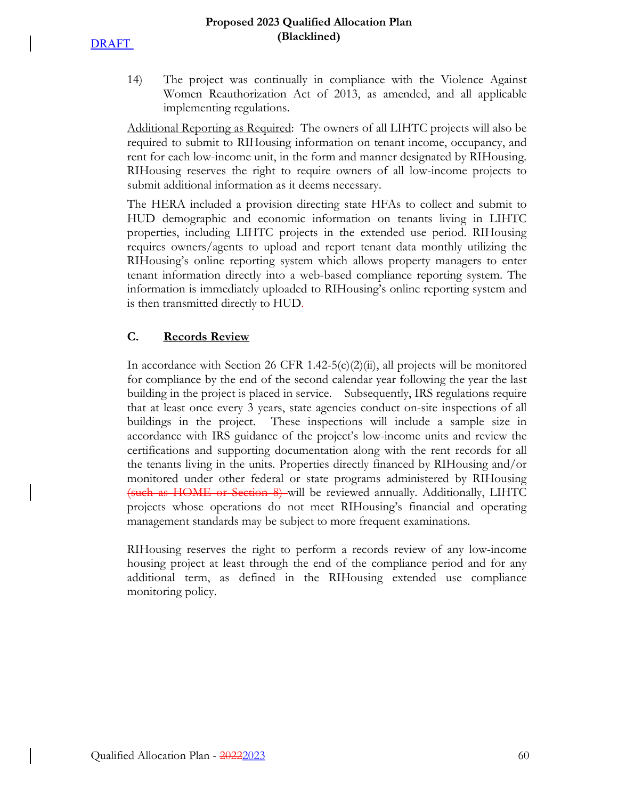**DRAFT** 

14) The project was continually in compliance with the Violence Against Women Reauthorization Act of 2013, as amended, and all applicable implementing regulations.

Additional Reporting as Required: The owners of all LIHTC projects will also be required to submit to RIHousing information on tenant income, occupancy, and rent for each low-income unit, in the form and manner designated by RIHousing. RIHousing reserves the right to require owners of all low-income projects to submit additional information as it deems necessary.

The HERA included a provision directing state HFAs to collect and submit to HUD demographic and economic information on tenants living in LIHTC properties, including LIHTC projects in the extended use period. RIHousing requires owners/agents to upload and report tenant data monthly utilizing the RIHousing's online reporting system which allows property managers to enter tenant information directly into a web-based compliance reporting system. The information is immediately uploaded to RIHousing's online reporting system and is then transmitted directly to HUD.

# **C. Records Review**

In accordance with Section 26 CFR 1.42-5(c)(2)(ii), all projects will be monitored for compliance by the end of the second calendar year following the year the last building in the project is placed in service. Subsequently, IRS regulations require that at least once every 3 years, state agencies conduct on-site inspections of all buildings in the project. These inspections will include a sample size in accordance with IRS guidance of the project's low-income units and review the certifications and supporting documentation along with the rent records for all the tenants living in the units. Properties directly financed by RIHousing and/or monitored under other federal or state programs administered by RIHousing (such as HOME or Section 8) will be reviewed annually. Additionally, LIHTC projects whose operations do not meet RIHousing's financial and operating management standards may be subject to more frequent examinations.

RIHousing reserves the right to perform a records review of any low-income housing project at least through the end of the compliance period and for any additional term, as defined in the RIHousing extended use compliance monitoring policy.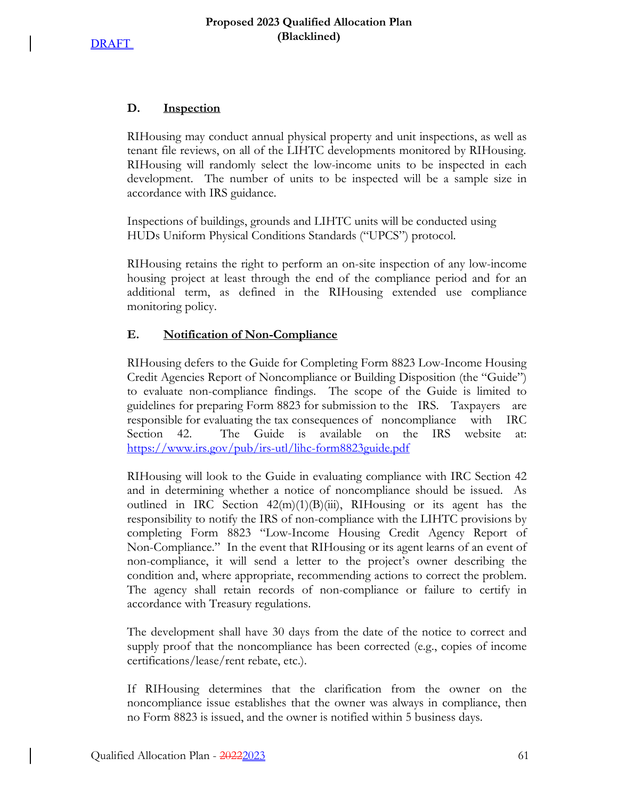# **D. Inspection**

RIHousing may conduct annual physical property and unit inspections, as well as tenant file reviews, on all of the LIHTC developments monitored by RIHousing. RIHousing will randomly select the low-income units to be inspected in each development. The number of units to be inspected will be a sample size in accordance with IRS guidance.

Inspections of buildings, grounds and LIHTC units will be conducted using HUDs Uniform Physical Conditions Standards ("UPCS") protocol.

RIHousing retains the right to perform an on-site inspection of any low-income housing project at least through the end of the compliance period and for an additional term, as defined in the RIHousing extended use compliance monitoring policy.

# **E. Notification of Non-Compliance**

RIHousing defers to the Guide for Completing Form 8823 Low-Income Housing Credit Agencies Report of Noncompliance or Building Disposition (the "Guide") to evaluate non-compliance findings. The scope of the Guide is limited to guidelines for preparing Form 8823 for submission to the IRS. Taxpayers are responsible for evaluating the tax consequences of noncompliance with IRC Section 42. The Guide is available on the IRS website at: https://www.irs.gov/pub/irs-utl/lihc-form8823guide.pdf

RIHousing will look to the Guide in evaluating compliance with IRC Section 42 and in determining whether a notice of noncompliance should be issued. As outlined in IRC Section  $42(m)(1)(B)(iii)$ , RIHousing or its agent has the responsibility to notify the IRS of non-compliance with the LIHTC provisions by completing Form 8823 "Low-Income Housing Credit Agency Report of Non-Compliance." In the event that RIHousing or its agent learns of an event of non-compliance, it will send a letter to the project's owner describing the condition and, where appropriate, recommending actions to correct the problem. The agency shall retain records of non-compliance or failure to certify in accordance with Treasury regulations.

The development shall have 30 days from the date of the notice to correct and supply proof that the noncompliance has been corrected (e.g., copies of income certifications/lease/rent rebate, etc.).

If RIHousing determines that the clarification from the owner on the noncompliance issue establishes that the owner was always in compliance, then no Form 8823 is issued, and the owner is notified within 5 business days.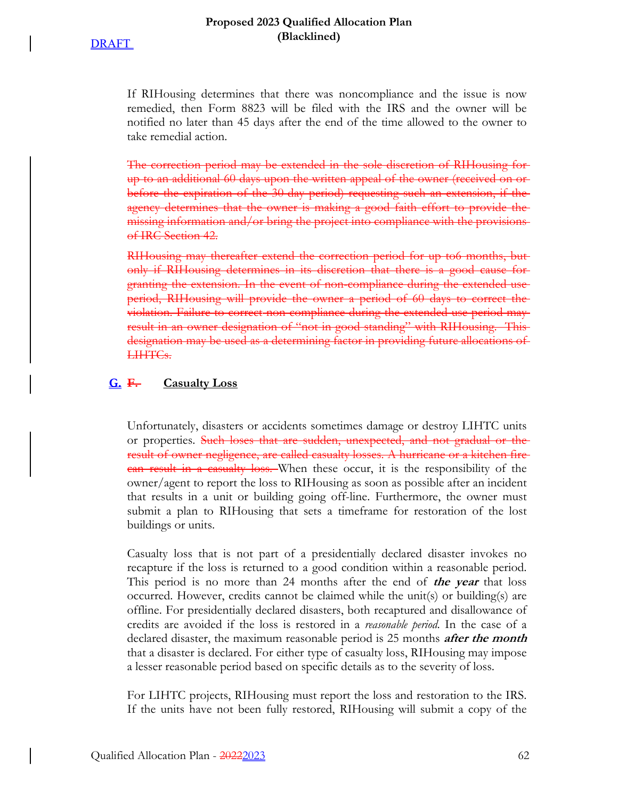If RIHousing determines that there was noncompliance and the issue is now remedied, then Form 8823 will be filed with the IRS and the owner will be notified no later than 45 days after the end of the time allowed to the owner to take remedial action.

The correction period may be extended in the sole discretion of RIHousing for up to an additional 60 days upon the written appeal of the owner (received on or before the expiration of the 30-day period) requesting such an extension, if the agency determines that the owner is making a good faith effort to provide the missing information and/or bring the project into compliance with the provisionsof IRC Section 42.

RIHousing may thereafter extend the correction period for up to6 months, but only if RIHousing determines in its discretion that there is a good cause for granting the extension. In the event of non-compliance during the extended use period, RIHousing will provide the owner a period of 60 days to correct the violation. Failure to correct non-compliance during the extended use period may result in an owner designation of "not in good standing" with RIHousing. This designation may be used as a determining factor in providing future allocations of LIHTCs.

### **G. F. Casualty Loss**

Unfortunately, disasters or accidents sometimes damage or destroy LIHTC units or properties. Such loses that are sudden, unexpected, and not gradual or the result of owner negligence, are called casualty losses. A hurricane or a kitchen fire **can result in a casualty loss.** When these occur, it is the responsibility of the owner/agent to report the loss to RIHousing as soon as possible after an incident that results in a unit or building going off-line. Furthermore, the owner must submit a plan to RIHousing that sets a timeframe for restoration of the lost buildings or units.

Casualty loss that is not part of a presidentially declared disaster invokes no recapture if the loss is returned to a good condition within a reasonable period. This period is no more than 24 months after the end of **the year** that loss occurred. However, credits cannot be claimed while the unit(s) or building(s) are offline. For presidentially declared disasters, both recaptured and disallowance of credits are avoided if the loss is restored in a *reasonable period*. In the case of a declared disaster, the maximum reasonable period is 25 months **after the month** that a disaster is declared. For either type of casualty loss, RIHousing may impose a lesser reasonable period based on specific details as to the severity of loss.

For LIHTC projects, RIHousing must report the loss and restoration to the IRS. If the units have not been fully restored, RIHousing will submit a copy of the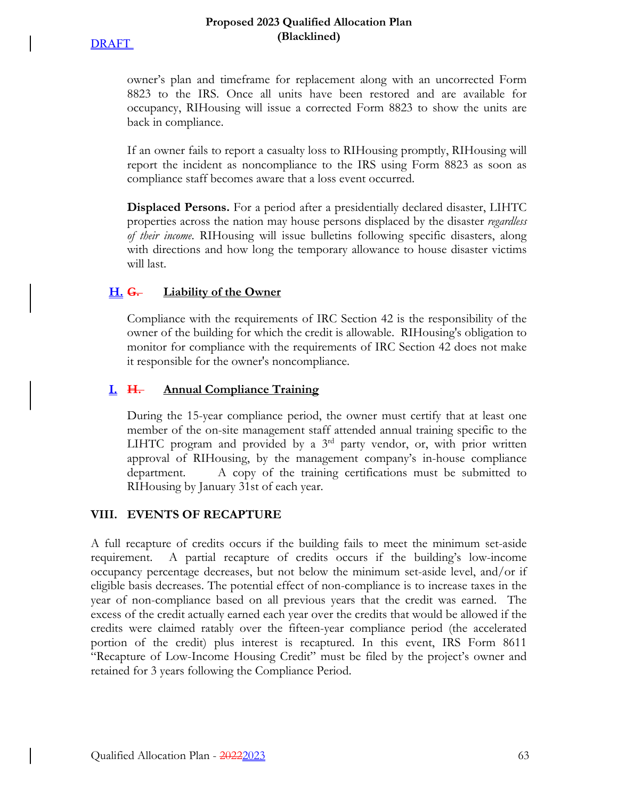

owner's plan and timeframe for replacement along with an uncorrected Form 8823 to the IRS. Once all units have been restored and are available for occupancy, RIHousing will issue a corrected Form 8823 to show the units are back in compliance.

If an owner fails to report a casualty loss to RIHousing promptly, RIHousing will report the incident as noncompliance to the IRS using Form 8823 as soon as compliance staff becomes aware that a loss event occurred.

**Displaced Persons.** For a period after a presidentially declared disaster, LIHTC properties across the nation may house persons displaced by the disaster *regardless of their income*. RIHousing will issue bulletins following specific disasters, along with directions and how long the temporary allowance to house disaster victims will last.

# **H. G. Liability of the Owner**

Compliance with the requirements of IRC Section 42 is the responsibility of the owner of the building for which the credit is allowable. RIHousing's obligation to monitor for compliance with the requirements of IRC Section 42 does not make it responsible for the owner's noncompliance.

# **I. H. Annual Compliance Training**

During the 15-year compliance period, the owner must certify that at least one member of the on-site management staff attended annual training specific to the LIHTC program and provided by a  $3<sup>rd</sup>$  party vendor, or, with prior written approval of RIHousing, by the management company's in-house compliance department. A copy of the training certifications must be submitted to RIHousing by January 31st of each year.

# **VIII. EVENTS OF RECAPTURE**

A full recapture of credits occurs if the building fails to meet the minimum set-aside requirement. A partial recapture of credits occurs if the building's low-income occupancy percentage decreases, but not below the minimum set-aside level, and/or if eligible basis decreases. The potential effect of non-compliance is to increase taxes in the year of non-compliance based on all previous years that the credit was earned. The excess of the credit actually earned each year over the credits that would be allowed if the credits were claimed ratably over the fifteen-year compliance period (the accelerated portion of the credit) plus interest is recaptured. In this event, IRS Form 8611 "Recapture of Low-Income Housing Credit" must be filed by the project's owner and retained for 3 years following the Compliance Period.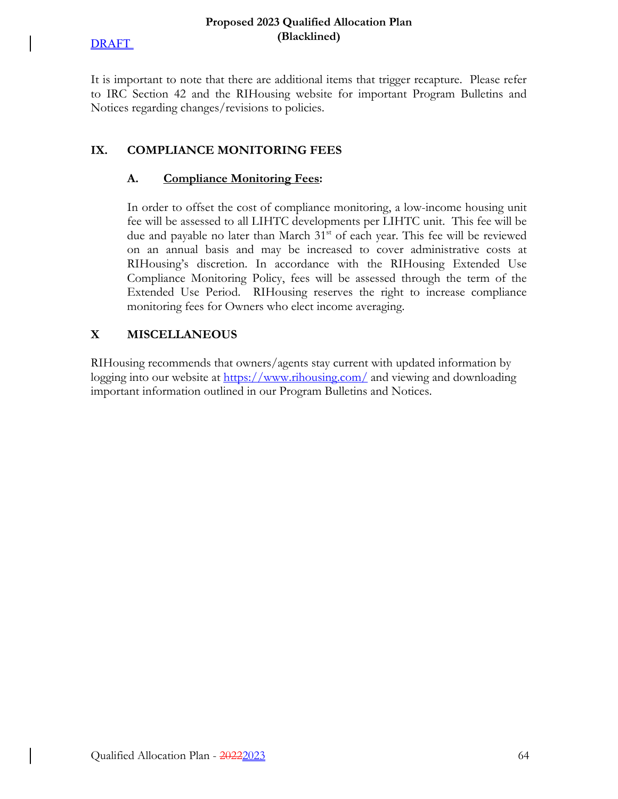### **Proposed 2023 Qualified Allocation Plan (Blacklined)**

It is important to note that there are additional items that trigger recapture. Please refer to IRC Section 42 and the RIHousing website for important Program Bulletins and Notices regarding changes/revisions to policies.

# **IX. COMPLIANCE MONITORING FEES**

# **A. Compliance Monitoring Fees:**

In order to offset the cost of compliance monitoring, a low-income housing unit fee will be assessed to all LIHTC developments per LIHTC unit. This fee will be due and payable no later than March 31<sup>st</sup> of each year. This fee will be reviewed on an annual basis and may be increased to cover administrative costs at RIHousing's discretion. In accordance with the RIHousing Extended Use Compliance Monitoring Policy, fees will be assessed through the term of the Extended Use Period. RIHousing reserves the right to increase compliance monitoring fees for Owners who elect income averaging.

# **X MISCELLANEOUS**

RIHousing recommends that owners/agents stay current with updated information by logging into our website at https://www.rihousing.com/ and viewing and downloading important information outlined in our Program Bulletins and Notices.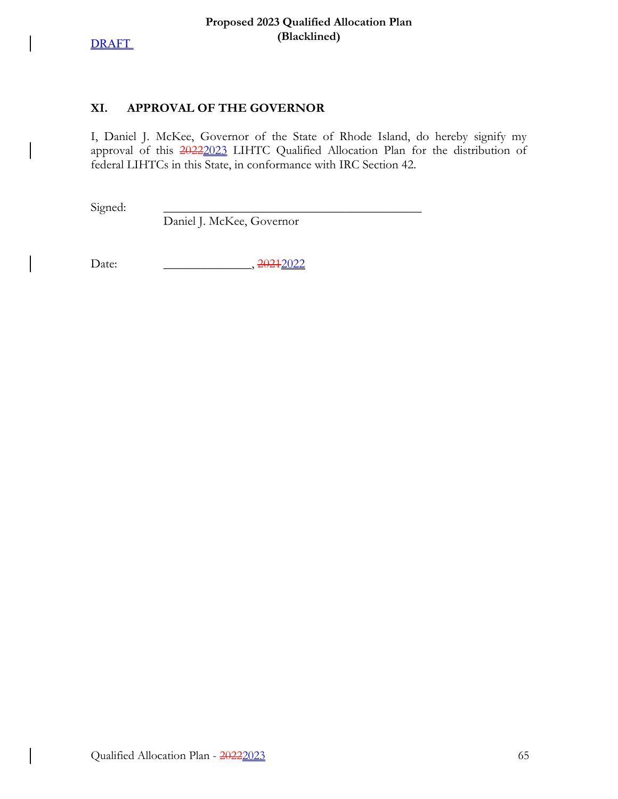

 $\overline{\phantom{a}}$ 

 $\overline{\phantom{a}}$ 

 $\overline{\phantom{a}}$ 

 $\overline{\phantom{a}}$ 

# **XI. APPROVAL OF THE GOVERNOR**

I, Daniel J. McKee, Governor of the State of Rhode Island, do hereby signify my approval of this 20222023 LIHTC Qualified Allocation Plan for the distribution of federal LIHTCs in this State, in conformance with IRC Section 42.

Signed:

Daniel J. McKee, Governor

Date: \_\_\_\_\_\_\_\_\_\_\_\_\_\_, 20212022